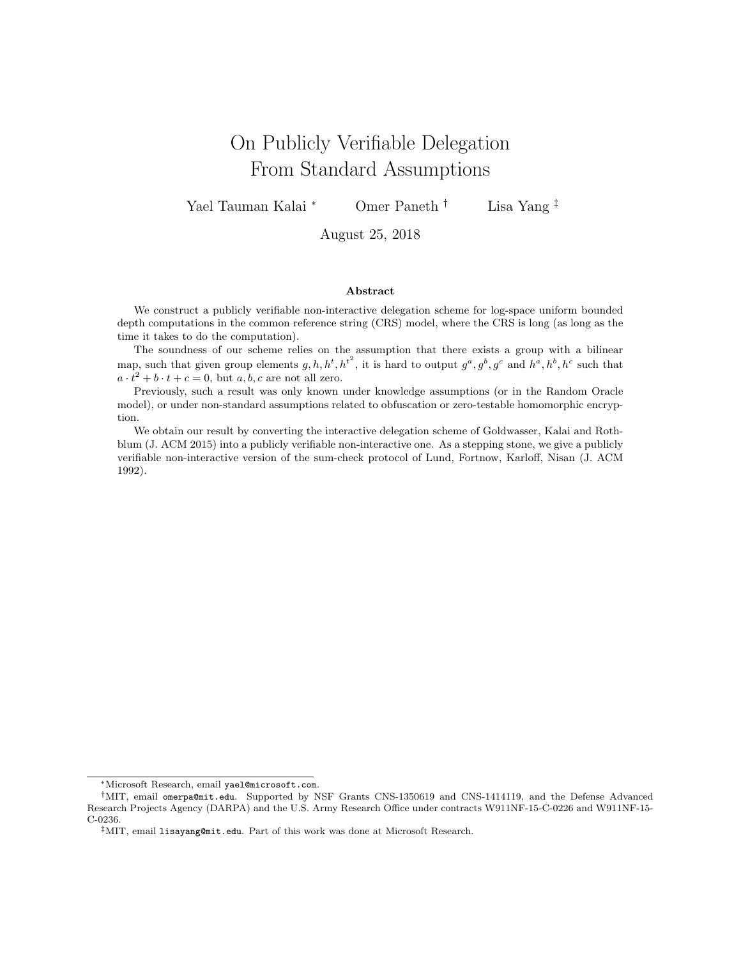# On Publicly Verifiable Delegation From Standard Assumptions

Yael Tauman Kalai <sup>∗</sup> Omer Paneth † Lisa Yang ‡

August 25, 2018

### Abstract

We construct a publicly verifiable non-interactive delegation scheme for log-space uniform bounded depth computations in the common reference string (CRS) model, where the CRS is long (as long as the time it takes to do the computation).

The soundness of our scheme relies on the assumption that there exists a group with a bilinear map, such that given group elements  $g, h, h^t, h^{t^2}$ , it is hard to output  $g^a, g^b, g^c$  and  $h^a, h^b, h^c$  such that  $a \cdot t^2 + b \cdot t + c = 0$ , but  $a, b, c$  are not all zero.

Previously, such a result was only known under knowledge assumptions (or in the Random Oracle model), or under non-standard assumptions related to obfuscation or zero-testable homomorphic encryption.

We obtain our result by converting the interactive delegation scheme of Goldwasser, Kalai and Rothblum (J. ACM 2015) into a publicly verifiable non-interactive one. As a stepping stone, we give a publicly verifiable non-interactive version of the sum-check protocol of Lund, Fortnow, Karloff, Nisan (J. ACM 1992).

<sup>∗</sup>Microsoft Research, email yael@microsoft.com.

<sup>†</sup>MIT, email omerpa@mit.edu. Supported by NSF Grants CNS-1350619 and CNS-1414119, and the Defense Advanced Research Projects Agency (DARPA) and the U.S. Army Research Office under contracts W911NF-15-C-0226 and W911NF-15- C-0236.

<sup>‡</sup>MIT, email lisayang@mit.edu. Part of this work was done at Microsoft Research.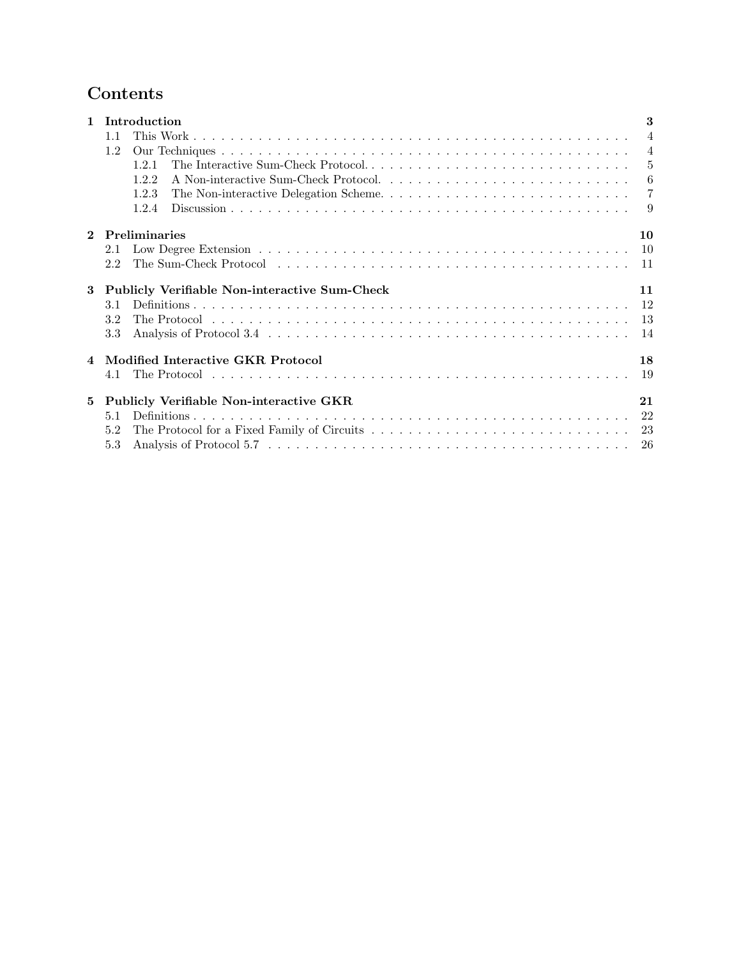## Contents

| $\mathbf{1}$ | Introduction                                   | 3              |
|--------------|------------------------------------------------|----------------|
|              | 1.1                                            | $\overline{4}$ |
|              | 1.2                                            | $\overline{4}$ |
|              | 121                                            | $\overline{5}$ |
|              | A Non-interactive Sum-Check Protocol<br>1.2.2  | -6             |
|              | 1.2.3                                          | -7             |
|              | 1.2.4                                          | -9             |
| $\mathbf{2}$ | <b>Preliminaries</b>                           | 10             |
|              | 2.1                                            | <sup>10</sup>  |
|              | 2.2                                            |                |
| 3            | Publicly Verifiable Non-interactive Sum-Check  | 11             |
|              | 3.1                                            |                |
|              | 3.2                                            |                |
|              | 3.3                                            | -14            |
|              | Modified Interactive GKR Protocol              | 18             |
|              |                                                | 19             |
| 5            | <b>Publicly Verifiable Non-interactive GKR</b> | 21             |
|              | 5.1                                            |                |
|              | 5.2                                            |                |
|              | 5.3                                            |                |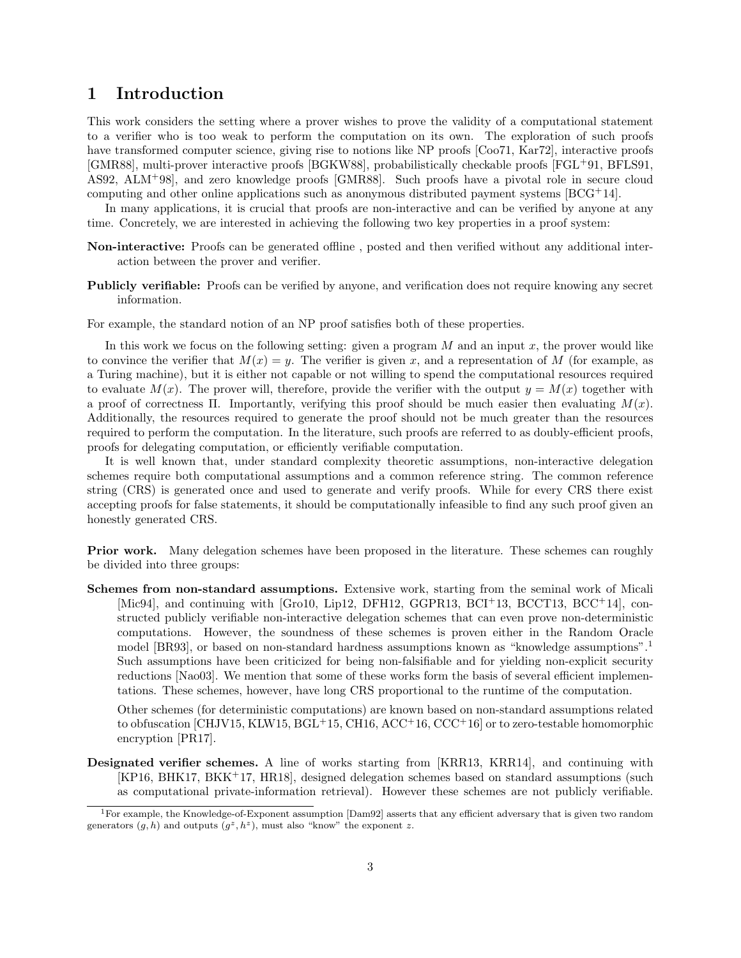### <span id="page-2-0"></span>1 Introduction

This work considers the setting where a prover wishes to prove the validity of a computational statement to a verifier who is too weak to perform the computation on its own. The exploration of such proofs have transformed computer science, giving rise to notions like NP proofs [\[Coo71,](#page-31-0) [Kar72\]](#page-31-1), interactive proofs [\[GMR88\]](#page-31-2), multi-prover interactive proofs [\[BGKW88\]](#page-30-0), probabilistically checkable proofs [\[FGL](#page-31-3)+91, [BFLS91,](#page-30-1) [AS92,](#page-30-2) [ALM](#page-30-3)+98], and zero knowledge proofs [\[GMR88\]](#page-31-2). Such proofs have a pivotal role in secure cloud computing and other online applications such as anonymous distributed payment systems [\[BCG](#page-30-4)+14].

In many applications, it is crucial that proofs are non-interactive and can be verified by anyone at any time. Concretely, we are interested in achieving the following two key properties in a proof system:

- Non-interactive: Proofs can be generated offline , posted and then verified without any additional interaction between the prover and verifier.
- Publicly verifiable: Proofs can be verified by anyone, and verification does not require knowing any secret information.

For example, the standard notion of an NP proof satisfies both of these properties.

In this work we focus on the following setting: given a program  $M$  and an input  $x$ , the prover would like to convince the verifier that  $M(x) = y$ . The verifier is given x, and a representation of M (for example, as a Turing machine), but it is either not capable or not willing to spend the computational resources required to evaluate  $M(x)$ . The prover will, therefore, provide the verifier with the output  $y = M(x)$  together with a proof of correctness Π. Importantly, verifying this proof should be much easier then evaluating  $M(x)$ . Additionally, the resources required to generate the proof should not be much greater than the resources required to perform the computation. In the literature, such proofs are referred to as doubly-efficient proofs, proofs for delegating computation, or efficiently verifiable computation.

It is well known that, under standard complexity theoretic assumptions, non-interactive delegation schemes require both computational assumptions and a common reference string. The common reference string (CRS) is generated once and used to generate and verify proofs. While for every CRS there exist accepting proofs for false statements, it should be computationally infeasible to find any such proof given an honestly generated CRS.

Prior work. Many delegation schemes have been proposed in the literature. These schemes can roughly be divided into three groups:

Schemes from non-standard assumptions. Extensive work, starting from the seminal work of Micali [\[Mic94\]](#page-32-0), and continuing with [\[Gro10,](#page-31-4) [Lip12,](#page-32-1) [DFH12,](#page-31-5) [GGPR13,](#page-31-6) [BCI](#page-30-5)<sup>+</sup>13, [BCCT13,](#page-30-6) [BCC](#page-30-7)<sup>+</sup>14], constructed publicly verifiable non-interactive delegation schemes that can even prove non-deterministic computations. However, the soundness of these schemes is proven either in the Random Oracle model [\[BR93\]](#page-30-8), or based on non-standard hardness assumptions known as "knowledge assumptions".<sup>[1](#page-2-1)</sup> Such assumptions have been criticized for being non-falsifiable and for yielding non-explicit security reductions [\[Nao03\]](#page-32-2). We mention that some of these works form the basis of several efficient implementations. These schemes, however, have long CRS proportional to the runtime of the computation.

Other schemes (for deterministic computations) are known based on non-standard assumptions related to obfuscation [\[CHJV15,](#page-31-7) [KLW15,](#page-32-3) [BGL](#page-30-9)<sup>+</sup>15, [CH16,](#page-31-8) [ACC](#page-30-10)<sup>+</sup>16, [CCC](#page-31-9)<sup>+</sup>16] or to zero-testable homomorphic encryption [\[PR17\]](#page-32-4).

Designated verifier schemes. A line of works starting from [\[KRR13,](#page-32-5) [KRR14\]](#page-32-6), and continuing with [\[KP16,](#page-32-7) [BHK17,](#page-30-11) [BKK](#page-30-12)<sup>+</sup>17, [HR18\]](#page-31-10), designed delegation schemes based on standard assumptions (such as computational private-information retrieval). However these schemes are not publicly verifiable.

<span id="page-2-1"></span><sup>&</sup>lt;sup>1</sup>For example, the Knowledge-of-Exponent assumption  $(Dam92)$  asserts that any efficient adversary that is given two random generators  $(g, h)$  and outputs  $(g^z, h^z)$ , must also "know" the exponent z.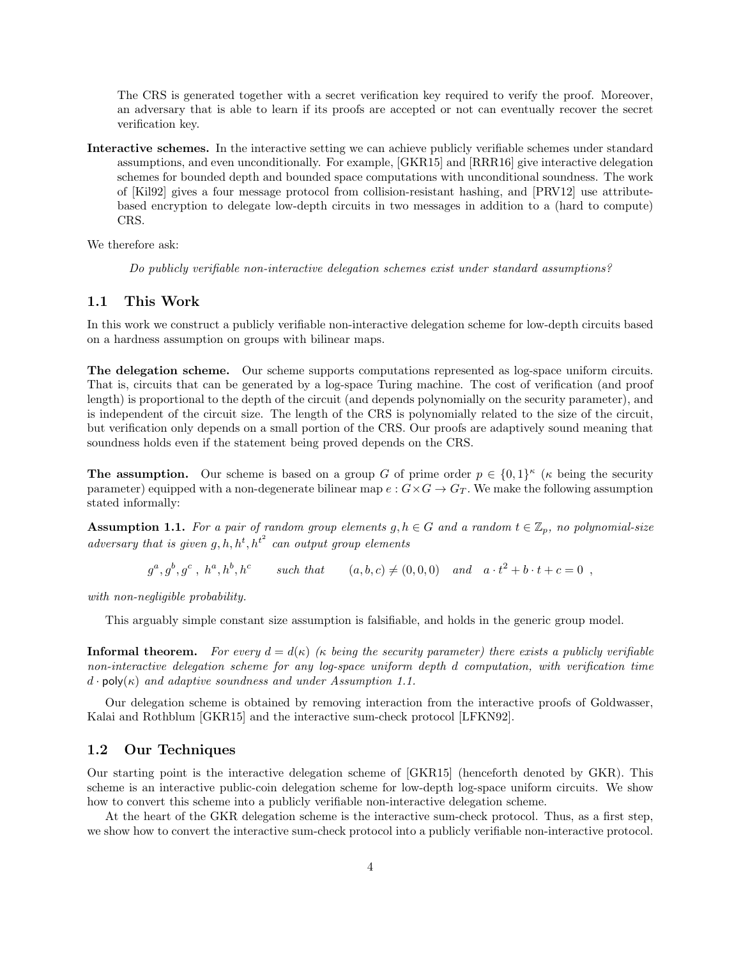The CRS is generated together with a secret verification key required to verify the proof. Moreover, an adversary that is able to learn if its proofs are accepted or not can eventually recover the secret verification key.

Interactive schemes. In the interactive setting we can achieve publicly verifiable schemes under standard assumptions, and even unconditionally. For example, [\[GKR15\]](#page-31-12) and [\[RRR16\]](#page-32-8) give interactive delegation schemes for bounded depth and bounded space computations with unconditional soundness. The work of [\[Kil92\]](#page-32-9) gives a four message protocol from collision-resistant hashing, and [\[PRV12\]](#page-32-10) use attributebased encryption to delegate low-depth circuits in two messages in addition to a (hard to compute) CRS.

We therefore ask:

Do publicly verifiable non-interactive delegation schemes exist under standard assumptions?

### <span id="page-3-0"></span>1.1 This Work

In this work we construct a publicly verifiable non-interactive delegation scheme for low-depth circuits based on a hardness assumption on groups with bilinear maps.

The delegation scheme. Our scheme supports computations represented as log-space uniform circuits. That is, circuits that can be generated by a log-space Turing machine. The cost of verification (and proof length) is proportional to the depth of the circuit (and depends polynomially on the security parameter), and is independent of the circuit size. The length of the CRS is polynomially related to the size of the circuit, but verification only depends on a small portion of the CRS. Our proofs are adaptively sound meaning that soundness holds even if the statement being proved depends on the CRS.

**The assumption.** Our scheme is based on a group G of prime order  $p \in \{0,1\}^{\kappa}$  ( $\kappa$  being the security parameter) equipped with a non-degenerate bilinear map  $e: G \times G \to G_T$ . We make the following assumption stated informally:

<span id="page-3-2"></span>**Assumption 1.1.** For a pair of random group elements  $g, h \in G$  and a random  $t \in \mathbb{Z}_p$ , no polynomial-size adversary that is given g, h,  $h^t$ ,  $h^{t^2}$  can output group elements

 $g^a, g^b, g^c, h^a, h^b, h^c$  such that  $(a, b, c) \neq (0, 0, 0)$  and  $a \cdot t^2 + b \cdot t + c = 0$ ,

with non-negligible probability.

This arguably simple constant size assumption is falsifiable, and holds in the generic group model.

**Informal theorem.** For every  $d = d(\kappa)$  ( $\kappa$  being the security parameter) there exists a publicly verifiable non-interactive delegation scheme for any log-space uniform depth d computation, with verification time  $d \cdot \text{poly}(\kappa)$  and adaptive soundness and under Assumption [1.1.](#page-3-2)

Our delegation scheme is obtained by removing interaction from the interactive proofs of Goldwasser, Kalai and Rothblum [\[GKR15\]](#page-31-12) and the interactive sum-check protocol [\[LFKN92\]](#page-32-11).

### <span id="page-3-1"></span>1.2 Our Techniques

Our starting point is the interactive delegation scheme of [\[GKR15\]](#page-31-12) (henceforth denoted by GKR). This scheme is an interactive public-coin delegation scheme for low-depth log-space uniform circuits. We show how to convert this scheme into a publicly verifiable non-interactive delegation scheme.

At the heart of the GKR delegation scheme is the interactive sum-check protocol. Thus, as a first step, we show how to convert the interactive sum-check protocol into a publicly verifiable non-interactive protocol.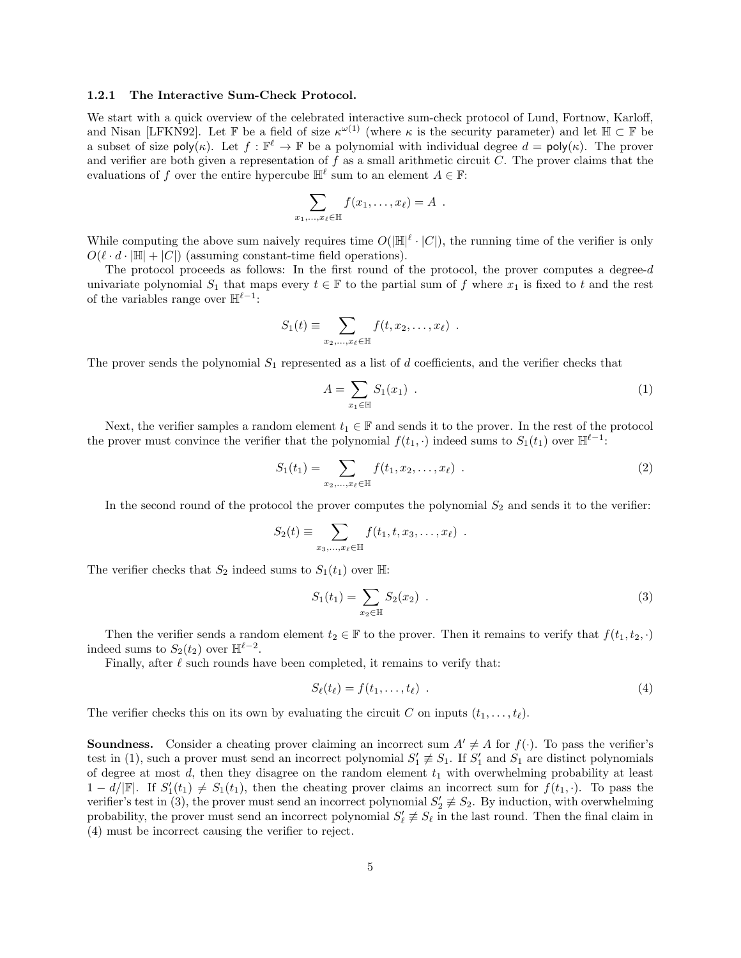#### <span id="page-4-0"></span>1.2.1 The Interactive Sum-Check Protocol.

We start with a quick overview of the celebrated interactive sum-check protocol of Lund, Fortnow, Karloff, and Nisan [\[LFKN92\]](#page-32-11). Let F be a field of size  $\kappa^{\omega(1)}$  (where  $\kappa$  is the security parameter) and let  $\mathbb{H} \subset \mathbb{F}$  be a subset of size  $\text{poly}(\kappa)$ . Let  $f : \mathbb{F}^{\ell} \to \mathbb{F}$  be a polynomial with individual degree  $d = \text{poly}(\kappa)$ . The prover and verifier are both given a representation of  $f$  as a small arithmetic circuit  $C$ . The prover claims that the evaluations of f over the entire hypercube  $\mathbb{H}^{\ell}$  sum to an element  $A \in \mathbb{F}$ :

$$
\sum_{x_1,\ldots,x_\ell\in\mathbb{H}} f(x_1,\ldots,x_\ell)=A.
$$

While computing the above sum naively requires time  $O(|\mathbb{H}|^{\ell} \cdot |C|)$ , the running time of the verifier is only  $O(\ell \cdot d \cdot |\mathbb{H}| + |C|)$  (assuming constant-time field operations).

The protocol proceeds as follows: In the first round of the protocol, the prover computes a degree-d univariate polynomial  $S_1$  that maps every  $t \in \mathbb{F}$  to the partial sum of f where  $x_1$  is fixed to t and the rest of the variables range over  $\mathbb{H}^{\ell-1}$ :

$$
S_1(t) \equiv \sum_{x_2,\ldots,x_\ell \in \mathbb{H}} f(t,x_2,\ldots,x_\ell) .
$$

The prover sends the polynomial  $S_1$  represented as a list of d coefficients, and the verifier checks that

<span id="page-4-1"></span>
$$
A = \sum_{x_1 \in \mathbb{H}} S_1(x_1) \tag{1}
$$

Next, the verifier samples a random element  $t_1 \in \mathbb{F}$  and sends it to the prover. In the rest of the protocol the prover must convince the verifier that the polynomial  $f(t_1, \cdot)$  indeed sums to  $S_1(t_1)$  over  $\mathbb{H}^{\ell-1}$ :

$$
S_1(t_1) = \sum_{x_2, \dots, x_\ell \in \mathbb{H}} f(t_1, x_2, \dots, x_\ell) \quad . \tag{2}
$$

In the second round of the protocol the prover computes the polynomial  $S_2$  and sends it to the verifier:

$$
S_2(t) \equiv \sum_{x_3,\ldots,x_\ell \in \mathbb{H}} f(t_1,t,x_3,\ldots,x_\ell) .
$$

The verifier checks that  $S_2$  indeed sums to  $S_1(t_1)$  over  $\mathbb{H}$ :

<span id="page-4-2"></span>
$$
S_1(t_1) = \sum_{x_2 \in \mathbb{H}} S_2(x_2) . \tag{3}
$$

Then the verifier sends a random element  $t_2 \in \mathbb{F}$  to the prover. Then it remains to verify that  $f(t_1, t_2, \cdot)$ indeed sums to  $S_2(t_2)$  over  $\mathbb{H}^{\ell-2}$ .

Finally, after  $\ell$  such rounds have been completed, it remains to verify that:

<span id="page-4-3"></span>
$$
S_{\ell}(t_{\ell}) = f(t_1, \ldots, t_{\ell}) \tag{4}
$$

The verifier checks this on its own by evaluating the circuit C on inputs  $(t_1, \ldots, t_\ell)$ .

**Soundness.** Consider a cheating prover claiming an incorrect sum  $A' \neq A$  for  $f(\cdot)$ . To pass the verifier's test in [\(1\)](#page-4-1), such a prover must send an incorrect polynomial  $S'_1 \not\equiv S_1$ . If  $S'_1$  and  $S_1$  are distinct polynomials of degree at most d, then they disagree on the random element  $t_1$  with overwhelming probability at least  $1 - d/\mathbb{F}$ . If  $S_1'(t_1) \neq S_1(t_1)$ , then the cheating prover claims an incorrect sum for  $f(t_1, \cdot)$ . To pass the verifier's test in [\(3\)](#page-4-2), the prover must send an incorrect polynomial  $S'_2 \neq S_2$ . By induction, with overwhelming probability, the prover must send an incorrect polynomial  $S'_\ell \neq S_\ell$  in the last round. Then the final claim in [\(4\)](#page-4-3) must be incorrect causing the verifier to reject.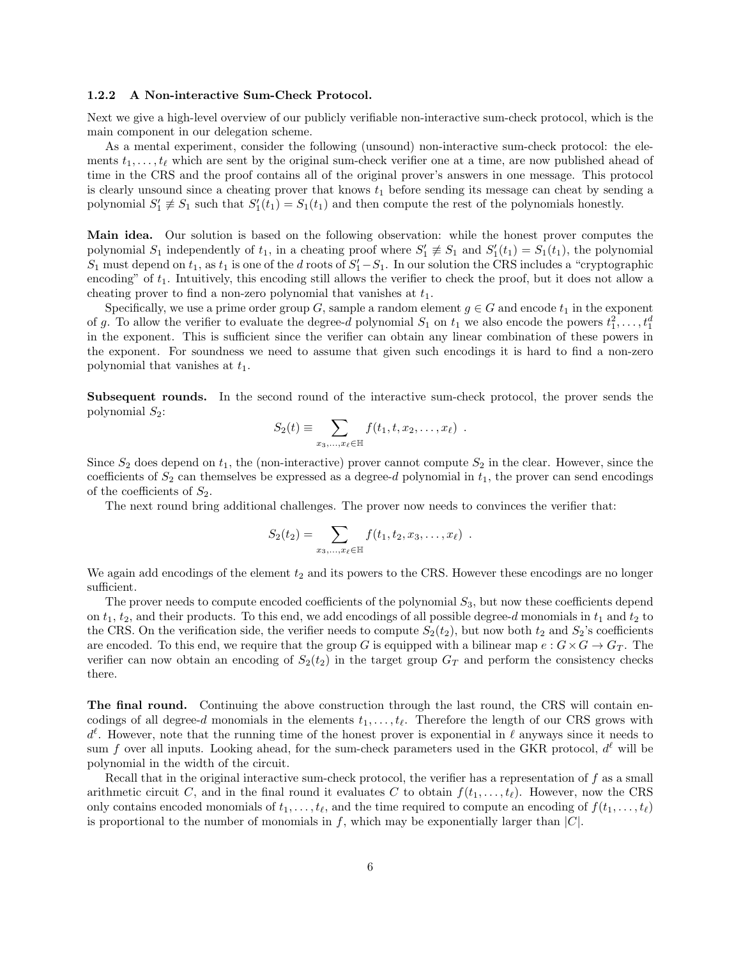#### <span id="page-5-0"></span>1.2.2 A Non-interactive Sum-Check Protocol.

Next we give a high-level overview of our publicly verifiable non-interactive sum-check protocol, which is the main component in our delegation scheme.

As a mental experiment, consider the following (unsound) non-interactive sum-check protocol: the elements  $t_1, \ldots, t_\ell$  which are sent by the original sum-check verifier one at a time, are now published ahead of time in the CRS and the proof contains all of the original prover's answers in one message. This protocol is clearly unsound since a cheating prover that knows  $t_1$  before sending its message can cheat by sending a polynomial  $S'_1 \not\equiv S_1$  such that  $S'_1(t_1) = S_1(t_1)$  and then compute the rest of the polynomials honestly.

Main idea. Our solution is based on the following observation: while the honest prover computes the polynomial  $S_1$  independently of  $t_1$ , in a cheating proof where  $S'_1 \not\equiv S_1$  and  $S'_1(t_1) = S_1(t_1)$ , the polynomial  $S_1$  must depend on  $t_1$ , as  $t_1$  is one of the d roots of  $S'_1 - S_1$ . In our solution the CRS includes a "cryptographic encoding" of  $t_1$ . Intuitively, this encoding still allows the verifier to check the proof, but it does not allow a cheating prover to find a non-zero polynomial that vanishes at  $t_1$ .

Specifically, we use a prime order group G, sample a random element  $g \in G$  and encode  $t_1$  in the exponent of g. To allow the verifier to evaluate the degree-d polynomial  $S_1$  on  $t_1$  we also encode the powers  $t_1^2, \ldots, t_1^d$ in the exponent. This is sufficient since the verifier can obtain any linear combination of these powers in the exponent. For soundness we need to assume that given such encodings it is hard to find a non-zero polynomial that vanishes at  $t_1$ .

Subsequent rounds. In the second round of the interactive sum-check protocol, the prover sends the polynomial  $S_2$ :

$$
S_2(t) \equiv \sum_{x_3,\ldots,x_\ell \in \mathbb{H}} f(t_1,t,x_2,\ldots,x_\ell) .
$$

Since  $S_2$  does depend on  $t_1$ , the (non-interactive) prover cannot compute  $S_2$  in the clear. However, since the coefficients of  $S_2$  can themselves be expressed as a degree-d polynomial in  $t_1$ , the prover can send encodings of the coefficients of  $S_2$ .

The next round bring additional challenges. The prover now needs to convinces the verifier that:

$$
S_2(t_2) = \sum_{x_3,...,x_{\ell} \in \mathbb{H}} f(t_1, t_2, x_3,...,x_{\ell}).
$$

We again add encodings of the element  $t_2$  and its powers to the CRS. However these encodings are no longer sufficient.

The prover needs to compute encoded coefficients of the polynomial  $S_3$ , but now these coefficients depend on  $t_1$ ,  $t_2$ , and their products. To this end, we add encodings of all possible degree-d monomials in  $t_1$  and  $t_2$  to the CRS. On the verification side, the verifier needs to compute  $S_2(t_2)$ , but now both  $t_2$  and  $S_2$ 's coefficients are encoded. To this end, we require that the group G is equipped with a bilinear map  $e : G \times G \to G_T$ . The verifier can now obtain an encoding of  $S_2(t_2)$  in the target group  $G_T$  and perform the consistency checks there.

The final round. Continuing the above construction through the last round, the CRS will contain encodings of all degree-d monomials in the elements  $t_1, \ldots, t_\ell$ . Therefore the length of our CRS grows with  $d^{\ell}$ . However, note that the running time of the honest prover is exponential in  $\ell$  anyways since it needs to sum f over all inputs. Looking ahead, for the sum-check parameters used in the GKR protocol,  $d^{\ell}$  will be polynomial in the width of the circuit.

Recall that in the original interactive sum-check protocol, the verifier has a representation of  $f$  as a small arithmetic circuit C, and in the final round it evaluates C to obtain  $f(t_1, \ldots, t_\ell)$ . However, now the CRS only contains encoded monomials of  $t_1, \ldots, t_\ell$ , and the time required to compute an encoding of  $f(t_1, \ldots, t_\ell)$ is proportional to the number of monomials in f, which may be exponentially larger than  $|C|$ .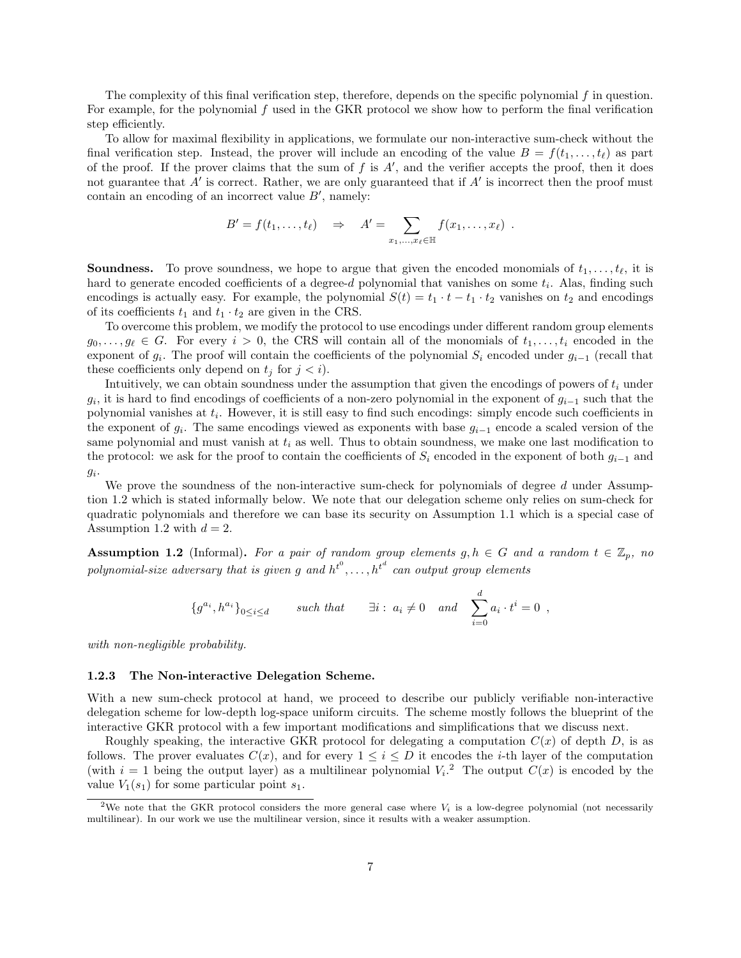The complexity of this final verification step, therefore, depends on the specific polynomial f in question. For example, for the polynomial  $f$  used in the GKR protocol we show how to perform the final verification step efficiently.

To allow for maximal flexibility in applications, we formulate our non-interactive sum-check without the final verification step. Instead, the prover will include an encoding of the value  $B = f(t_1, \ldots, t_\ell)$  as part of the proof. If the prover claims that the sum of  $f$  is  $A'$ , and the verifier accepts the proof, then it does not guarantee that  $A'$  is correct. Rather, we are only guaranteed that if  $A'$  is incorrect then the proof must contain an encoding of an incorrect value  $B'$ , namely:

$$
B' = f(t_1,\ldots,t_\ell) \quad \Rightarrow \quad A' = \sum_{x_1,\ldots,x_\ell \in \mathbb{H}} f(x_1,\ldots,x_\ell) \; .
$$

**Soundness.** To prove soundness, we hope to argue that given the encoded monomials of  $t_1, \ldots, t_\ell$ , it is hard to generate encoded coefficients of a degree-d polynomial that vanishes on some  $t_i$ . Alas, finding such encodings is actually easy. For example, the polynomial  $S(t) = t_1 \cdot t - t_1 \cdot t_2$  vanishes on  $t_2$  and encodings of its coefficients  $t_1$  and  $t_1 \cdot t_2$  are given in the CRS.

To overcome this problem, we modify the protocol to use encodings under different random group elements  $g_0, \ldots, g_\ell \in G$ . For every  $i > 0$ , the CRS will contain all of the monomials of  $t_1, \ldots, t_i$  encoded in the exponent of  $g_i$ . The proof will contain the coefficients of the polynomial  $S_i$  encoded under  $g_{i-1}$  (recall that these coefficients only depend on  $t_i$  for  $j < i$ ).

Intuitively, we can obtain soundness under the assumption that given the encodings of powers of  $t_i$  under  $g_i$ , it is hard to find encodings of coefficients of a non-zero polynomial in the exponent of  $g_{i-1}$  such that the polynomial vanishes at  $t_i$ . However, it is still easy to find such encodings: simply encode such coefficients in the exponent of  $g_i$ . The same encodings viewed as exponents with base  $g_{i-1}$  encode a scaled version of the same polynomial and must vanish at  $t_i$  as well. Thus to obtain soundness, we make one last modification to the protocol: we ask for the proof to contain the coefficients of  $S_i$  encoded in the exponent of both  $g_{i-1}$  and  $g_i$ .

We prove the soundness of the non-interactive sum-check for polynomials of degree d under Assumption [1.2](#page-6-1) which is stated informally below. We note that our delegation scheme only relies on sum-check for quadratic polynomials and therefore we can base its security on Assumption [1.1](#page-3-2) which is a special case of Assumption [1.2](#page-6-1) with  $d = 2$ .

<span id="page-6-1"></span>**Assumption 1.2** (Informal). For a pair of random group elements  $g, h \in G$  and a random  $t \in \mathbb{Z}_p$ , no polynomial-size adversary that is given g and  $h^{t^0}, \ldots, h^{t^d}$  can output group elements

$$
\{g^{a_i}, h^{a_i}\}_{0 \le i \le d} \qquad \text{such that} \qquad \exists i: a_i \neq 0 \quad \text{and} \quad \sum_{i=0}^d a_i \cdot t^i = 0 ,
$$

with non-negligible probability.

#### <span id="page-6-0"></span>1.2.3 The Non-interactive Delegation Scheme.

With a new sum-check protocol at hand, we proceed to describe our publicly verifiable non-interactive delegation scheme for low-depth log-space uniform circuits. The scheme mostly follows the blueprint of the interactive GKR protocol with a few important modifications and simplifications that we discuss next.

Roughly speaking, the interactive GKR protocol for delegating a computation  $C(x)$  of depth D, is as follows. The prover evaluates  $C(x)$ , and for every  $1 \leq i \leq D$  it encodes the *i*-th layer of the computation (with  $i = 1$  being the output layer) as a multilinear polynomial  $V_i$ <sup>[2](#page-6-2)</sup>. The output  $C(x)$  is encoded by the value  $V_1(s_1)$  for some particular point  $s_1$ .

<span id="page-6-2"></span><sup>&</sup>lt;sup>2</sup>We note that the GKR protocol considers the more general case where  $V_i$  is a low-degree polynomial (not necessarily multilinear). In our work we use the multilinear version, since it results with a weaker assumption.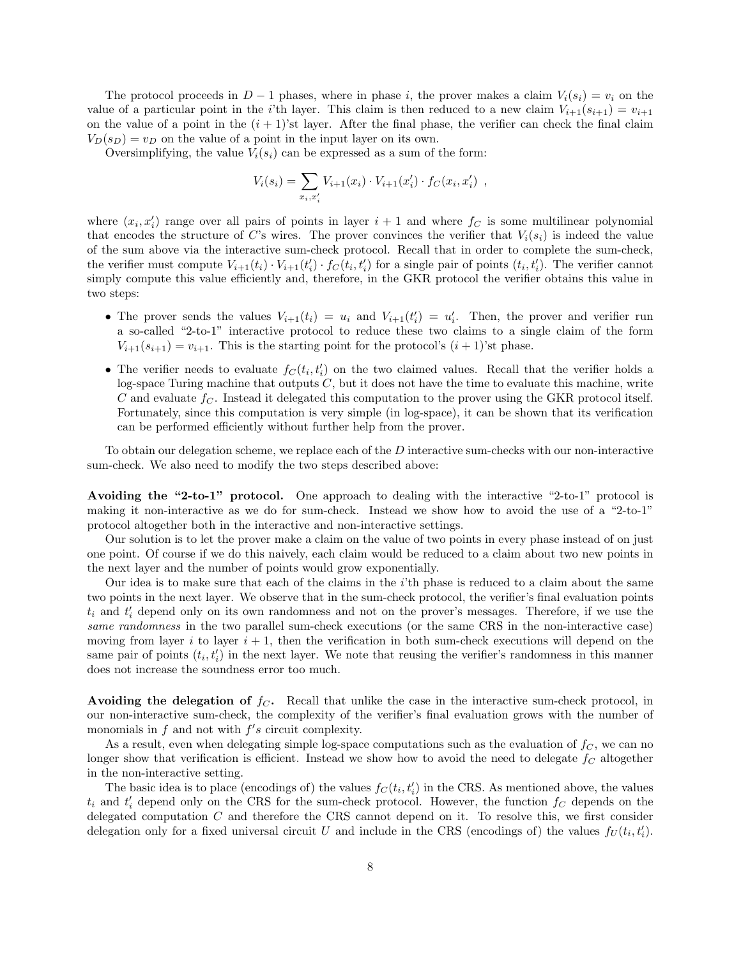The protocol proceeds in  $D-1$  phases, where in phase i, the prover makes a claim  $V_i(s_i) = v_i$  on the value of a particular point in the i'th layer. This claim is then reduced to a new claim  $V_{i+1}(s_{i+1}) = v_{i+1}$ on the value of a point in the  $(i + 1)$ 'st layer. After the final phase, the verifier can check the final claim  $V_D(s_D) = v_D$  on the value of a point in the input layer on its own.

Oversimplifying, the value  $V_i(s_i)$  can be expressed as a sum of the form:

$$
V_i(s_i) = \sum_{x_i, x'_i} V_{i+1}(x_i) \cdot V_{i+1}(x'_i) \cdot f_C(x_i, x'_i) ,
$$

where  $(x_i, x'_i)$  range over all pairs of points in layer  $i + 1$  and where  $f_C$  is some multilinear polynomial that encodes the structure of C's wires. The prover convinces the verifier that  $V_i(s_i)$  is indeed the value of the sum above via the interactive sum-check protocol. Recall that in order to complete the sum-check, the verifier must compute  $V_{i+1}(t_i) \cdot V_{i+1}(t_i') \cdot f_C(t_i, t_i')$  for a single pair of points  $(t_i, t_i')$ . The verifier cannot simply compute this value efficiently and, therefore, in the GKR protocol the verifier obtains this value in two steps:

- The prover sends the values  $V_{i+1}(t_i) = u_i$  and  $V_{i+1}(t_i') = u_i'$ . Then, the prover and verifier run a so-called "2-to-1" interactive protocol to reduce these two claims to a single claim of the form  $V_{i+1}(s_{i+1}) = v_{i+1}$ . This is the starting point for the protocol's  $(i + 1)$ 'st phase.
- The verifier needs to evaluate  $f_C(t_i, t'_i)$  on the two claimed values. Recall that the verifier holds a log-space Turing machine that outputs  $C$ , but it does not have the time to evaluate this machine, write C and evaluate  $f_C$ . Instead it delegated this computation to the prover using the GKR protocol itself. Fortunately, since this computation is very simple (in log-space), it can be shown that its verification can be performed efficiently without further help from the prover.

To obtain our delegation scheme, we replace each of the D interactive sum-checks with our non-interactive sum-check. We also need to modify the two steps described above:

Avoiding the "2-to-1" protocol. One approach to dealing with the interactive "2-to-1" protocol is making it non-interactive as we do for sum-check. Instead we show how to avoid the use of a "2-to-1" protocol altogether both in the interactive and non-interactive settings.

Our solution is to let the prover make a claim on the value of two points in every phase instead of on just one point. Of course if we do this naively, each claim would be reduced to a claim about two new points in the next layer and the number of points would grow exponentially.

Our idea is to make sure that each of the claims in the i'th phase is reduced to a claim about the same two points in the next layer. We observe that in the sum-check protocol, the verifier's final evaluation points  $t_i$  and  $t'_i$  depend only on its own randomness and not on the prover's messages. Therefore, if we use the same randomness in the two parallel sum-check executions (or the same CRS in the non-interactive case) moving from layer i to layer  $i + 1$ , then the verification in both sum-check executions will depend on the same pair of points  $(t_i, t'_i)$  in the next layer. We note that reusing the verifier's randomness in this manner does not increase the soundness error too much.

Avoiding the delegation of  $f_C$ . Recall that unlike the case in the interactive sum-check protocol, in our non-interactive sum-check, the complexity of the verifier's final evaluation grows with the number of monomials in  $f$  and not with  $f's$  circuit complexity.

As a result, even when delegating simple log-space computations such as the evaluation of  $f_C$ , we can no longer show that verification is efficient. Instead we show how to avoid the need to delegate  $f_C$  altogether in the non-interactive setting.

The basic idea is to place (encodings of) the values  $f_C(t_i, t'_i)$  in the CRS. As mentioned above, the values  $t_i$  and  $t'_i$  depend only on the CRS for the sum-check protocol. However, the function  $f_C$  depends on the delegated computation C and therefore the CRS cannot depend on it. To resolve this, we first consider delegation only for a fixed universal circuit U and include in the CRS (encodings of) the values  $f_U(t_i, t'_i)$ .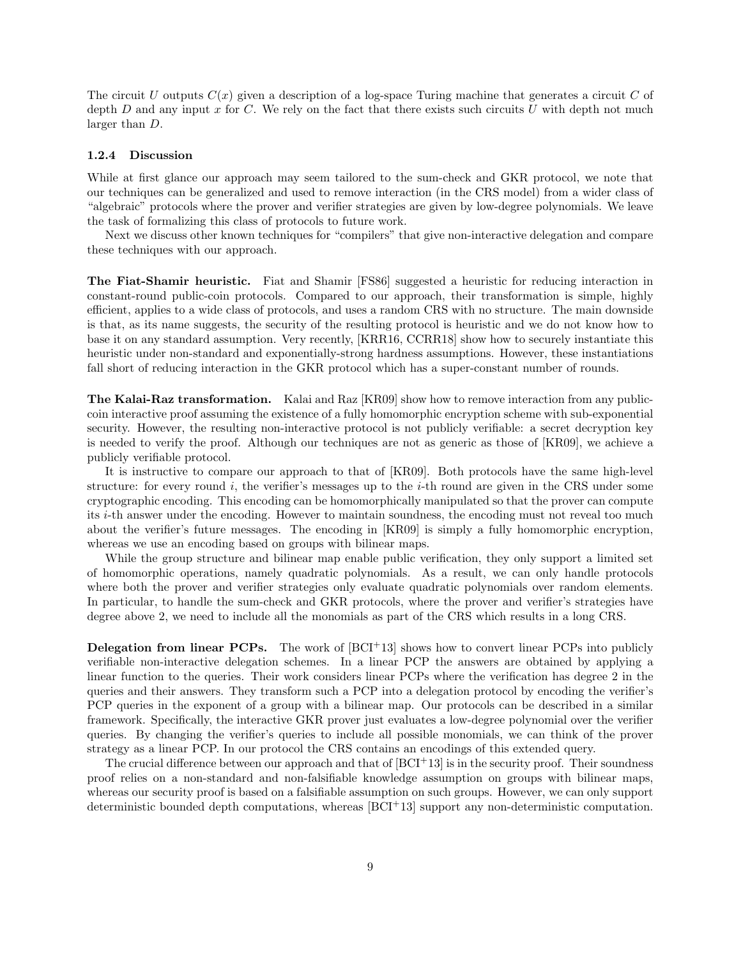The circuit U outputs  $C(x)$  given a description of a log-space Turing machine that generates a circuit C of depth D and any input  $x$  for  $C$ . We rely on the fact that there exists such circuits  $U$  with depth not much larger than D.

#### <span id="page-8-0"></span>1.2.4 Discussion

While at first glance our approach may seem tailored to the sum-check and GKR protocol, we note that our techniques can be generalized and used to remove interaction (in the CRS model) from a wider class of "algebraic" protocols where the prover and verifier strategies are given by low-degree polynomials. We leave the task of formalizing this class of protocols to future work.

Next we discuss other known techniques for "compilers" that give non-interactive delegation and compare these techniques with our approach.

The Fiat-Shamir heuristic. Fiat and Shamir [\[FS86\]](#page-31-13) suggested a heuristic for reducing interaction in constant-round public-coin protocols. Compared to our approach, their transformation is simple, highly efficient, applies to a wide class of protocols, and uses a random CRS with no structure. The main downside is that, as its name suggests, the security of the resulting protocol is heuristic and we do not know how to base it on any standard assumption. Very recently, [\[KRR16,](#page-32-12) [CCRR18\]](#page-31-14) show how to securely instantiate this heuristic under non-standard and exponentially-strong hardness assumptions. However, these instantiations fall short of reducing interaction in the GKR protocol which has a super-constant number of rounds.

The Kalai-Raz transformation. Kalai and Raz [\[KR09\]](#page-32-13) show how to remove interaction from any publiccoin interactive proof assuming the existence of a fully homomorphic encryption scheme with sub-exponential security. However, the resulting non-interactive protocol is not publicly verifiable: a secret decryption key is needed to verify the proof. Although our techniques are not as generic as those of [\[KR09\]](#page-32-13), we achieve a publicly verifiable protocol.

It is instructive to compare our approach to that of [\[KR09\]](#page-32-13). Both protocols have the same high-level structure: for every round  $i$ , the verifier's messages up to the  $i$ -th round are given in the CRS under some cryptographic encoding. This encoding can be homomorphically manipulated so that the prover can compute its i-th answer under the encoding. However to maintain soundness, the encoding must not reveal too much about the verifier's future messages. The encoding in [\[KR09\]](#page-32-13) is simply a fully homomorphic encryption, whereas we use an encoding based on groups with bilinear maps.

While the group structure and bilinear map enable public verification, they only support a limited set of homomorphic operations, namely quadratic polynomials. As a result, we can only handle protocols where both the prover and verifier strategies only evaluate quadratic polynomials over random elements. In particular, to handle the sum-check and GKR protocols, where the prover and verifier's strategies have degree above 2, we need to include all the monomials as part of the CRS which results in a long CRS.

**Delegation from linear PCPs.** The work of  $[BCI^+13]$  $[BCI^+13]$  shows how to convert linear PCPs into publicly verifiable non-interactive delegation schemes. In a linear PCP the answers are obtained by applying a linear function to the queries. Their work considers linear PCPs where the verification has degree 2 in the queries and their answers. They transform such a PCP into a delegation protocol by encoding the verifier's PCP queries in the exponent of a group with a bilinear map. Our protocols can be described in a similar framework. Specifically, the interactive GKR prover just evaluates a low-degree polynomial over the verifier queries. By changing the verifier's queries to include all possible monomials, we can think of the prover strategy as a linear PCP. In our protocol the CRS contains an encodings of this extended query.

The crucial difference between our approach and that of  $|BCI^+13|$  is in the security proof. Their soundness proof relies on a non-standard and non-falsifiable knowledge assumption on groups with bilinear maps, whereas our security proof is based on a falsifiable assumption on such groups. However, we can only support deterministic bounded depth computations, whereas  $|BCI+13|$  support any non-deterministic computation.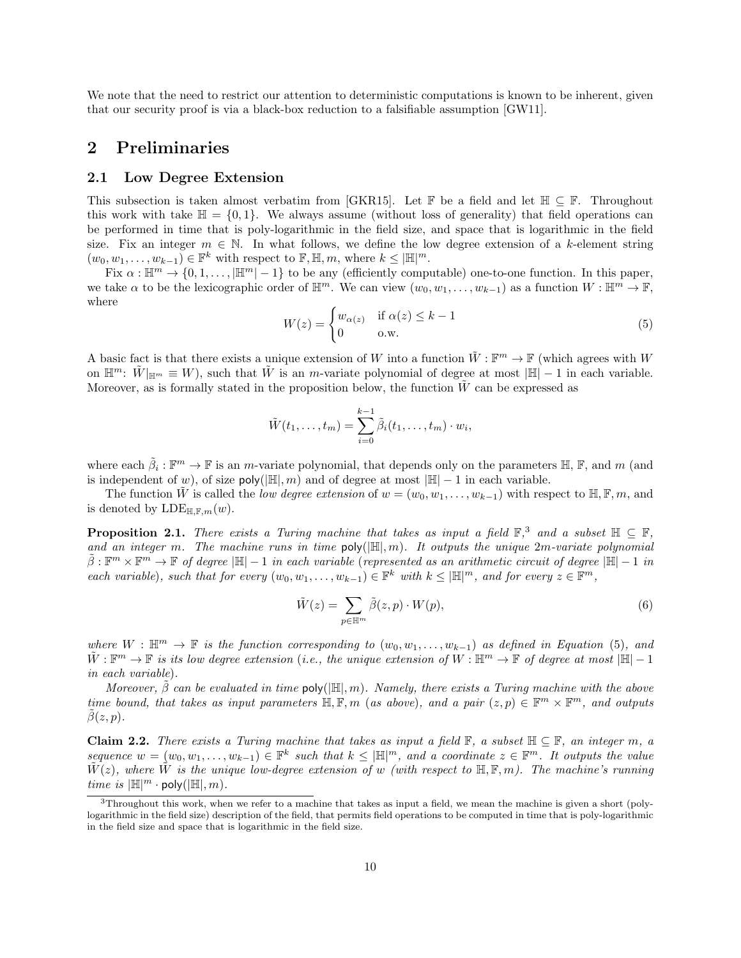We note that the need to restrict our attention to deterministic computations is known to be inherent, given that our security proof is via a black-box reduction to a falsifiable assumption [\[GW11\]](#page-31-15).

### <span id="page-9-0"></span>2 Preliminaries

### <span id="page-9-1"></span>2.1 Low Degree Extension

This subsection is taken almost verbatim from [\[GKR15\]](#page-31-12). Let  $\mathbb{F}$  be a field and let  $\mathbb{H} \subseteq \mathbb{F}$ . Throughout this work with take  $\mathbb{H} = \{0, 1\}$ . We always assume (without loss of generality) that field operations can be performed in time that is poly-logarithmic in the field size, and space that is logarithmic in the field size. Fix an integer  $m \in \mathbb{N}$ . In what follows, we define the low degree extension of a k-element string  $(w_0, w_1, \ldots, w_{k-1}) \in \mathbb{F}^k$  with respect to  $\mathbb{F}, \mathbb{H}, m$ , where  $k \leq |\mathbb{H}|^m$ .

Fix  $\alpha : \mathbb{H}^m \to \{0, 1, \ldots, |\mathbb{H}^m| - 1\}$  to be any (efficiently computable) one-to-one function. In this paper, we take  $\alpha$  to be the lexicographic order of  $\mathbb{H}^m$ . We can view  $(w_0, w_1, \ldots, w_{k-1})$  as a function  $W : \mathbb{H}^m \to \mathbb{F}$ , where

<span id="page-9-3"></span>
$$
W(z) = \begin{cases} w_{\alpha(z)} & \text{if } \alpha(z) \le k - 1 \\ 0 & \text{o.w.} \end{cases}
$$
 (5)

A basic fact is that there exists a unique extension of W into a function  $\tilde{W}$ :  $\mathbb{F}^m \to \mathbb{F}$  (which agrees with W on  $\mathbb{H}^m$ :  $\tilde{W}|_{\mathbb{H}^m} \equiv W$ , such that  $\tilde{W}$  is an m-variate polynomial of degree at most  $|\mathbb{H}| - 1$  in each variable. Moreover, as is formally stated in the proposition below, the function  $W$  can be expressed as

$$
\tilde{W}(t_1,\ldots,t_m)=\sum_{i=0}^{k-1}\tilde{\beta}_i(t_1,\ldots,t_m)\cdot w_i,
$$

where each  $\tilde{\beta}_i : \mathbb{F}^m \to \mathbb{F}$  is an m-variate polynomial, that depends only on the parameters  $\mathbb{H}, \mathbb{F}$ , and m (and is independent of w), of size  $poly(\mathbb{H}, m)$  and of degree at most  $|\mathbb{H}| - 1$  in each variable.

The function W is called the low degree extension of  $w = (w_0, w_1, \ldots, w_{k-1})$  with respect to  $\mathbb{H}, \mathbb{F}, m$ , and is denoted by  $\text{LDE}_{\mathbb{H},\mathbb{F},m}(w)$ .

<span id="page-9-4"></span>**Proposition 2.1.** There exists a Turing machine that takes as input a field  $\mathbb{F}^3$  $\mathbb{F}^3$ , and a subset  $\mathbb{H} \subseteq \mathbb{F}$ , and an integer m. The machine runs in time  $poly(|\mathbb{H}|, m)$ . It outputs the unique  $2m$ -variate polynomial  $\tilde{\beta}: \mathbb{F}^m \times \mathbb{F}^m \to \mathbb{F}$  of degree  $|\mathbb{H}| - 1$  in each variable (represented as an arithmetic circuit of degree  $|\mathbb{H}| - 1$  in each variable), such that for every  $(w_0, w_1, \ldots, w_{k-1}) \in \mathbb{F}^k$  with  $k \leq |\mathbb{H}|^m$ , and for every  $z \in \mathbb{F}^m$ ,

$$
\tilde{W}(z) = \sum_{p \in \mathbb{H}^m} \tilde{\beta}(z, p) \cdot W(p),\tag{6}
$$

where  $W : \mathbb{H}^m \to \mathbb{F}$  is the function corresponding to  $(w_0, w_1, \ldots, w_{k-1})$  as defined in Equation [\(5\)](#page-9-3), and  $\tilde{W}: \mathbb{F}^m \to \mathbb{F}$  is its low degree extension (i.e., the unique extension of  $W: \mathbb{H}^m \to \mathbb{F}$  of degree at most  $|\mathbb{H}| - 1$ in each variable).

Moreover,  $\hat{\beta}$  can be evaluated in time poly( $|\mathbb{H}|, m$ ). Namely, there exists a Turing machine with the above time bound, that takes as input parameters  $\mathbb{H}, \mathbb{F}, m$  (as above), and a pair  $(z, p) \in \mathbb{F}^m \times \mathbb{F}^m$ , and outputs  $\beta(z, p)$ .

**Claim 2.2.** There exists a Turing machine that takes as input a field  $\mathbb{F}$ , a subset  $\mathbb{H} \subseteq \mathbb{F}$ , an integer m, a sequence  $w = (w_0, w_1, \ldots, w_{k-1}) \in \mathbb{F}^k$  such that  $k \leq |\mathbb{H}|^m$ , and a coordinate  $z \in \mathbb{F}^m$ . It outputs the value  $W(z)$ , where W is the unique low-degree extension of w (with respect to  $\mathbb{H}, \mathbb{F}, m$ ). The machine's running time is  $|\mathbb{H}|^m \cdot \text{poly}(|\mathbb{H}|, m)$ .

<span id="page-9-2"></span><sup>3</sup>Throughout this work, when we refer to a machine that takes as input a field, we mean the machine is given a short (polylogarithmic in the field size) description of the field, that permits field operations to be computed in time that is poly-logarithmic in the field size and space that is logarithmic in the field size.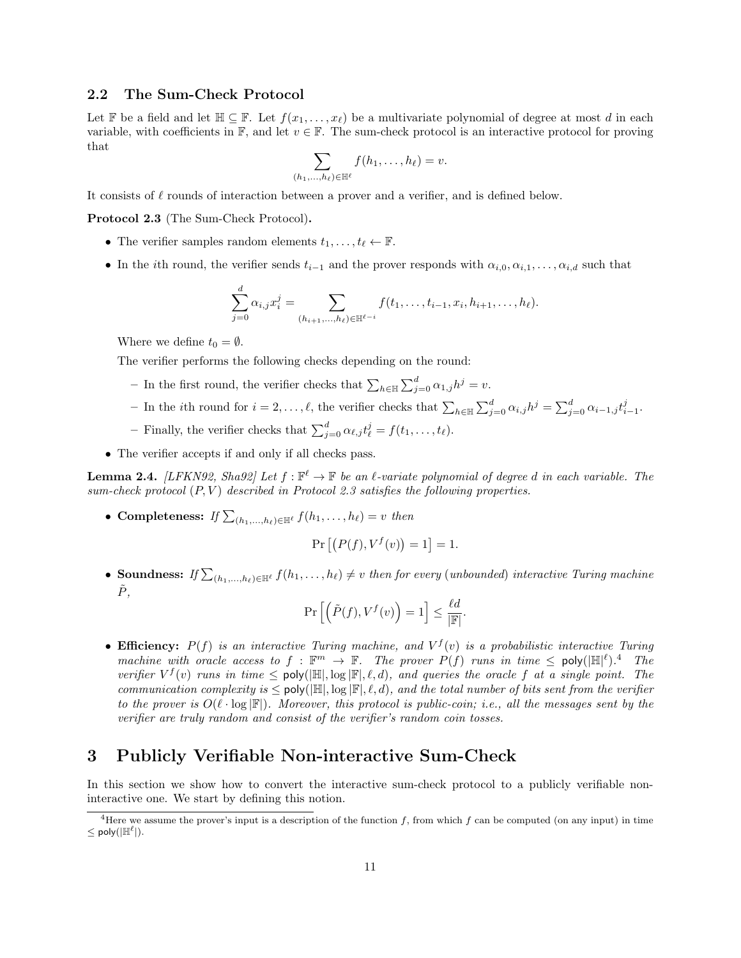### <span id="page-10-0"></span>2.2 The Sum-Check Protocol

Let F be a field and let  $\mathbb{H} \subseteq \mathbb{F}$ . Let  $f(x_1, \ldots, x_\ell)$  be a multivariate polynomial of degree at most d in each variable, with coefficients in  $\mathbb{F}$ , and let  $v \in \mathbb{F}$ . The sum-check protocol is an interactive protocol for proving that

$$
\sum_{(h_1,\ldots,h_\ell)\in\mathbb{H}^\ell} f(h_1,\ldots,h_\ell)=v.
$$

<span id="page-10-2"></span>It consists of  $\ell$  rounds of interaction between a prover and a verifier, and is defined below.

Protocol 2.3 (The Sum-Check Protocol).

- The verifier samples random elements  $t_1, \ldots, t_\ell \leftarrow \mathbb{F}$ .
- In the *i*th round, the verifier sends  $t_{i-1}$  and the prover responds with  $\alpha_{i,0}, \alpha_{i,1}, \ldots, \alpha_{i,d}$  such that

$$
\sum_{j=0}^d \alpha_{i,j} x_i^j = \sum_{(h_{i+1},...,h_\ell) \in \mathbb{H}^{\ell-i}} f(t_1,...,t_{i-1},x_i,h_{i+1},...,h_\ell).
$$

Where we define  $t_0 = \emptyset$ .

The verifier performs the following checks depending on the round:

- − In the first round, the verifier checks that  $\sum_{h \in \mathbb{H}} \sum_{j=0}^{d} \alpha_{1,j} h^j = v$ .
- − In the *i*th round for  $i = 2, ..., \ell$ , the verifier checks that  $\sum_{h \in \mathbb{H}} \sum_{j=0}^{d} \alpha_{i,j} h^j = \sum_{j=0}^{d} \alpha_{i-1,j} t_{i-1}^j$ .
- Finally, the verifier checks that  $\sum_{j=0}^{d} \alpha_{\ell,j} t_{\ell}^{j} = f(t_1, \ldots, t_{\ell}).$
- The verifier accepts if and only if all checks pass.

<span id="page-10-4"></span>**Lemma 2.4.** [\[LFKN92,](#page-32-11) [Sha92\]](#page-32-14) Let  $f : \mathbb{F}^{\ell} \to \mathbb{F}$  be an  $\ell$ -variate polynomial of degree d in each variable. The sum-check protocol  $(P, V)$  described in Protocol [2.3](#page-10-2) satisfies the following properties.

• Completeness: If  $\sum_{(h_1,\ldots,h_\ell)\in\mathbb{H}^\ell} f(h_1,\ldots,h_\ell) = v$  then

$$
\Pr\left[\left(P(f), V^f(v)\right) = 1\right] = 1.
$$

• Soundness: If  $\sum_{(h_1,...,h_\ell)\in\mathbb{H}^\ell}f(h_1,...,h_\ell)\neq v$  then for every (unbounded) interactive Turing machine  $\tilde{P},$ 

$$
\Pr\left[\left(\tilde{P}(f),V^f(v)\right)=1\right]\leq \frac{\ell d}{|\mathbb{F}|}.
$$

• Efficiency:  $P(f)$  is an interactive Turing machine, and  $V^f(v)$  is a probabilistic interactive Turing machine with oracle access to  $f : \mathbb{F}^m \to \mathbb{F}$ . The prover  $P(f)$  runs in time  $\leq$  poly $(\mathbb{H}^{\lvert \ell})^4$  $(\mathbb{H}^{\lvert \ell})^4$ . The verifier  $V^f(v)$  runs in time  $\leq$  poly( $|\mathbb{H}|$ , log  $|\mathbb{F}|$ ,  $\ell$ ,  $d$ ), and queries the oracle f at a single point. The communication complexity is  $\leq$  poly( $\mathbb{H}, \log \mathbb{F}, \ell, d$ ), and the total number of bits sent from the verifier to the prover is  $O(\ell \cdot \log |\mathbb{F}|)$ . Moreover, this protocol is public-coin; i.e., all the messages sent by the verifier are truly random and consist of the verifier's random coin tosses.

### <span id="page-10-1"></span>3 Publicly Verifiable Non-interactive Sum-Check

In this section we show how to convert the interactive sum-check protocol to a publicly verifiable noninteractive one. We start by defining this notion.

<span id="page-10-3"></span><sup>&</sup>lt;sup>4</sup>Here we assume the prover's input is a description of the function f, from which f can be computed (on any input) in time  $\leq$  poly( $|\mathbb{H}^{\ell}|$ ).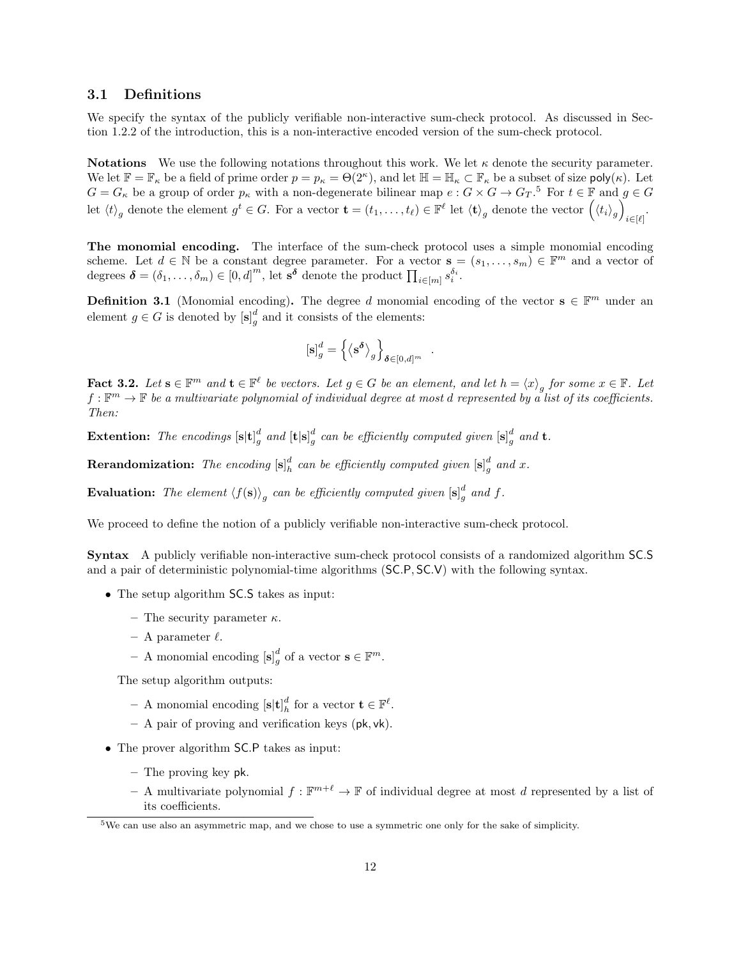### <span id="page-11-0"></span>3.1 Definitions

We specify the syntax of the publicly verifiable non-interactive sum-check protocol. As discussed in Section [1.2.2](#page-5-0) of the introduction, this is a non-interactive encoded version of the sum-check protocol.

**Notations** We use the following notations throughout this work. We let  $\kappa$  denote the security parameter. We let  $\mathbb{F} = \mathbb{F}_{\kappa}$  be a field of prime order  $p = p_{\kappa} = \Theta(2^{\kappa})$ , and let  $\mathbb{H} = \mathbb{H}_{\kappa} \subset \mathbb{F}_{\kappa}$  be a subset of size poly $(\kappa)$ . Let  $G = G_{\kappa}$  be a group of order  $p_{\kappa}$  with a non-degenerate bilinear map  $e : G \times G \to G_T$ .<sup>[5](#page-11-1)</sup> For  $t \in \mathbb{F}$  and  $g \in G$ let  $\langle t \rangle_g$  denote the element  $g^t \in G$ . For a vector  $\mathbf{t} = (t_1, \ldots, t_\ell) \in \mathbb{F}^\ell$  let  $\langle \mathbf{t} \rangle_g$  denote the vector  $(\langle t_i \rangle_g)$  $i \in [\ell]$ 

The monomial encoding. The interface of the sum-check protocol uses a simple monomial encoding scheme. Let  $d \in \mathbb{N}$  be a constant degree parameter. For a vector  $\mathbf{s} = (s_1, \ldots, s_m) \in \mathbb{F}^m$  and a vector of degrees  $\boldsymbol{\delta} = (\delta_1, \ldots, \delta_m) \in [0, d]^m$ , let  $\mathbf{s}^{\boldsymbol{\delta}}$  denote the product  $\prod_{i \in [m]} s_i^{\delta_i}$ .

**Definition 3.1** (Monomial encoding). The degree d monomial encoding of the vector  $\mathbf{s} \in \mathbb{F}^m$  under an element  $g \in G$  is denoted by  $[\mathbf{s}]_g^d$  and it consists of the elements:

$$
\left[\mathbf{s}\right]_g^d = \left\{\left\langle \mathbf{s}^{\boldsymbol{\delta}}\right\rangle_g \right\}_{\boldsymbol{\delta} \in [0,d]^m}
$$

.

<span id="page-11-2"></span>**Fact 3.2.** Let  $\mathbf{s} \in \mathbb{F}^m$  and  $\mathbf{t} \in \mathbb{F}^{\ell}$  be vectors. Let  $g \in G$  be an element, and let  $h = \langle x \rangle_g$  for some  $x \in \mathbb{F}$ . Let  $f:\mathbb{F}^m\to\mathbb{F}$  be a multivariate polynomial of individual degree at most d represented by a list of its coefficients. Then:

**Extention:** The encodings  $[\mathbf{s}|\mathbf{t}]_g^d$  and  $[\mathbf{t}|\mathbf{s}]_g^d$  can be efficiently computed given  $[\mathbf{s}]_g^d$  and  $\mathbf{t}$ .

**Rerandomization:** The encoding  $[\mathbf{s}]_h^d$  can be efficiently computed given  $[\mathbf{s}]_g^d$  and x.

**Evaluation:** The element  $\langle f(\mathbf{s}) \rangle_g$  can be efficiently computed given  $[\mathbf{s}]_g^d$  and f.

We proceed to define the notion of a publicly verifiable non-interactive sum-check protocol.

Syntax A publicly verifiable non-interactive sum-check protocol consists of a randomized algorithm SC.S and a pair of deterministic polynomial-time algorithms (SC.P, SC.V) with the following syntax.

- The setup algorithm **SC.S** takes as input:
	- The security parameter  $\kappa$ .
	- A parameter  $\ell$ .
	- A monomial encoding  $[\mathbf{s}]_g^d$  of a vector  $\mathbf{s} \in \mathbb{F}^m$ .

The setup algorithm outputs:

- A monomial encoding  $[\mathbf{s}|\mathbf{t}]_h^d$  for a vector  $\mathbf{t} \in \mathbb{F}^{\ell}$ .
- A pair of proving and verification keys (pk, vk).
- The prover algorithm **SC.P** takes as input:
	- The proving key pk.
	- A multivariate polynomial  $f : \mathbb{F}^{m+\ell} \to \mathbb{F}$  of individual degree at most d represented by a list of its coefficients.

<span id="page-11-1"></span><sup>5</sup>We can use also an asymmetric map, and we chose to use a symmetric one only for the sake of simplicity.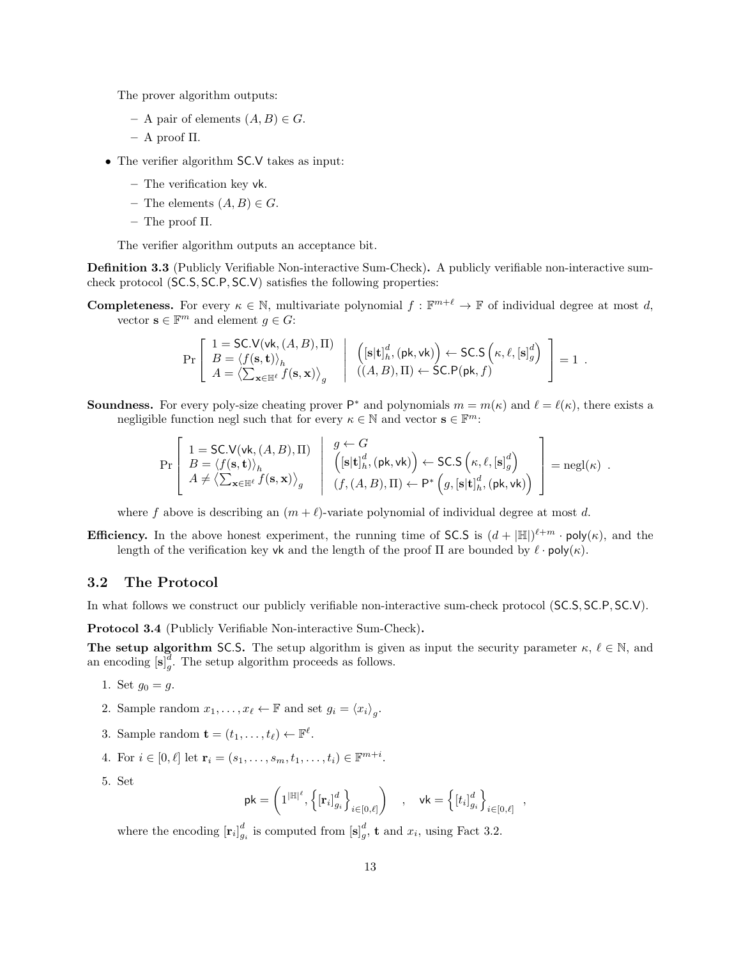The prover algorithm outputs:

- A pair of elements  $(A, B) \in G$ .
- A proof Π.
- The verifier algorithm **SC.V** takes as input:
	- The verification key vk.
	- The elements  $(A, B) \in G$ .
	- The proof Π.

The verifier algorithm outputs an acceptance bit.

<span id="page-12-2"></span>Definition 3.3 (Publicly Verifiable Non-interactive Sum-Check). A publicly verifiable non-interactive sumcheck protocol (SC.S, SC.P, SC.V) satisfies the following properties:

**Completeness.** For every  $\kappa \in \mathbb{N}$ , multivariate polynomial  $f : \mathbb{F}^{m+\ell} \to \mathbb{F}$  of individual degree at most d, vector  $\mathbf{s} \in \mathbb{F}^m$  and element  $g \in G$ :

$$
\Pr\left[\begin{array}{l}1=\textsf{SC.V}(\textsf{vk},(A,B),\Pi)\\ B=\langle f(\mathbf{s},\mathbf{t})\rangle_h\\ A=\langle\sum_{\mathbf{x}\in\mathbb{H}^{\ell}}f(\mathbf{s},\mathbf{x})\rangle_g\end{array}\middle|\begin{array}{l} \left([\mathbf{s}|\mathbf{t}]_h^d,(\mathsf{pk},\textsf{vk})\right)\leftarrow\textsf{SC.S}\left(\kappa,\ell, [\mathbf{s}]_g^d\right)\\ ((A,B),\Pi)\leftarrow\textsf{SC.P}(\mathsf{pk},f)\end{array}\right]=1.
$$

**Soundness.** For every poly-size cheating prover  $P^*$  and polynomials  $m = m(\kappa)$  and  $\ell = \ell(\kappa)$ , there exists a negligible function negl such that for every  $\kappa \in \mathbb{N}$  and vector  $\mathbf{s} \in \mathbb{F}^m$ :

$$
\Pr\left[\begin{array}{l}1=\textsf{SC.V}(\textsf{vk},(A,B),\Pi)\\B=\langle f(\mathbf{s},\mathbf{t})\rangle_{h}\\A\neq \langle\sum_{\mathbf{x}\in \mathbb{H}^{\ell}}f(\mathbf{s},\mathbf{x})\rangle_{g}\end{array}\middle|\begin{array}{l}g\leftarrow G\\\left([\mathbf{s}|\mathbf{t}]_{h}^{d},(\mathsf{pk},\mathsf{vk})\right)\leftarrow \textsf{SC.S}\left(\kappa,\ell, [\mathbf{s}]_{g}^{d}\right)\\(f,(A,B),\Pi)\leftarrow \mathsf{P}^{*}\left(g,[\mathbf{s}|\mathbf{t}]_{h}^{d},(\mathsf{pk},\mathsf{vk})\right)\end{array}\right]=\textsf{negl}(\kappa)\enspace .
$$

where f above is describing an  $(m + \ell)$ -variate polynomial of individual degree at most d.

**Efficiency.** In the above honest experiment, the running time of SC.S is  $(d + |\mathbb{H}|)^{\ell+m} \cdot \text{poly}(\kappa)$ , and the length of the verification key vk and the length of the proof  $\Pi$  are bounded by  $\ell \cdot \text{poly}(\kappa)$ .

### <span id="page-12-0"></span>3.2 The Protocol

In what follows we construct our publicly verifiable non-interactive sum-check protocol (SC.S, SC.P, SC.V).

<span id="page-12-1"></span>Protocol 3.4 (Publicly Verifiable Non-interactive Sum-Check).

**The setup algorithm SC.S.** The setup algorithm is given as input the security parameter  $\kappa, \ell \in \mathbb{N}$ , and an encoding  $[s]_g^d$ . The setup algorithm proceeds as follows.

- 1. Set  $g_0 = g$ .
- 2. Sample random  $x_1, \ldots, x_\ell \leftarrow \mathbb{F}$  and set  $g_i = \langle x_i \rangle_g$ .
- 3. Sample random  $\mathbf{t} = (t_1, \ldots, t_\ell) \leftarrow \mathbb{F}^\ell$ .
- 4. For  $i \in [0, \ell]$  let  $\mathbf{r}_i = (s_1, \ldots, s_m, t_1, \ldots, t_i) \in \mathbb{F}^{m+i}$ .
- 5. Set

$$
\mathsf{pk} = \left(1^{|\mathbb{H}|^\ell}, \left\{\left[\mathbf{r}_i\right]^d_{g_i}\right\}_{i \in [0,\ell]}\right) \quad, \quad \mathsf{vk} = \left\{\left[t_i\right]^d_{g_i}\right\}_{i \in [0,\ell]} \quad,
$$

where the encoding  $[\mathbf{r}_i]_{g_i}^d$  is computed from  $[\mathbf{s}]_g^d$ , **t** and  $x_i$ , using Fact [3.2.](#page-11-2)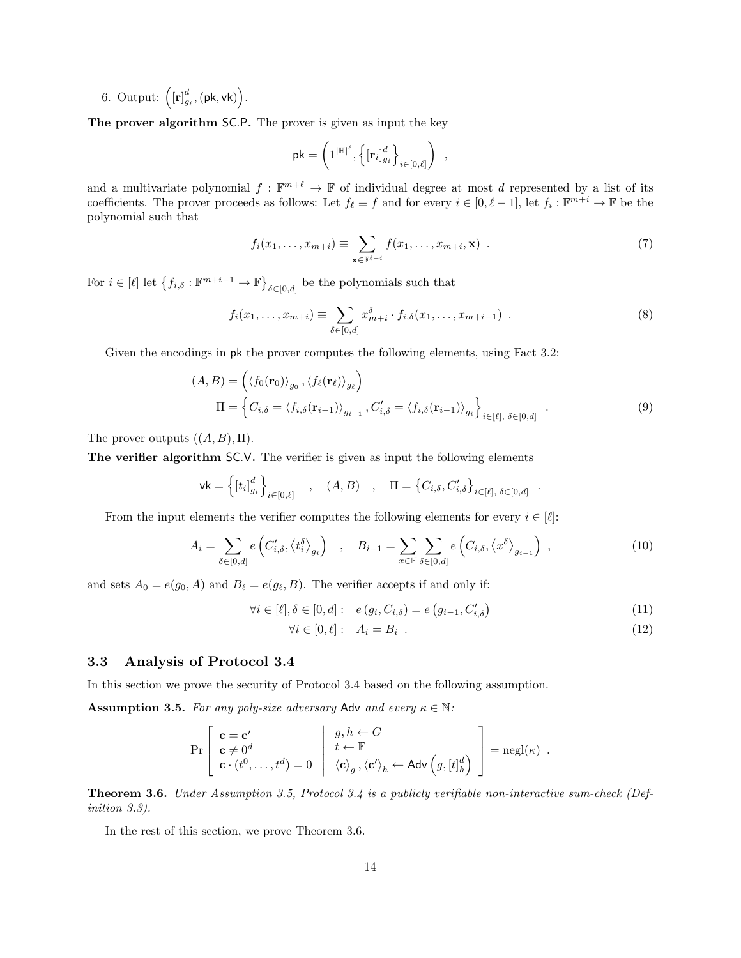6. Output:  $\left( [\mathbf{r}]_{g_{\ell}}^{d}, (\mathsf{pk}, \mathsf{vk}) \right)$ .

The prover algorithm SC.P. The prover is given as input the key

$$
\mathsf{pk} = \left(1^{|\mathbb{H}|^\ell}, \left\{\left[\mathbf{r}_i\right]_{g_i}^d\right\}_{i \in [0,\ell]}\right)
$$

and a multivariate polynomial  $f : \mathbb{F}^{m+\ell} \to \mathbb{F}$  of individual degree at most d represented by a list of its coefficients. The prover proceeds as follows: Let  $f_\ell \equiv f$  and for every  $i \in [0, \ell - 1]$ , let  $f_i : \mathbb{F}^{m+i} \to \mathbb{F}$  be the polynomial such that

$$
f_i(x_1,\ldots,x_{m+i}) \equiv \sum_{\mathbf{x}\in\mathbb{F}^{\ell-i}} f(x_1,\ldots,x_{m+i},\mathbf{x}) \quad . \tag{7}
$$

<span id="page-13-7"></span>,

For  $i \in [\ell]$  let  $\{f_{i,\delta} : \mathbb{F}^{m+i-1} \to \mathbb{F}\}_{\delta \in [0,d]}$  be the polynomials such that

$$
f_i(x_1,...,x_{m+i}) \equiv \sum_{\delta \in [0,d]} x_{m+i}^{\delta} \cdot f_{i,\delta}(x_1,...,x_{m+i-1}) \quad . \tag{8}
$$

Given the encodings in pk the prover computes the following elements, using Fact [3.2:](#page-11-2)

$$
(A, B) = \left( \langle f_0(\mathbf{r}_0) \rangle_{g_0}, \langle f_\ell(\mathbf{r}_\ell) \rangle_{g_\ell} \right)
$$
  

$$
\Pi = \left\{ C_{i, \delta} = \langle f_{i, \delta}(\mathbf{r}_{i-1}) \rangle_{g_{i-1}}, C'_{i, \delta} = \langle f_{i, \delta}(\mathbf{r}_{i-1}) \rangle_{g_i} \right\}_{i \in [\ell], \delta \in [0, d]}
$$
(9)

The prover outputs  $((A, B), \Pi)$ .

The verifier algorithm SC.V. The verifier is given as input the following elements

$$
\mathsf{vk} = \left\{ \left[t_i\right]_{g_i}^d \right\}_{i \in [0,\ell]} \quad , \quad (A,B) \quad , \quad \Pi = \left\{C_{i,\delta}, C'_{i,\delta}\right\}_{i \in [\ell], \delta \in [0,d]}
$$

From the input elements the verifier computes the following elements for every  $i \in [\ell]$ :

$$
A_i = \sum_{\delta \in [0,d]} e\left(C'_{i,\delta}, \langle t_i^{\delta} \rangle_{g_i}\right) , \quad B_{i-1} = \sum_{x \in \mathbb{H}} \sum_{\delta \in [0,d]} e\left(C_{i,\delta}, \langle x^{\delta} \rangle_{g_{i-1}}\right) , \tag{10}
$$

and sets  $A_0 = e(g_0, A)$  and  $B_\ell = e(g_\ell, B)$ . The verifier accepts if and only if:

$$
\forall i \in [\ell], \delta \in [0, d]: \quad e(g_i, C_{i, \delta}) = e(g_{i-1}, C'_{i, \delta}) \tag{11}
$$

$$
\forall i \in [0, \ell]: \quad A_i = B_i \tag{12}
$$

<span id="page-13-8"></span><span id="page-13-6"></span><span id="page-13-5"></span><span id="page-13-4"></span><span id="page-13-3"></span>.

### <span id="page-13-0"></span>3.3 Analysis of Protocol [3.4](#page-12-1)

<span id="page-13-1"></span>In this section we prove the security of Protocol [3.4](#page-12-1) based on the following assumption.

**Assumption 3.5.** For any poly-size adversary Adv and every  $\kappa \in \mathbb{N}$ :

$$
\Pr\left[\begin{array}{l}\mathbf{c} = \mathbf{c}'\\ \mathbf{c} \neq 0^d\\ \mathbf{c} \cdot (t^0, \ldots, t^d) = 0 \end{array} \middle| \begin{array}{l}g, h \leftarrow G\\ t \leftarrow \mathbb{F}\\ \langle \mathbf{c} \rangle_g, \langle \mathbf{c}' \rangle_h \leftarrow \mathsf{Adv}\left(g, [t]_h^d\right) \end{array}\right] = \mathrm{negl}(\kappa) \right].
$$

<span id="page-13-2"></span>Theorem 3.6. Under Assumption [3.5,](#page-13-1) Protocol [3.4](#page-12-1) is a publicly verifiable non-interactive sum-check (Definition [3.3\)](#page-12-2).

In the rest of this section, we prove Theorem [3.6.](#page-13-2)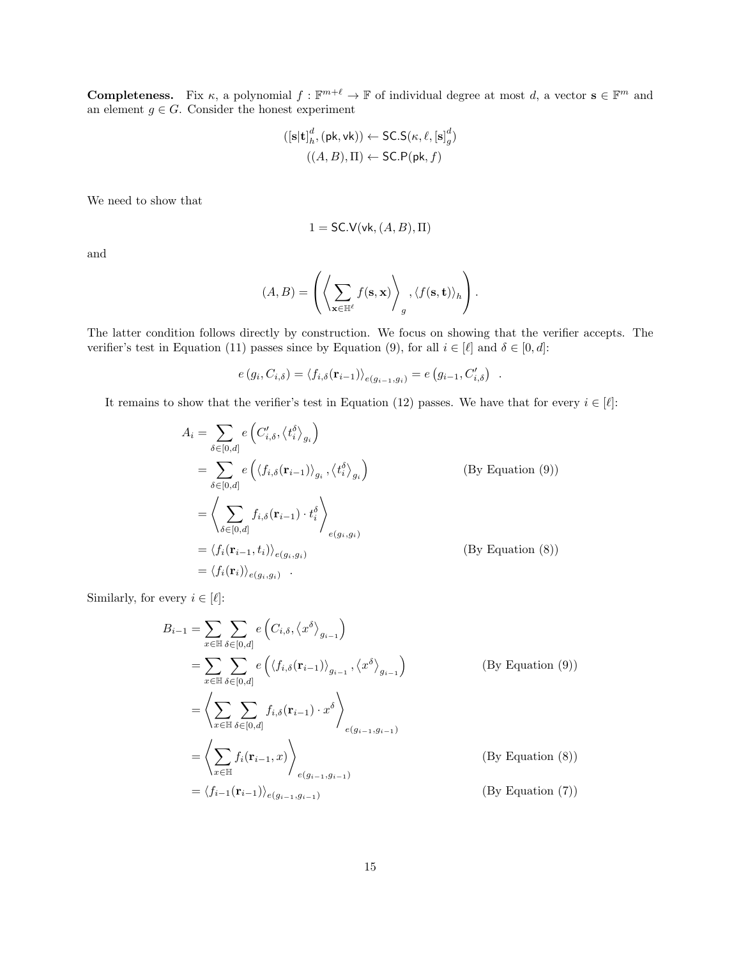**Completeness.** Fix  $\kappa$ , a polynomial  $f : \mathbb{F}^{m+\ell} \to \mathbb{F}$  of individual degree at most d, a vector  $\mathbf{s} \in \mathbb{F}^m$  and an element  $g \in G$ . Consider the honest experiment

$$
([\mathbf{s}|\mathbf{t}]_h^d, (\mathsf{pk}, \mathsf{vk})) \leftarrow \mathsf{SC.S}(\kappa, \ell, [\mathbf{s}]_g^d)
$$

$$
((A, B), \Pi) \leftarrow \mathsf{SC.P}(\mathsf{pk}, f)
$$

We need to show that

$$
1 = \mathsf{SC.V}(\mathsf{vk}, (A, B), \Pi)
$$

and

$$
(A, B) = \left( \left\langle \sum_{\mathbf{x} \in \mathbb{H}^{\ell}} f(\mathbf{s}, \mathbf{x}) \right\rangle_{g}, \left\langle f(\mathbf{s}, \mathbf{t}) \right\rangle_{h} \right).
$$

The latter condition follows directly by construction. We focus on showing that the verifier accepts. The verifier's test in Equation [\(11\)](#page-13-3) passes since by Equation [\(9\)](#page-13-4), for all  $i \in [\ell]$  and  $\delta \in [0, d]$ :

$$
e(g_i, C_{i,\delta}) = \langle f_{i,\delta}(\mathbf{r}_{i-1}) \rangle_{e(g_{i-1}, g_i)} = e(g_{i-1}, C'_{i,\delta}) .
$$

It remains to show that the verifier's test in Equation [\(12\)](#page-13-5) passes. We have that for every  $i \in [\ell]$ :

$$
A_{i} = \sum_{\delta \in [0,d]} e\left(C'_{i,\delta}, \langle t_{i}^{\delta}\rangle_{g_{i}}\right)
$$
  
\n
$$
= \sum_{\delta \in [0,d]} e\left(\langle f_{i,\delta}(\mathbf{r}_{i-1})\rangle_{g_{i}}, \langle t_{i}^{\delta}\rangle_{g_{i}}\right)
$$
  
\n
$$
= \left\langle \sum_{\delta \in [0,d]} f_{i,\delta}(\mathbf{r}_{i-1}) \cdot t_{i}^{\delta}\right\rangle_{e(g_{i},g_{i})}
$$
  
\n
$$
= \langle f_{i}(\mathbf{r}_{i-1}, t_{i})\rangle_{e(g_{i},g_{i})}
$$
  
\n
$$
= \langle f_{i}(\mathbf{r}_{i})\rangle_{e(g_{i},g_{i})}.
$$
  
\n(By Equation (8))  
\n
$$
= \langle f_{i}(\mathbf{r}_{i})\rangle_{e(g_{i},g_{i})}.
$$

Similarly, for every  $i \in [\ell]:$ 

$$
B_{i-1} = \sum_{x \in \mathbb{H}} \sum_{\delta \in [0,d]} e\left(C_{i,\delta}, \langle x^{\delta} \rangle_{g_{i-1}}\right)
$$
  
\n
$$
= \sum_{x \in \mathbb{H}} \sum_{\delta \in [0,d]} e\left(\langle f_{i,\delta}(\mathbf{r}_{i-1}) \rangle_{g_{i-1}}, \langle x^{\delta} \rangle_{g_{i-1}}\right)
$$
 (By Equation (9))  
\n
$$
= \left\langle \sum_{x \in \mathbb{H}} \sum_{\delta \in [0,d]} f_{i,\delta}(\mathbf{r}_{i-1}) \cdot x^{\delta} \right\rangle_{e(g_{i-1}, g_{i-1})}
$$
  
\n
$$
= \left\langle \sum_{x \in \mathbb{H}} f_i(\mathbf{r}_{i-1}, x) \right\rangle_{e(g_{i-1}, g_{i-1})}
$$
 (By Equation (8))  
\n
$$
= \langle f_{i-1}(\mathbf{r}_{i-1}) \rangle_{e(g_{i-1}, g_{i-1})}
$$
 (By Equation (7))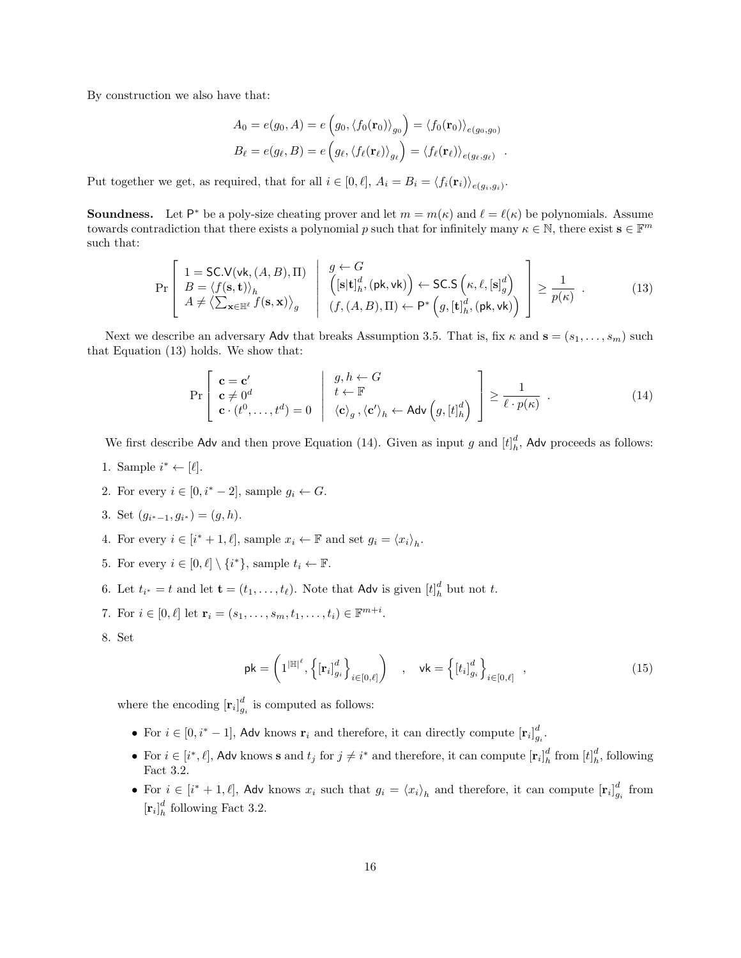By construction we also have that:

<span id="page-15-0"></span>
$$
A_0 = e(g_0, A) = e\left(g_0, \langle f_0(\mathbf{r}_0) \rangle_{g_0}\right) = \langle f_0(\mathbf{r}_0) \rangle_{e(g_0, g_0)}
$$
  

$$
B_\ell = e(g_\ell, B) = e\left(g_\ell, \langle f_\ell(\mathbf{r}_\ell) \rangle_{g_\ell}\right) = \langle f_\ell(\mathbf{r}_\ell) \rangle_{e(g_\ell, g_\ell)}.
$$

Put together we get, as required, that for all  $i \in [0, \ell], A_i = B_i = \langle f_i(\mathbf{r}_i) \rangle_{e(g_i, g_i)}$ .

**Soundness.** Let P<sup>\*</sup> be a poly-size cheating prover and let  $m = m(\kappa)$  and  $\ell = \ell(\kappa)$  be polynomials. Assume towards contradiction that there exists a polynomial p such that for infinitely many  $\kappa \in \mathbb{N}$ , there exist  $\mathbf{s} \in \mathbb{F}^m$ such that:

$$
\Pr\left[\begin{array}{l}1 = \text{SC.V}(vk, (A, B), \Pi) \\ B = \langle f(\mathbf{s}, \mathbf{t}) \rangle_h \\ A \neq \langle \sum_{\mathbf{x} \in \mathbb{H}^{\ell}} f(\mathbf{s}, \mathbf{x}) \rangle_g \end{array}\middle| \begin{array}{l}g \leftarrow G \\ \left([\mathbf{s}|\mathbf{t}]_h^d, (\mathsf{pk}, \mathsf{vk})\right) \leftarrow \text{SC.S}\left(\kappa, \ell, [\mathbf{s}]_g^d\right) \\ (f, (A, B), \Pi) \leftarrow \mathsf{P}^*\left(g, [\mathbf{t}]_h^d, (\mathsf{pk}, \mathsf{vk})\right)\end{array}\right] \ge \frac{1}{p(\kappa)} . \tag{13}
$$

Next we describe an adversary Adv that breaks Assumption [3.5.](#page-13-1) That is, fix  $\kappa$  and  $\mathbf{s} = (s_1, \ldots, s_m)$  such that Equation [\(13\)](#page-15-0) holds. We show that:

<span id="page-15-1"></span>
$$
\Pr\left[\begin{array}{l}\mathbf{c} = \mathbf{c}'\\ \mathbf{c} \neq 0^d\\ \mathbf{c} \cdot (t^0, \dots, t^d) = 0 \end{array} \middle| \begin{array}{l}g, h \leftarrow G\\ t \leftarrow \mathbb{F}\\ \langle \mathbf{c} \rangle_g, \langle \mathbf{c}' \rangle_h \leftarrow \mathsf{Adv}\left(g, [t]_h^d\right) \end{array}\right] \ge \frac{1}{\ell \cdot p(\kappa)}\right. \tag{14}
$$

We first describe Adv and then prove Equation [\(14\)](#page-15-1). Given as input g and  $[t]_h^d$ , Adv proceeds as follows:

- 1. Sample  $i^* \leftarrow [\ell].$
- 2. For every  $i \in [0, i^* 2]$ , sample  $g_i \leftarrow G$ .
- 3. Set  $(g_{i^*-1}, g_{i^*}) = (g, h)$ .
- 4. For every  $i \in [i^* + 1, \ell],$  sample  $x_i \leftarrow \mathbb{F}$  and set  $g_i = \langle x_i \rangle_h$ .
- 5. For every  $i \in [0, \ell] \setminus \{i^*\}$ , sample  $t_i \leftarrow \mathbb{F}$ .
- 6. Let  $t_{i^*} = t$  and let  $\mathbf{t} = (t_1, \ldots, t_\ell)$ . Note that Adv is given  $[t]_h^d$  but not t.
- 7. For  $i \in [0, \ell]$  let  $\mathbf{r}_i = (s_1, \ldots, s_m, t_1, \ldots, t_i) \in \mathbb{F}^{m+i}$ .
- 8. Set

<span id="page-15-2"></span>
$$
\mathsf{pk} = \left(1^{|\mathbb{H}|^\ell}, \left\{ [\mathbf{r}_i]_{g_i}^d \right\}_{i \in [0,\ell]} \right) \quad , \quad \mathsf{vk} = \left\{ [t_i]_{g_i}^d \right\}_{i \in [0,\ell]} \quad , \tag{15}
$$

where the encoding  $[\mathbf{r}_i]_{g_i}^d$  is computed as follows:

- For  $i \in [0, i^* 1]$ , Adv knows  $\mathbf{r}_i$  and therefore, it can directly compute  $[\mathbf{r}_i]_{g_i}^d$ .
- For  $i \in [i^*, \ell]$ , Adv knows s and  $t_j$  for  $j \neq i^*$  and therefore, it can compute  $[\mathbf{r}_i]_h^d$  from  $[t]_h^d$ , following Fact [3.2.](#page-11-2)
- For  $i \in [i^* + 1, \ell],$  Adv knows  $x_i$  such that  $g_i = \langle x_i \rangle_h$  and therefore, it can compute  $[\mathbf{r}_i]_{g_i}^d$  from  $[r_i]_h^d$  following Fact [3.2.](#page-11-2)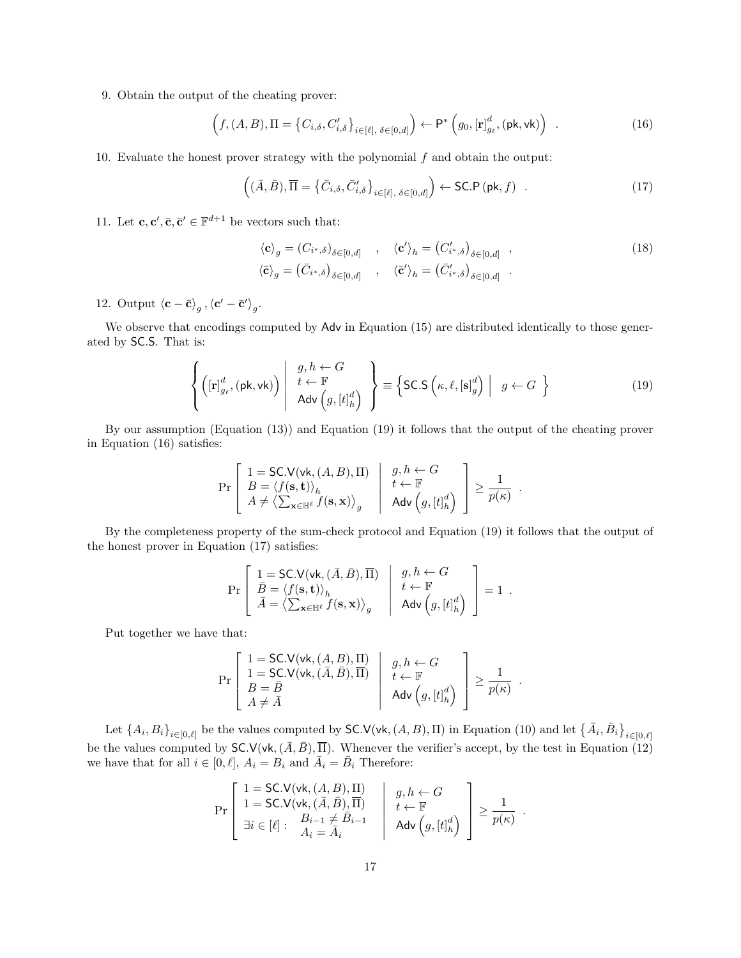9. Obtain the output of the cheating prover:

$$
\left(f,(A,B),\Pi=\left\{C_{i,\delta},C'_{i,\delta}\right\}_{i\in[\ell],\delta\in[0,d]}\right)\leftarrow\mathsf{P}^*\left(g_0,[\mathbf{r}]_{g_\ell}^d,(\mathsf{pk},\mathsf{vk})\right) \ . \tag{16}
$$

10. Evaluate the honest prover strategy with the polynomial  $f$  and obtain the output:

<span id="page-16-1"></span>
$$
\left( (\bar{A}, \bar{B}), \overline{\Pi} = \left\{ \bar{C}_{i,\delta}, \bar{C}'_{i,\delta} \right\}_{i \in [\ell], \delta \in [0,d]} \right) \leftarrow \text{SC.P } (\text{pk}, f) \quad . \tag{17}
$$

11. Let  $\mathbf{c}, \mathbf{c}', \bar{\mathbf{c}}, \bar{\mathbf{c}}' \in \mathbb{F}^{d+1}$  be vectors such that:

<span id="page-16-3"></span><span id="page-16-2"></span><span id="page-16-0"></span>
$$
\langle \mathbf{c} \rangle_g = (C_{i^*,\delta})_{\delta \in [0,d]} , \quad \langle \mathbf{c}' \rangle_h = (C'_{i^*,\delta})_{\delta \in [0,d]} ,
$$
  

$$
\langle \bar{\mathbf{c}} \rangle_g = (\bar{C}_{i^*,\delta})_{\delta \in [0,d]} , \quad \langle \bar{\mathbf{c}}' \rangle_h = (\bar{C}'_{i^*,\delta})_{\delta \in [0,d]} .
$$
 (18)

12. Output  $\langle \mathbf{c} - \bar{\mathbf{c}} \rangle_g$ ,  $\langle \mathbf{c}' - \bar{\mathbf{c}}' \rangle_g$ .

We observe that encodings computed by Adv in Equation [\(15\)](#page-15-2) are distributed identically to those generated by SC.S. That is:

$$
\left\{ \left( [\mathbf{r}]_{g_{\ell}}^{d}, (\mathsf{pk}, \mathsf{vk}) \right) \left| \begin{array}{c} g, h \leftarrow G \\ t \leftarrow \mathbb{F} \\ \mathsf{Adv} \left( g, [t]_{h}^{d} \right) \end{array} \right\} \right\} \equiv \left\{ \mathsf{SC.S} \left( \kappa, \ell, [\mathbf{s}]_{g}^{d} \right) \left| g \leftarrow G \right. \right\} \tag{19}
$$

By our assumption (Equation [\(13\)](#page-15-0)) and Equation [\(19\)](#page-16-0) it follows that the output of the cheating prover in Equation [\(16\)](#page-16-1) satisfies:

$$
\Pr\left[\begin{array}{l}1 = \textsf{SC.V}(\textsf{vk}, (A, B), \Pi) & g, h \leftarrow G \\ B = \langle f(\mathbf{s}, \mathbf{t}) \rangle_h & t \leftarrow \mathbb{F} \\ A \neq \langle \sum_{\mathbf{x} \in \mathbb{H}^{\ell}} f(\mathbf{s}, \mathbf{x}) \rangle_g & \text{Adv}\left(g, [t]_h^d\right) \end{array}\right] \geq \frac{1}{p(\kappa)}.
$$

By the completeness property of the sum-check protocol and Equation [\(19\)](#page-16-0) it follows that the output of the honest prover in Equation [\(17\)](#page-16-2) satisfies:

$$
\Pr\left[\begin{array}{l|l} 1=\textsf{SC.V}(\textsf{vk},(\bar{A},\bar{B}),\overline{\Pi}) & g,h \leftarrow G \\ \bar{B}=\langle f(\mathbf{s},\mathbf{t}) \rangle_h & t \leftarrow \mathbb{F} \\ \bar{A}=\left\langle\sum_{\mathbf{x} \in \mathbb{H}^\ell} f(\mathbf{s},\mathbf{x})\right\rangle_g & \textsf{Adv}\left(g,[t]^d_h\right) \end{array}\right] = 1 \;.
$$

Put together we have that:

$$
\Pr\left[\begin{array}{l} 1 = \textsf{SC.V}(\textsf{vk},(A,B),\Pi) \\ 1 = \textsf{SC.V}(\textsf{vk},(\bar{A},\bar{B}),\overline{\Pi}) \\ B = \bar{B} \\ A \neq \bar{A} \end{array}\middle|\begin{array}{l} g,h \leftarrow G \\ t \leftarrow \mathbb{F} \\ \textsf{Adv}\left(g,[t]^d_{h}\right) \end{array}\right] \geq \frac{1}{p(\kappa)} \end{array}\right].
$$

Let  $\{A_i, B_i\}_{i \in [0,\ell]}$  be the values computed by SC.V(vk,  $(A, B)$ , II) in Equation [\(10\)](#page-13-8) and let  $\{\bar{A}_i, \bar{B}_i\}_{i \in [0,\ell]}$ be the values computed by  $\mathsf{SC.V}(\mathsf{vk},(\bar{A},\bar{B}),\overline{\Pi})$ . Whenever the verifier's accept, by the test in Equation [\(12\)](#page-13-5) we have that for all  $i \in [0, \ell], A_i = B_i$  and  $\overline{A}_i = \overline{B}_i$  Therefore:

$$
\Pr\left[\begin{array}{c|c} 1 = \text{SC.V}(\text{vk}, (A, B), \Pi) & g, h \leftarrow G \\ 1 = \text{SC.V}(\text{vk}, (\bar{A}, \bar{B}), \overline{\Pi}) & t \leftarrow \mathbb{F} \\ \exists i \in [\ell]: \begin{array}{c} B_{i-1} \neq \bar{B}_{i-1} \\ A_i = \bar{A}_i \end{array}\right] & \text{Adv}\left(g, [t]_h^d\right) \end{array}\right] \ge \frac{1}{p(\kappa)}.
$$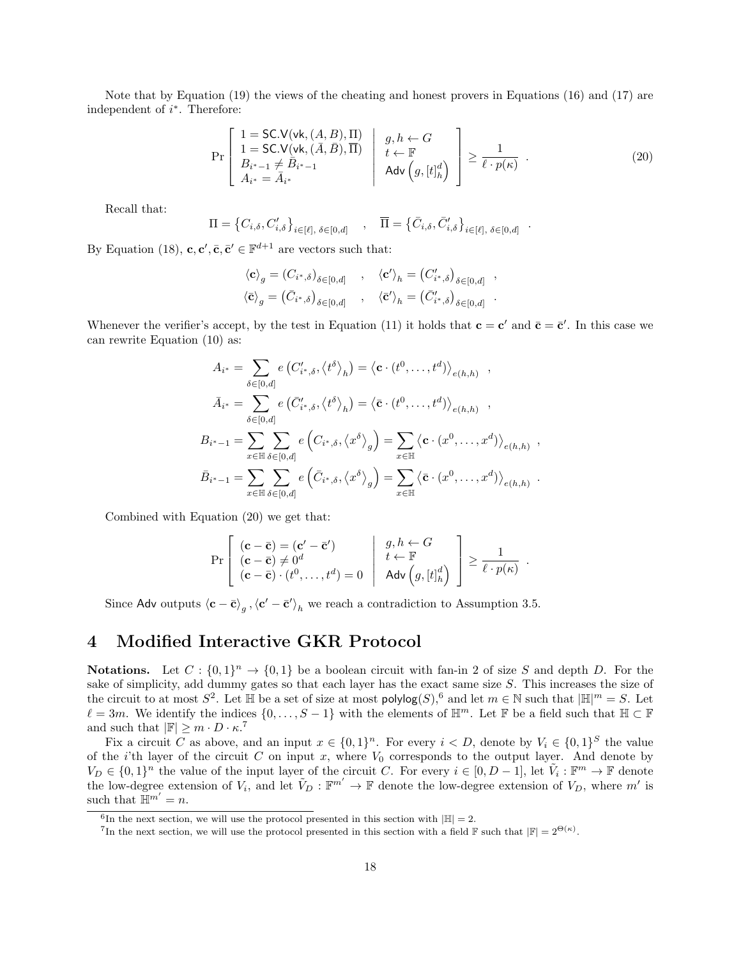Note that by Equation [\(19\)](#page-16-0) the views of the cheating and honest provers in Equations [\(16\)](#page-16-1) and [\(17\)](#page-16-2) are independent of  $i^*$ . Therefore:

$$
\Pr\left[\begin{array}{l}1 = \text{SC.V}(\text{vk}, (A, B), \Pi) \\ 1 = \text{SC.V}(\text{vk}, (\bar{A}, \bar{B}), \overline{\Pi}) \\ B_{i^* - 1} \neq \overline{B}_{i^* - 1} \\ A_{i^*} = \overline{A}_{i^*}\end{array}\middle|\begin{array}{l}g, h \leftarrow G \\ t \leftarrow \mathbb{F} \\ \text{Adv}\left(g, [t]_h^d\right) \\ \end{array}\right]\right\} \ge \frac{1}{\ell \cdot p(\kappa)}\tag{20}
$$

<span id="page-17-1"></span>.

Recall that:

$$
\Pi = \left\{ C_{i,\delta}, C'_{i,\delta} \right\}_{i \in [\ell], \delta \in [0,d]}, \quad \overline{\Pi} = \left\{ \overline{C}_{i,\delta}, \overline{C}'_{i,\delta} \right\}_{i \in [\ell], \delta \in [0,d]}
$$

By Equation [\(18\)](#page-16-3),  $\mathbf{c}, \mathbf{c}', \bar{\mathbf{c}}, \bar{\mathbf{c}}' \in \mathbb{F}^{d+1}$  are vectors such that:

$$
\langle \mathbf{c} \rangle_g = (C_{i^*,\delta})_{\delta \in [0,d]} , \quad \langle \mathbf{c}' \rangle_h = (C'_{i^*,\delta})_{\delta \in [0,d]} ,
$$
  

$$
\langle \bar{\mathbf{c}} \rangle_g = (\bar{C}_{i^*,\delta})_{\delta \in [0,d]} , \quad \langle \bar{\mathbf{c}}' \rangle_h = (\bar{C}'_{i^*,\delta})_{\delta \in [0,d]} .
$$

Whenever the verifier's accept, by the test in Equation [\(11\)](#page-13-3) it holds that  $\mathbf{c} = \mathbf{c}'$  and  $\bar{\mathbf{c}} = \bar{\mathbf{c}}'$ . In this case we can rewrite Equation [\(10\)](#page-13-8) as:

$$
A_{i^*} = \sum_{\delta \in [0,d]} e\left(C'_{i^*,\delta}, \langle t^{\delta} \rangle_h\right) = \langle \mathbf{c} \cdot (t^0, \dots, t^d) \rangle_{e(h,h)},
$$
  

$$
\bar{A}_{i^*} = \sum_{\delta \in [0,d]} e\left(\bar{C}'_{i^*,\delta}, \langle t^{\delta} \rangle_h\right) = \langle \bar{\mathbf{c}} \cdot (t^0, \dots, t^d) \rangle_{e(h,h)},
$$
  

$$
B_{i^*-1} = \sum_{x \in \mathbb{H}} \sum_{\delta \in [0,d]} e\left(C_{i^*,\delta}, \langle x^{\delta} \rangle_g\right) = \sum_{x \in \mathbb{H}} \langle \mathbf{c} \cdot (x^0, \dots, x^d) \rangle_{e(h,h)},
$$
  

$$
\bar{B}_{i^*-1} = \sum_{x \in \mathbb{H}} \sum_{\delta \in [0,d]} e\left(\bar{C}_{i^*,\delta}, \langle x^{\delta} \rangle_g\right) = \sum_{x \in \mathbb{H}} \langle \bar{\mathbf{c}} \cdot (x^0, \dots, x^d) \rangle_{e(h,h)}.
$$

Combined with Equation [\(20\)](#page-17-1) we get that:

$$
\Pr\left[\begin{array}{l}(\mathbf{c}-\bar{\mathbf{c}})=(\mathbf{c}'-\bar{\mathbf{c}}')\\(\mathbf{c}-\bar{\mathbf{c}})\neq 0^d\\\ (\mathbf{c}-\bar{\mathbf{c}})\cdot(t^0,\ldots,t^d)=0\end{array}\middle|\begin{array}{l}g,h\leftarrow G\\t\leftarrow\mathbb{F}\\ \mathsf{Adv}\left(g,[t]^d_h\right)\end{array}\right]\geq \frac{1}{\ell\cdot p(\kappa)}\end{array}\right].
$$

Since Adv outputs  $\langle \mathbf{c} - \bar{\mathbf{c}} \rangle_g$ ,  $\langle \mathbf{c}' - \bar{\mathbf{c}}' \rangle_h$  we reach a contradiction to Assumption [3.5.](#page-13-1)

### <span id="page-17-0"></span>4 Modified Interactive GKR Protocol

**Notations.** Let  $C: \{0,1\}^n \to \{0,1\}$  be a boolean circuit with fan-in 2 of size S and depth D. For the sake of simplicity, add dummy gates so that each layer has the exact same size S. This increases the size of the circuit to at most  $S^2$ . Let  $\mathbb H$  be a set of size at most  $\mathsf{polylog}(S)$ , [6](#page-17-2) and let  $m \in \mathbb N$  such that  $|\mathbb H|^m = S$ . Let  $\ell = 3m$ . We identify the indices  $\{0, \ldots, S - 1\}$  with the elements of  $\mathbb{H}^m$ . Let F be a field such that  $\mathbb{H} \subset \mathbb{F}$ and such that  $|\mathbb{F}| \geq m \cdot D \cdot \kappa$ .<sup>[7](#page-17-3)</sup>

Fix a circuit C as above, and an input  $x \in \{0,1\}^n$ . For every  $i < D$ , denote by  $V_i \in \{0,1\}^S$  the value of the *i*'th layer of the circuit  $C$  on input  $x$ , where  $V_0$  corresponds to the output layer. And denote by  $V_D \in \{0,1\}^n$  the value of the input layer of the circuit C. For every  $i \in [0, D-1]$ , let  $\tilde{V}_i : \mathbb{F}^m \to \mathbb{F}$  denote the low-degree extension of  $V_i$ , and let  $V_D : \mathbb{F}^{m'} \to \mathbb{F}$  denote the low-degree extension of  $V_D$ , where m' is such that  $\mathbb{H}^{m'} = n$ .

<span id="page-17-2"></span><sup>&</sup>lt;sup>6</sup>In the next section, we will use the protocol presented in this section with  $|\mathbb{H}| = 2$ .

<span id="page-17-3"></span><sup>&</sup>lt;sup>7</sup>In the next section, we will use the protocol presented in this section with a field  $\mathbb{F}$  such that  $|\mathbb{F}| = 2^{\Theta(\kappa)}$ .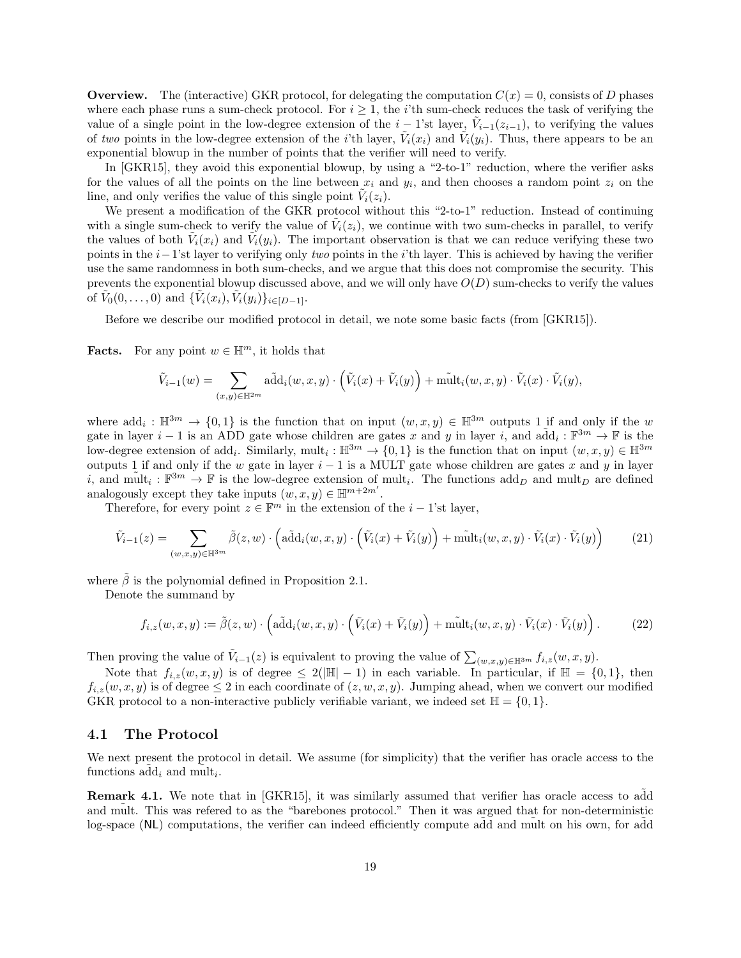**Overview.** The (interactive) GKR protocol, for delegating the computation  $C(x) = 0$ , consists of D phases where each phase runs a sum-check protocol. For  $i \geq 1$ , the *i*'th sum-check reduces the task of verifying the value of a single point in the low-degree extension of the  $i-1$ 'st layer,  $\tilde{V}_{i-1}(z_{i-1})$ , to verifying the values of two points in the low-degree extension of the *i*'th layer,  $\tilde{V}_i(x_i)$  and  $\tilde{V}_i(y_i)$ . Thus, there appears to be an exponential blowup in the number of points that the verifier will need to verify.

In [\[GKR15\]](#page-31-12), they avoid this exponential blowup, by using a "2-to-1" reduction, where the verifier asks for the values of all the points on the line between  $x_i$  and  $y_i$ , and then chooses a random point  $z_i$  on the line, and only verifies the value of this single point  $\tilde{V}_i(z_i)$ .

We present a modification of the GKR protocol without this "2-to-1" reduction. Instead of continuing with a single sum-check to verify the value of  $\tilde{V}_i(z_i)$ , we continue with two sum-checks in parallel, to verify the values of both  $\tilde{V}_i(x_i)$  and  $\tilde{V}_i(y_i)$ . The important observation is that we can reduce verifying these two points in the i−1'st layer to verifying only two points in the i'th layer. This is achieved by having the verifier use the same randomness in both sum-checks, and we argue that this does not compromise the security. This prevents the exponential blowup discussed above, and we will only have  $O(D)$  sum-checks to verify the values of  $\tilde{V}_0(0,\ldots,0)$  and  $\{\tilde{V}_i(x_i), \tilde{V}_i(y_i)\}_{i \in [D-1]}.$ 

Before we describe our modified protocol in detail, we note some basic facts (from [\[GKR15\]](#page-31-12)).

**Facts.** For any point  $w \in \mathbb{H}^m$ , it holds that

$$
\tilde{V}_{i-1}(w) = \sum_{(x,y)\in \mathbb{H}^{2m}} \tilde{\text{add}}_i(w,x,y) \cdot \left(\tilde{V}_i(x) + \tilde{V}_i(y)\right) + \tilde{\text{mult}}_i(w,x,y) \cdot \tilde{V}_i(x) \cdot \tilde{V}_i(y),
$$

where  $\text{add}_i : \mathbb{H}^{3m} \to \{0,1\}$  is the function that on input  $(w, x, y) \in \mathbb{H}^{3m}$  outputs 1 if and only if the w gate in layer  $i-1$  is an ADD gate whose children are gates x and y in layer i, and  $\tilde{\text{add}}_i : \mathbb{F}^{3m} \to \mathbb{F}$  is the low-degree extension of add<sub>i</sub>. Similarly, mult<sub>i</sub>:  $\mathbb{H}^{3m} \to \{0,1\}$  is the function that on input  $(w, x, y) \in \mathbb{H}^{3m}$ outputs 1 if and only if the w gate in layer  $i - 1$  is a MULT gate whose children are gates x and y in layer i, and  $\tilde{\text{mult}}_i : \mathbb{F}^{3m} \to \mathbb{F}$  is the low-degree extension of  $\text{mult}_i$ . The functions  $\text{add}_D$  and  $\text{mult}_D$  are defined analogously except they take inputs  $(w, x, y) \in \mathbb{H}^{m+2m'}$ .

Therefore, for every point  $z \in \mathbb{F}^m$  in the extension of the  $i - 1$ 'st layer,

<span id="page-18-2"></span>
$$
\tilde{V}_{i-1}(z) = \sum_{(w,x,y)\in\mathbb{H}^{3m}} \tilde{\beta}(z,w) \cdot \left(\text{a\tilde{d}d}_i(w,x,y) \cdot \left(\tilde{V}_i(x) + \tilde{V}_i(y)\right) + \tilde{\text{mult}}_i(w,x,y) \cdot \tilde{V}_i(x) \cdot \tilde{V}_i(y)\right) \tag{21}
$$

where  $\tilde{\beta}$  is the polynomial defined in Proposition [2.1.](#page-9-4)

Denote the summand by

<span id="page-18-1"></span>
$$
f_{i,z}(w,x,y) := \tilde{\beta}(z,w) \cdot \left( \tilde{\text{add}}_i(w,x,y) \cdot \left( \tilde{V}_i(x) + \tilde{V}_i(y) \right) + \tilde{\text{mult}}_i(w,x,y) \cdot \tilde{V}_i(x) \cdot \tilde{V}_i(y) \right). \tag{22}
$$

Then proving the value of  $\tilde{V}_{i-1}(z)$  is equivalent to proving the value of  $\sum_{(w,x,y)\in\mathbb{H}^{3m}}f_{i,z}(w,x,y)$ .

Note that  $f_{i,z}(w, x, y)$  is of degree  $\leq 2(|\mathbb{H}|-1)$  in each variable. In particular, if  $\mathbb{H} = \{0,1\}$ , then  $f_{i,z}(w, x, y)$  is of degree  $\leq 2$  in each coordinate of  $(z, w, x, y)$ . Jumping ahead, when we convert our modified GKR protocol to a non-interactive publicly verifiable variant, we indeed set  $\mathbb{H} = \{0, 1\}$ .

#### <span id="page-18-0"></span>4.1 The Protocol

We next present the protocol in detail. We assume (for simplicity) that the verifier has oracle access to the functions  $\tilde{\text{add}}_i$  and  $\tilde{\text{mult}}_i$ .

**Remark 4.1.** We note that in [\[GKR15\]](#page-31-12), it was similarly assumed that verifier has oracle access to add and mult. This was refered to as the "barebones protocol." Then it was argued that for non-deterministic log-space (NL) computations, the verifier can indeed efficiently compute add and mult on his own, for add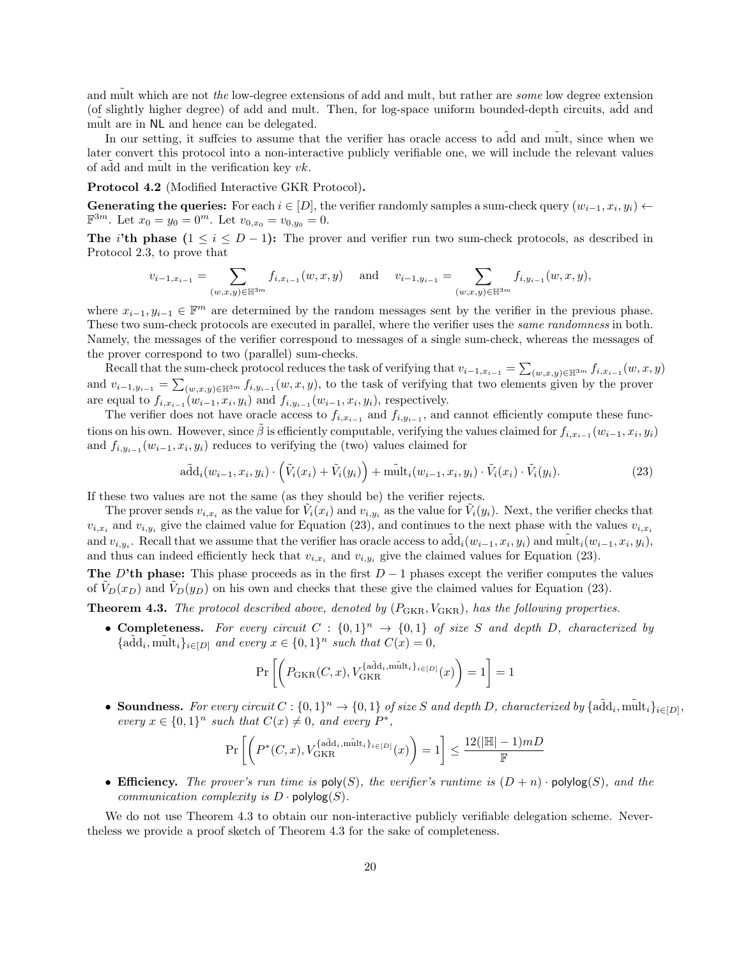and mult which are not the low-degree extensions of add and mult, but rather are some low degree extension (of slightly higher degree) of add and mult. Then, for log-space uniform bounded-depth circuits, add and mult are in  $NL$  and hence can be delegated.

In our setting, it suffcies to assume that the verifier has oracle access to add and mult, since when we later convert this protocol into a non-interactive publicly verifiable one, we will include the relevant values of add and mult in the verification key  $vk$ .

#### Protocol 4.2 (Modified Interactive GKR Protocol).

Generating the queries: For each  $i \in [D]$ , the verifier randomly samples a sum-check query  $(w_{i-1}, x_i, y_i) \leftarrow$  $\mathbb{F}^{3m}$ . Let  $x_0 = y_0 = 0^m$ . Let  $v_{0,x_0} = v_{0,y_0} = 0$ .

The i'th phase  $(1 \le i \le D-1)$ : The prover and verifier run two sum-check protocols, as described in Protocol [2.3,](#page-10-2) to prove that

$$
v_{i-1,x_{i-1}} = \sum_{(w,x,y)\in\mathbb{H}^{3m}} f_{i,x_{i-1}}(w,x,y) \text{ and } v_{i-1,y_{i-1}} = \sum_{(w,x,y)\in\mathbb{H}^{3m}} f_{i,y_{i-1}}(w,x,y),
$$

where  $x_{i-1}, y_{i-1} \in \mathbb{F}^m$  are determined by the random messages sent by the verifier in the previous phase. These two sum-check protocols are executed in parallel, where the verifier uses the same randomness in both. Namely, the messages of the verifier correspond to messages of a single sum-check, whereas the messages of the prover correspond to two (parallel) sum-checks.

Recall that the sum-check protocol reduces the task of verifying that  $v_{i-1,x_{i-1}} = \sum_{(w,x,y)\in\mathbb{H}^{3m}} f_{i,x_{i-1}}(w,x,y)$ and  $v_{i-1,y_{i-1}} = \sum_{(w,x,y)\in\mathbb{H}^{3m}} f_{i,y_{i-1}}(w,x,y)$ , to the task of verifying that two elements given by the prover are equal to  $f_{i,x_{i-1}}(w_{i-1},x_i,y_i)$  and  $f_{i,y_{i-1}}(w_{i-1},x_i,y_i)$ , respectively.

The verifier does not have oracle access to  $f_{i,x_{i-1}}$  and  $f_{i,y_{i-1}}$ , and cannot efficiently compute these functions on his own. However, since  $\tilde{\beta}$  is efficiently computable, verifying the values claimed for  $f_{i,x_{i-1}}(w_{i-1},x_i,y_i)$ and  $f_{i,y_{i-1}}(w_{i-1},x_i,y_i)$  reduces to verifying the (two) values claimed for

<span id="page-19-0"></span>
$$
\tilde{\text{add}}_i(w_{i-1}, x_i, y_i) \cdot \left(\tilde{V}_i(x_i) + \tilde{V}_i(y_i)\right) + \tilde{\text{mult}}_i(w_{i-1}, x_i, y_i) \cdot \tilde{V}_i(x_i) \cdot \tilde{V}_i(y_i). \tag{23}
$$

If these two values are not the same (as they should be) the verifier rejects.

The prover sends  $v_{i,x_i}$  as the value for  $\tilde{V}_i(x_i)$  and  $v_{i,y_i}$  as the value for  $\tilde{V}_i(y_i)$ . Next, the verifier checks that  $v_{i,x_i}$  and  $v_{i,y_i}$  give the claimed value for Equation [\(23\)](#page-19-0), and continues to the next phase with the values  $v_{i,x_i}$ and  $v_{i,y_i}$ . Recall that we assume that the verifier has oracle access to  $\tilde{\text{add}}_i(w_{i-1}, x_i, y_i)$  and  $\tilde{\text{mult}}_i(w_{i-1}, x_i, y_i)$ , and thus can indeed efficiently heck that  $v_{i,x_i}$  and  $v_{i,y_i}$  give the claimed values for Equation [\(23\)](#page-19-0).

The D'th phase: This phase proceeds as in the first  $D-1$  phases except the verifier computes the values of  $V_D(x_D)$  and  $V_D(y_D)$  on his own and checks that these give the claimed values for Equation [\(23\)](#page-19-0).

<span id="page-19-1"></span>**Theorem 4.3.** The protocol described above, denoted by  $(P_{\text{GKR}}, V_{\text{GKR}})$ , has the following properties.

• Completeness. For every circuit  $C : \{0,1\}^n \to \{0,1\}$  of size S and depth D, characterized by  ${ \{\tilde{\text{add}}_i, \tilde{\text{mult}}_i\}_{i\in[D]} }$  and every  $x \in \{0,1\}^n$  such that  $C(x) = 0$ ,

$$
\Pr\left[\left(P_{\text{GKR}}(C,x), V_{\text{GKR}}^{\{\text{a\tilde{d}d_i}, \tilde{\text{mult}}_i\}_{i \in [D]}}(x)\right) = 1\right] = 1
$$

• Soundness. For every circuit  $C: \{0,1\}^n \to \{0,1\}$  of size S and depth D, characterized by  $\{\tilde{\text{add}}_i, \tilde{\text{mult}}_i\}_{i \in [D]},$ every  $x \in \{0,1\}^n$  such that  $C(x) \neq 0$ , and every  $P^*$ ,

$$
\Pr\left[\left(P^*(C,x),V_{\rm GKR}^{\{\rm a\overline{d}d_i,\tilde{{\rm mult}}_i\}_{i\in[D]}}(x)\right)=1\right]\leq\frac{12(|\mathbb{H}|-1)mD}{\mathbb{F}}
$$

• Efficiency. The prover's run time is  $\mathsf{poly}(S)$ , the verifier's runtime is  $(D+n) \cdot \mathsf{polylog}(S)$ , and the communication complexity is  $D \cdot \text{polylog}(S)$ .

We do not use Theorem [4.3](#page-19-1) to obtain our non-interactive publicly verifiable delegation scheme. Nevertheless we provide a proof sketch of Theorem [4.3](#page-19-1) for the sake of completeness.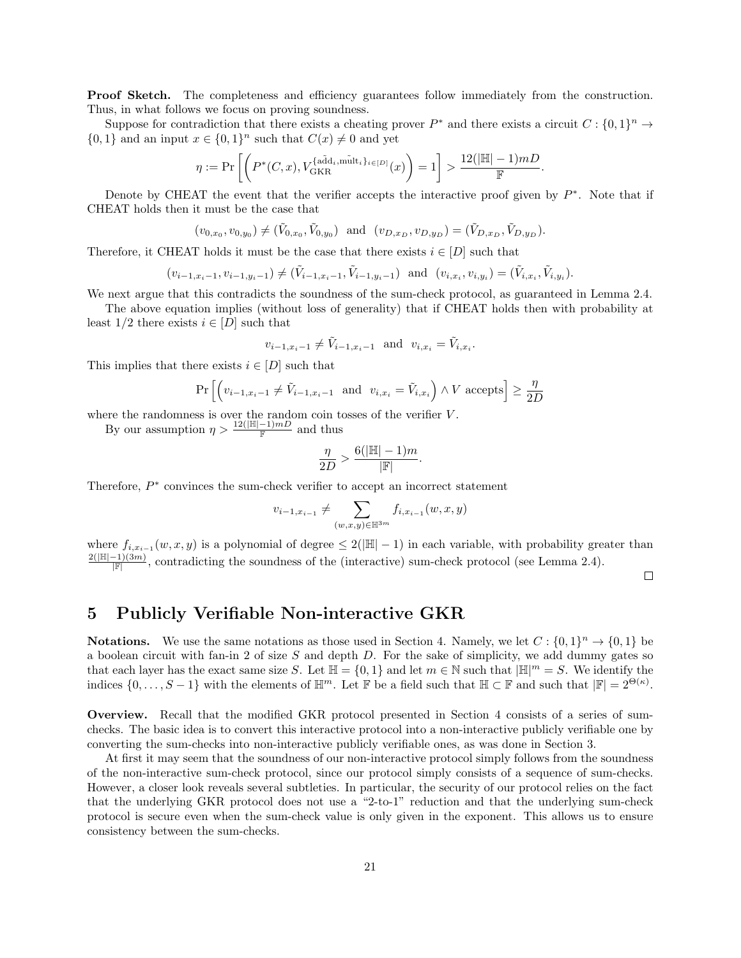**Proof Sketch.** The completeness and efficiency guarantees follow immediately from the construction. Thus, in what follows we focus on proving soundness.

Suppose for contradiction that there exists a cheating prover  $P^*$  and there exists a circuit  $C: \{0,1\}^n \to$  $\{0,1\}$  and an input  $x \in \{0,1\}^n$  such that  $C(x) \neq 0$  and yet

$$
\eta:=\Pr\left[\left(P^*(C,x),V_{\rm GKR}^{\{\rm a\tilde{d}d_i, m\tilde{u}lt_i\}_{i\in[D]}}(x)\right)=1\right]>\frac{12(|\mathbb{H}|-1)mD}{\mathbb{F}}.
$$

Denote by CHEAT the event that the verifier accepts the interactive proof given by  $P^*$ . Note that if CHEAT holds then it must be the case that

$$
(v_{0,x_0}, v_{0,y_0}) \neq (\tilde{V}_{0,x_0}, \tilde{V}_{0,y_0})
$$
 and  $(v_{D,x_D}, v_{D,y_D}) = (\tilde{V}_{D,x_D}, \tilde{V}_{D,y_D}).$ 

Therefore, it CHEAT holds it must be the case that there exists  $i \in [D]$  such that

$$
(v_{i-1,x_i-1}, v_{i-1,y_i-1}) \neq (\tilde{V}_{i-1,x_i-1}, \tilde{V}_{i-1,y_i-1})
$$
 and  $(v_{i,x_i}, v_{i,y_i}) = (\tilde{V}_{i,x_i}, \tilde{V}_{i,y_i}).$ 

We next argue that this contradicts the soundness of the sum-check protocol, as guaranteed in Lemma [2.4.](#page-10-4)

The above equation implies (without loss of generality) that if CHEAT holds then with probability at least  $1/2$  there exists  $i \in [D]$  such that

$$
v_{i-1,x_i-1} \neq \tilde{V}_{i-1,x_i-1}
$$
 and  $v_{i,x_i} = \tilde{V}_{i,x_i}$ .

This implies that there exists  $i \in [D]$  such that

$$
\Pr\left[\left(v_{i-1,x_i-1} \neq \tilde{V}_{i-1,x_i-1} \text{ and } v_{i,x_i} = \tilde{V}_{i,x_i}\right) \land V \text{ accepts}\right] \ge \frac{\eta}{2D}
$$

where the randomness is over the random coin tosses of the verifier  $V$ .

By our assumption  $\eta > \frac{12(|\mathbb{H}|-1)mD}{\mathbb{F}}$  and thus

$$
\frac{\eta}{2D} > \frac{6(|\mathbb{H}|-1)m}{|\mathbb{F}|}
$$

.

Therefore,  $P^*$  convinces the sum-check verifier to accept an incorrect statement

$$
v_{i-1,x_{i-1}} \neq \sum_{(w,x,y)\in \mathbb{H}^{3m}} f_{i,x_{i-1}}(w,x,y)
$$

where  $f_{i,x_{i-1}}(w,x,y)$  is a polynomial of degree  $\leq 2(|\mathbb{H}|-1)$  in each variable, with probability greater than  $2(|\mathbb{H}|-1)(3m)$  $\frac{-1}{\mathbb{F}}$ , contradicting the soundness of the (interactive) sum-check protocol (see Lemma [2.4\)](#page-10-4).

 $\Box$ 

### <span id="page-20-0"></span>5 Publicly Verifiable Non-interactive GKR

**Notations.** We use the same notations as those used in Section [4.](#page-17-0) Namely, we let  $C: \{0,1\}^n \to \{0,1\}$  be a boolean circuit with fan-in 2 of size  $S$  and depth  $D$ . For the sake of simplicity, we add dummy gates so that each layer has the exact same size S. Let  $\mathbb{H} = \{0, 1\}$  and let  $m \in \mathbb{N}$  such that  $|\mathbb{H}|^m = S$ . We identify the indices  $\{0,\ldots,S-1\}$  with the elements of  $\mathbb{H}^m$ . Let  $\mathbb{F}$  be a field such that  $\mathbb{H} \subset \mathbb{F}$  and such that  $|\mathbb{F}| = 2^{\Theta(\kappa)}$ .

Overview. Recall that the modified GKR protocol presented in Section [4](#page-17-0) consists of a series of sumchecks. The basic idea is to convert this interactive protocol into a non-interactive publicly verifiable one by converting the sum-checks into non-interactive publicly verifiable ones, as was done in Section [3.](#page-10-1)

At first it may seem that the soundness of our non-interactive protocol simply follows from the soundness of the non-interactive sum-check protocol, since our protocol simply consists of a sequence of sum-checks. However, a closer look reveals several subtleties. In particular, the security of our protocol relies on the fact that the underlying GKR protocol does not use a "2-to-1" reduction and that the underlying sum-check protocol is secure even when the sum-check value is only given in the exponent. This allows us to ensure consistency between the sum-checks.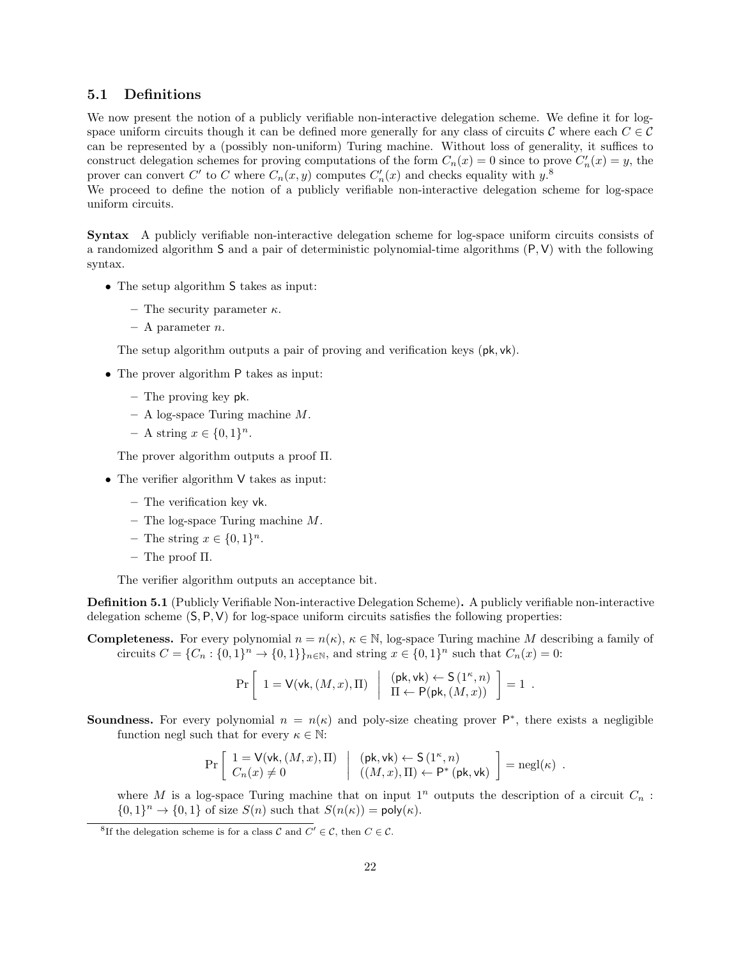### <span id="page-21-0"></span>5.1 Definitions

We now present the notion of a publicly verifiable non-interactive delegation scheme. We define it for logspace uniform circuits though it can be defined more generally for any class of circuits C where each  $C \in \mathcal{C}$ can be represented by a (possibly non-uniform) Turing machine. Without loss of generality, it suffices to construct delegation schemes for proving computations of the form  $C_n(x) = 0$  since to prove  $C'_n(x) = y$ , the prover can convert C' to C where  $C_n(x, y)$  computes  $C'_n(x)$  and checks equality with  $y$ <sup>[8](#page-21-1)</sup>.

We proceed to define the notion of a publicly verifiable non-interactive delegation scheme for log-space uniform circuits.

Syntax A publicly verifiable non-interactive delegation scheme for log-space uniform circuits consists of a randomized algorithm S and a pair of deterministic polynomial-time algorithms (P, V) with the following syntax.

- The setup algorithm S takes as input:
	- The security parameter  $\kappa$ .
	- $-$  A parameter *n*.

The setup algorithm outputs a pair of proving and verification keys (pk, vk).

- The prover algorithm P takes as input:
	- The proving key pk.
	- $A log$ -space Turing machine M.
	- $A$  string  $x \in \{0,1\}^n$ .

The prover algorithm outputs a proof Π.

- The verifier algorithm V takes as input:
	- The verification key vk.
	- The log-space Turing machine  $M$ .
	- $-$  The string  $x \in \{0,1\}^n$ .
	- The proof Π.

The verifier algorithm outputs an acceptance bit.

<span id="page-21-2"></span>Definition 5.1 (Publicly Verifiable Non-interactive Delegation Scheme). A publicly verifiable non-interactive delegation scheme  $(S, P, V)$  for log-space uniform circuits satisfies the following properties:

**Completeness.** For every polynomial  $n = n(\kappa)$ ,  $\kappa \in \mathbb{N}$ , log-space Turing machine M describing a family of circuits  $C = \{C_n : \{0,1\}^n \to \{0,1\}\}_{n \in \mathbb{N}}$ , and string  $x \in \{0,1\}^n$  such that  $C_n(x) = 0$ :

$$
\Pr\left[\begin{array}{c|c}1=\mathsf{V}(\mathsf{vk},(M,x),\Pi)&\left(\begin{array}{c}(\mathsf{pk},\mathsf{vk})\leftarrow\mathsf{S}\left(1^\kappa,n\right)\\\Pi\leftarrow\mathsf{P}(\mathsf{pk},(M,x))\end{array}\right]=1\end{array}. \right.
$$

**Soundness.** For every polynomial  $n = n(\kappa)$  and poly-size cheating prover  $P^*$ , there exists a negligible function negl such that for every  $\kappa \in \mathbb{N}$ :

$$
\Pr\left[\begin{array}{l} 1=\mathsf{V}(\mathsf{vk},(M,x),\Pi) \\ C_n(x)\neq 0 \end{array} \middle| \begin{array}{l} (\mathsf{pk},\mathsf{vk}) \leftarrow \mathsf{S}\left(1^{\kappa},n\right) \\ ((M,x),\Pi) \leftarrow \mathsf{P}^*(\mathsf{pk},\mathsf{vk}) \end{array} \right] = \mathsf{negl}(\kappa) \enspace .
$$

where M is a log-space Turing machine that on input  $1^n$  outputs the description of a circuit  $C_n$ :  $\{0,1\}^n \to \{0,1\}$  of size  $S(n)$  such that  $S(n(\kappa)) = \text{poly}(\kappa)$ .

<span id="page-21-1"></span><sup>&</sup>lt;sup>8</sup>If the delegation scheme is for a class C and  $C' \in \mathcal{C}$ , then  $C \in \mathcal{C}$ .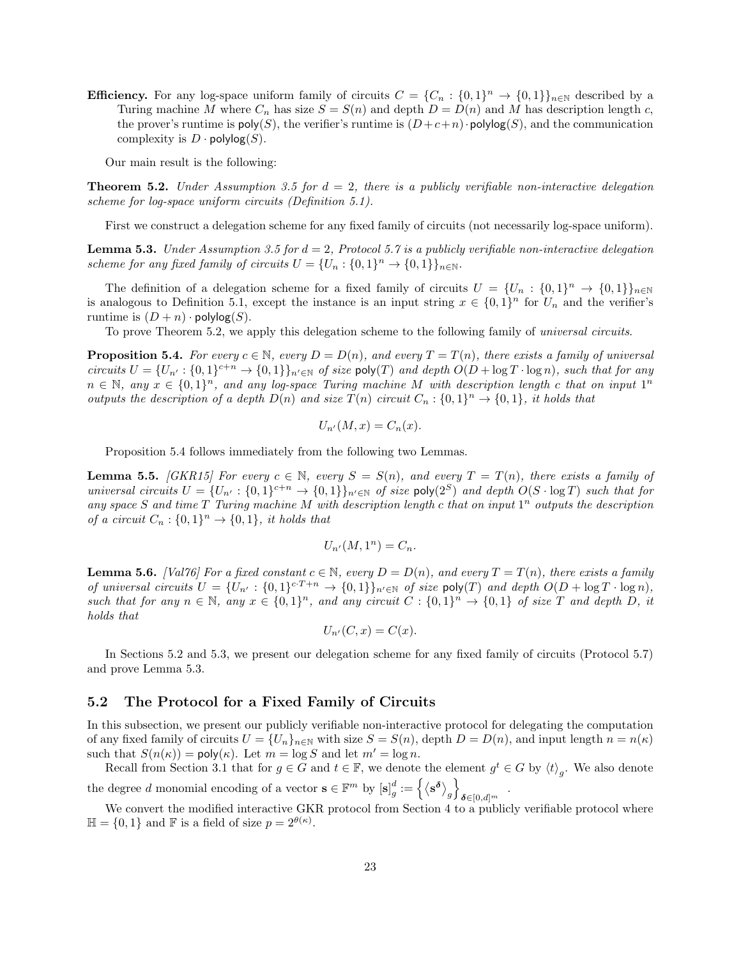**Efficiency.** For any log-space uniform family of circuits  $C = \{C_n : \{0,1\}^n \to \{0,1\}\}_{n \in \mathbb{N}}$  described by a Turing machine M where  $C_n$  has size  $S = S(n)$  and depth  $D = D(n)$  and M has description length c, the prover's runtime is  $\mathsf{poly}(S)$ , the verifier's runtime is  $(D+c+n)$ ·polylog(S), and the communication complexity is  $D \cdot \text{polylog}(S)$ .

Our main result is the following:

<span id="page-22-2"></span>**Theorem 5.2.** Under Assumption [3.5](#page-13-1) for  $d = 2$ , there is a publicly verifiable non-interactive delegation scheme for log-space uniform circuits (Definition [5.1\)](#page-21-2).

First we construct a delegation scheme for any fixed family of circuits (not necessarily log-space uniform).

<span id="page-22-4"></span>**Lemma 5.3.** Under Assumption [3.5](#page-13-1) for  $d = 2$ , Protocol [5.7](#page-22-1) is a publicly verifiable non-interactive delegation scheme for any fixed family of circuits  $U = \{U_n : \{0,1\}^n \to \{0,1\}\}_{n \in \mathbb{N}}$ .

The definition of a delegation scheme for a fixed family of circuits  $U = \{U_n : \{0,1\}^n \to \{0,1\}\}_{n\in\mathbb{N}}$ is analogous to Definition [5.1,](#page-21-2) except the instance is an input string  $x \in \{0,1\}^n$  for  $U_n$  and the verifier's runtime is  $(D + n) \cdot \text{polylog}(S)$ .

To prove Theorem [5.2,](#page-22-2) we apply this delegation scheme to the following family of universal circuits.

<span id="page-22-3"></span>**Proposition 5.4.** For every  $c \in \mathbb{N}$ , every  $D = D(n)$ , and every  $T = T(n)$ , there exists a family of universal circuits  $U = \{U_{n'} : \{0,1\}^{c+n} \to \{0,1\}\}_{n' \in \mathbb{N}}$  of size poly(T) and depth  $O(D + \log T \cdot \log n)$ , such that for any  $n \in \mathbb{N}$ , any  $x \in \{0,1\}^n$ , and any log-space Turing machine M with description length c that on input  $1^n$ outputs the description of a depth  $D(n)$  and size  $T(n)$  circuit  $C_n: \{0,1\}^n \to \{0,1\}$ , it holds that

$$
U_{n'}(M,x) = C_n(x).
$$

Proposition [5.4](#page-22-3) follows immediately from the following two Lemmas.

**Lemma 5.5.** [\[GKR15\]](#page-31-12) For every  $c \in \mathbb{N}$ , every  $S = S(n)$ , and every  $T = T(n)$ , there exists a family of universal circuits  $U = \{U_{n'} : \{0,1\}^{c+n} \to \{0,1\}\}_{n' \in \mathbb{N}}$  of size poly $(2^S)$  and depth  $O(S \cdot \log T)$  such that for any space S and time  $T$  Turing machine M with description length c that on input  $1^n$  outputs the description of a circuit  $C_n : \{0,1\}^n \to \{0,1\}$ , it holds that

$$
U_{n'}(M,1^n) = C_n.
$$

**Lemma 5.6.** [\[Val76\]](#page-32-15) For a fixed constant  $c \in \mathbb{N}$ , every  $D = D(n)$ , and every  $T = T(n)$ , there exists a family of universal circuits  $U = \{U_{n'} : \{0,1\}^{c\cdot T+n} \to \{0,1\}\}_{n' \in \mathbb{N}}$  of size poly(T) and depth  $O(D + \log T \cdot \log n)$ , such that for any  $n \in \mathbb{N}$ , any  $x \in \{0,1\}^n$ , and any circuit  $C: \{0,1\}^n \to \{0,1\}$  of size T and depth D, it holds that

$$
U_{n'}(C, x) = C(x).
$$

In Sections [5.2](#page-22-0) and [5.3,](#page-25-0) we present our delegation scheme for any fixed family of circuits (Protocol [5.7\)](#page-22-1) and prove Lemma [5.3.](#page-22-4)

### <span id="page-22-0"></span>5.2 The Protocol for a Fixed Family of Circuits

In this subsection, we present our publicly verifiable non-interactive protocol for delegating the computation of any fixed family of circuits  $U = \{U_n\}_{n\in\mathbb{N}}$  with size  $S = S(n)$ , depth  $D = D(n)$ , and input length  $n = n(\kappa)$ such that  $S(n(\kappa)) = \text{poly}(\kappa)$ . Let  $m = \log S$  and let  $m' = \log n$ .

Recall from Section [3.1](#page-11-0) that for  $g \in \tilde{G}$  and  $t \in \mathbb{F}$ , we denote the element  $g^t \in G$  by  $\langle t \rangle_g$ . We also denote the degree d monomial encoding of a vector  $\mathbf{s} \in \mathbb{F}^m$  by  $[\mathbf{s}]_g^d := \{ \langle \mathbf{s}^{\delta} \rangle_g \}$  $\delta \in ]0,d]^m$ .

<span id="page-22-1"></span>We convert the modified interactive GKR protocol from Section [4](#page-17-0) to a publicly verifiable protocol where  $\mathbb{H} = \{0, 1\}$  and F is a field of size  $p = 2^{\theta(\kappa)}$ .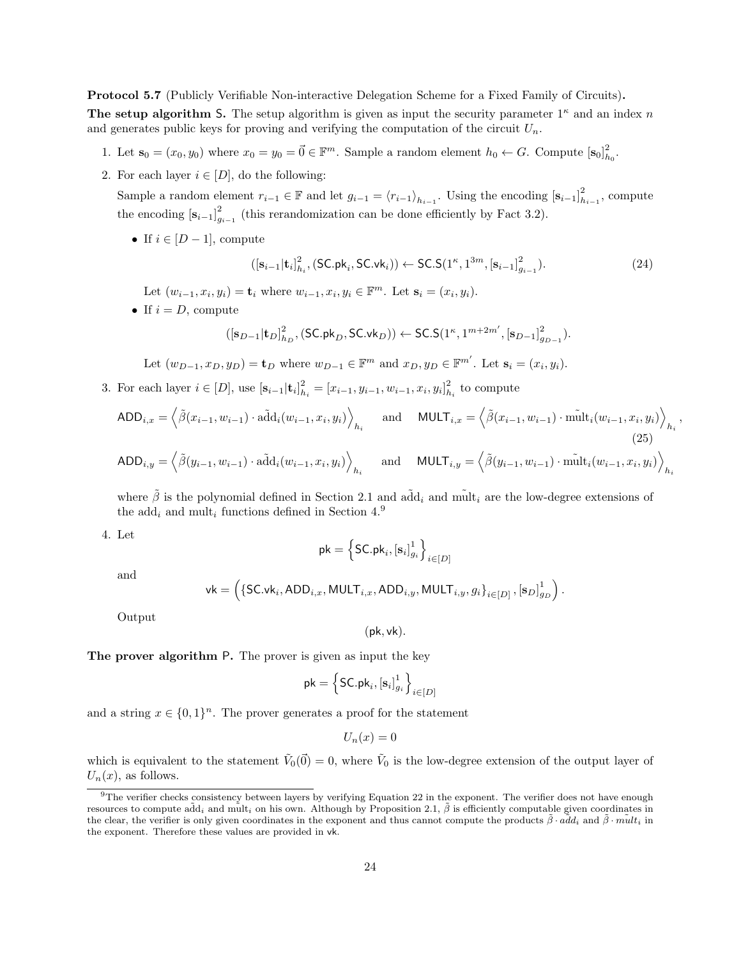Protocol 5.7 (Publicly Verifiable Non-interactive Delegation Scheme for a Fixed Family of Circuits).

The setup algorithm S. The setup algorithm is given as input the security parameter  $1^{\kappa}$  and an index n and generates public keys for proving and verifying the computation of the circuit  $U_n$ .

- 1. Let  $\mathbf{s}_0 = (x_0, y_0)$  where  $x_0 = y_0 = \vec{0} \in \mathbb{F}^m$ . Sample a random element  $h_0 \leftarrow G$ . Compute  $[\mathbf{s}_0]_{h_0}^2$ .
- 2. For each layer  $i \in [D]$ , do the following:

Sample a random element  $r_{i-1} \in \mathbb{F}$  and let  $g_{i-1} = \langle r_{i-1} \rangle_{h_{i-1}}$ . Using the encoding  $[s_{i-1}]_{h_{i-1}}^2$ , compute the encoding  $[s_{i-1}]_{g_{i-1}}^2$  (this rerandomization can be done efficiently by Fact [3.2\)](#page-11-2).

• If  $i \in [D-1]$ , compute

<span id="page-23-1"></span>
$$
([\mathbf{s}_{i-1}|\mathbf{t}_{i}]_{h_i}^2, (\mathsf{SC}, \mathsf{pk}_{i}, \mathsf{SC}.\mathsf{vk}_{i})) \leftarrow \mathsf{SC}.\mathsf{S}(1^{\kappa}, 1^{3m}, [\mathbf{s}_{i-1}]_{g_{i-1}}^2). \tag{24}
$$

Let  $(w_{i-1}, x_i, y_i) = \mathbf{t}_i$  where  $w_{i-1}, x_i, y_i \in \mathbb{F}^m$ . Let  $\mathbf{s}_i = (x_i, y_i)$ .

• If  $i = D$ , compute

$$
([\mathbf{s}_{D-1}|\mathbf{t}_D]_{h_D}^2,(\mathsf{SC}. \mathsf{pk}_D,\mathsf{SC}. \mathsf{vk}_D)) \leftarrow \mathsf{SC}. \mathsf{S}(1^{\kappa},1^{m+2m'},[\mathbf{s}_{D-1}]_{g_{D-1}}^2).
$$

Let 
$$
(w_{D-1}, x_D, y_D) = \mathbf{t}_D
$$
 where  $w_{D-1} \in \mathbb{F}^m$  and  $x_D, y_D \in \mathbb{F}^{m'}$ . Let  $\mathbf{s}_i = (x_i, y_i)$ .

3. For each layer  $i \in [D]$ , use  $[\mathbf{s}_{i-1}|\mathbf{t}_i]_{h_i}^2 = [x_{i-1}, y_{i-1}, w_{i-1}, x_i, y_i]_{h_i}^2$  to compute

$$
\text{ADD}_{i,x} = \left\langle \tilde{\beta}(x_{i-1}, w_{i-1}) \cdot \tilde{\text{add}}_i(w_{i-1}, x_i, y_i) \right\rangle_{h_i} \quad \text{and} \quad \text{MULT}_{i,x} = \left\langle \tilde{\beta}(x_{i-1}, w_{i-1}) \cdot \tilde{\text{mult}}_i(w_{i-1}, x_i, y_i) \right\rangle_{h_i},
$$
\n
$$
\text{ADD}_{i,y} = \left\langle \tilde{\beta}(y_{i-1}, w_{i-1}) \cdot \tilde{\text{add}}_i(w_{i-1}, x_i, y_i) \right\rangle_{h_i} \quad \text{and} \quad \text{MULT}_{i,y} = \left\langle \tilde{\beta}(y_{i-1}, w_{i-1}) \cdot \tilde{\text{mult}}_i(w_{i-1}, x_i, y_i) \right\rangle_{h_i}.
$$
\n
$$
(25)
$$

where  $\tilde{\beta}$  is the polynomial defined in Section [2.1](#page-9-1) and add<sub>i</sub> and mult<sub>i</sub> are the low-degree extensions of the add<sub>i</sub> and mult<sub>i</sub> functions defined in Section  $4.9$  $4.9$ 

4. Let

<span id="page-23-2"></span>
$$
\mathsf{pk} = \left\{\mathsf{SC}.\mathsf{pk}_i, [\mathbf{s}_i]_{g_i}^1\right\}_{i \in [D]}
$$

and

$$
\mathsf{vk} = \left( \{\mathsf{SC}.\mathsf{vk}_i, \mathsf{ADD}_{i,x}, \mathsf{MULT}_{i,x}, \mathsf{ADD}_{i,y}, \mathsf{MULT}_{i,y}, g_i\}_{i \in [D]}, [\mathbf{s}_D]_{g_D}^1 \right).
$$

(pk, vk).

Output

The prover algorithm P. The prover is given as input the key

$$
\mathsf{pk} = \left\{\mathsf{SC}.\mathsf{pk}_i, [\mathbf{s}_i]_{g_i}^1\right\}_{i \in [D]}
$$

and a string  $x \in \{0,1\}^n$ . The prover generates a proof for the statement

 $U_n(x)=0$ 

which is equivalent to the statement  $\tilde{V}_0(\vec{0}) = 0$ , where  $\tilde{V}_0$  is the low-degree extension of the output layer of  $U_n(x)$ , as follows.

<span id="page-23-0"></span><sup>&</sup>lt;sup>9</sup>The verifier checks consistency between layers by verifying Equation [22](#page-18-1) in the exponent. The verifier does not have enough resources to compute add<sub>i</sub> and mult<sub>i</sub> on his own. Although by Proposition [2.1,](#page-9-4)  $\tilde{\beta}$  is efficiently computable given coordinates in the clear, the verifier is only given coordinates in the exponent and thus cannot compute the products  $\tilde{\beta} \cdot \tilde{a} \tilde{d} d_i$  and  $\tilde{\beta} \cdot \tilde{m} u l_i$  in the exponent. Therefore these values are provided in vk.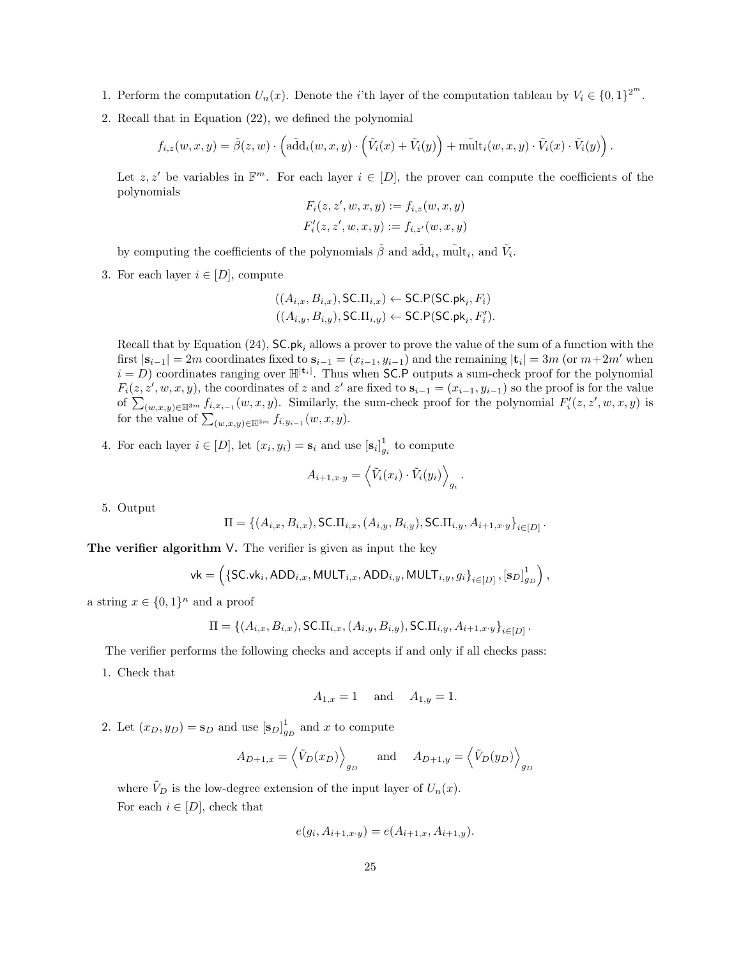- 1. Perform the computation  $U_n(x)$ . Denote the *i*'th layer of the computation tableau by  $V_i \in \{0,1\}^{2^m}$ .
- 2. Recall that in Equation [\(22\)](#page-18-1), we defined the polynomial

$$
f_{i,z}(w,x,y) = \tilde{\beta}(z,w) \cdot \left( \tilde{\text{add}}_i(w,x,y) \cdot \left( \tilde{V}_i(x) + \tilde{V}_i(y) \right) + \tilde{\text{mult}}_i(w,x,y) \cdot \tilde{V}_i(x) \cdot \tilde{V}_i(y) \right).
$$

Let  $z, z'$  be variables in  $\mathbb{F}^m$ . For each layer  $i \in [D]$ , the prover can compute the coefficients of the polynomials

$$
F_i(z, z', w, x, y) := f_{i,z}(w, x, y)
$$
  

$$
F'_i(z, z', w, x, y) := f_{i,z'}(w, x, y)
$$

by computing the coefficients of the polynomials  $\tilde{\beta}$  and  $\tilde{\text{add}}_i$ ,  $\text{mult}_i$ , and  $\tilde{V}_i$ .

3. For each layer  $i \in [D]$ , compute

$$
((A_{i,x}, B_{i,x}), \mathsf{S}\mathsf{C}\mathsf{.}\Pi_{i,x}) \leftarrow \mathsf{SC}\mathsf{.}\mathsf{P}(\mathsf{S}\mathsf{C}\mathsf{.}\mathsf{pk}_i, F_i)
$$
  

$$
((A_{i,y}, B_{i,y}), \mathsf{S}\mathsf{C}\mathsf{.}\Pi_{i,y}) \leftarrow \mathsf{S}\mathsf{C}\mathsf{.}\mathsf{P}(\mathsf{S}\mathsf{C}\mathsf{.}\mathsf{pk}_i, F'_i).
$$

Recall that by Equation [\(24\)](#page-23-1),  $SC$ .pk<sub>i</sub> allows a prover to prove the value of the sum of a function with the first  $|\mathbf{s}_{i-1}| = 2m$  coordinates fixed to  $\mathbf{s}_{i-1} = (x_{i-1}, y_{i-1})$  and the remaining  $|\mathbf{t}_i| = 3m$  (or  $m+2m'$  when  $i = D$ ) coordinates ranging over  $\mathbb{H}^{|\mathbf{t}_i|}$ . Thus when SC.P outputs a sum-check proof for the polynomial  $F_i(z, z', w, x, y)$ , the coordinates of z and z' are fixed to  $s_{i-1} = (x_{i-1}, y_{i-1})$  so the proof is for the value of  $\sum_{(w,x,y)\in\mathbb{H}^{3m}} f_{i,x_{i-1}}(w,x,y)$ . Similarly, the sum-check proof for the polynomial  $F_i'(z,z',w,x,y)$  is for the value of  $\sum_{(w,x,y)\in\mathbb{H}^{3m}} f_{i,y_{i-1}}(w,x,y)$ .

4. For each layer  $i \in [D]$ , let  $(x_i, y_i) = \mathbf{s}_i$  and use  $[\mathbf{s}_i]_{g_i}^1$  to compute

$$
A_{i+1,x\cdot y} = \left\langle \tilde{V}_i(x_i) \cdot \tilde{V}_i(y_i) \right\rangle_{g_i}.
$$

5. Output

$$
\Pi = \{ (A_{i,x}, B_{i,x}), \textsf{SC}.\Pi_{i,x}, (A_{i,y}, B_{i,y}), \textsf{SC}.\Pi_{i,y}, A_{i+1,x\cdot y} \}_{i \in [D]}.
$$

The verifier algorithm V. The verifier is given as input the key

$$
\mathsf{vk} = \left(\{\mathsf{SC}.\mathsf{vk}_i, \mathsf{ADD}_{i,x}, \mathsf{MULT}_{i,x}, \mathsf{ADD}_{i,y}, \mathsf{MULT}_{i,y}, g_i\}_{i \in [D]}, \left[\mathbf{s}_D\right]_{g_D}^1\right),
$$

a string  $x \in \{0,1\}^n$  and a proof

$$
\Pi = \{(A_{i,x}, B_{i,x}), \textsf{SC}.\Pi_{i,x}, (A_{i,y}, B_{i,y}), \textsf{SC}.\Pi_{i,y}, A_{i+1,x\cdot y}\}_{i\in [D]}.
$$

The verifier performs the following checks and accepts if and only if all checks pass:

1. Check that

$$
A_{1,x} = 1
$$
 and  $A_{1,y} = 1$ .

2. Let  $(x_D, y_D) = \mathbf{s}_D$  and use  $[\mathbf{s}_D]_{g_D}^1$  and x to compute

$$
A_{D+1,x} = \left\langle \tilde{V}_D(x_D) \right\rangle_{g_D} \quad \text{and} \quad A_{D+1,y} = \left\langle \tilde{V}_D(y_D) \right\rangle_{g_D}
$$

where  $V_D$  is the low-degree extension of the input layer of  $U_n(x)$ .

For each  $i \in [D]$ , check that

$$
e(g_i, A_{i+1,x\cdot y}) = e(A_{i+1,x}, A_{i+1,y}).
$$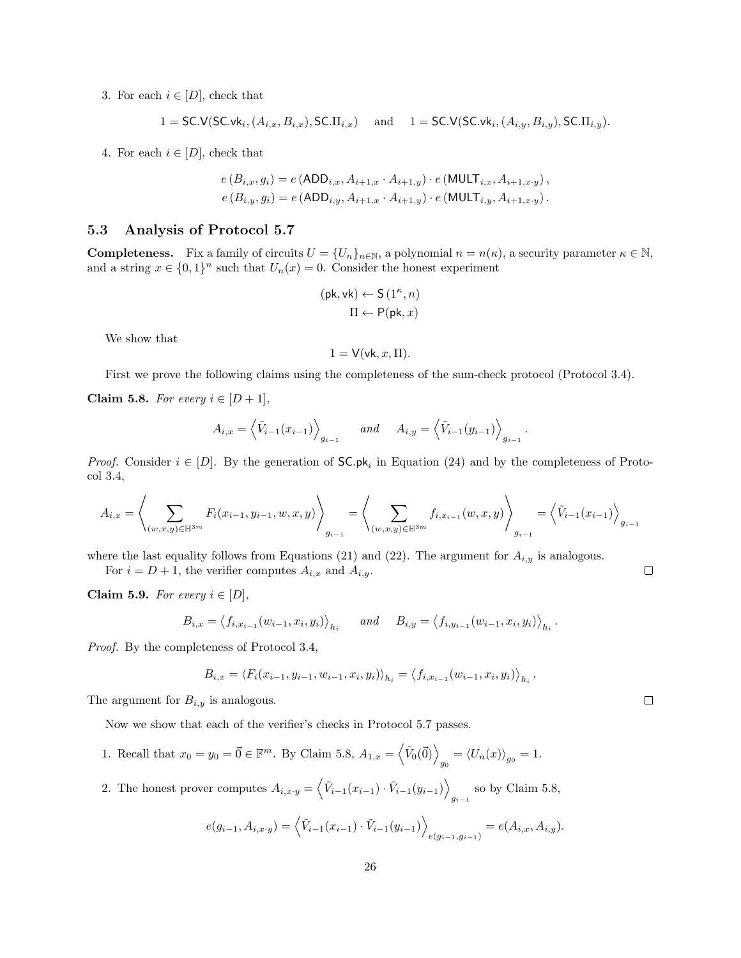3. For each  $i \in [D]$ , check that

$$
1 = \mathsf{SC.V}(\mathsf{SC.vk}_i, (A_{i,x}, B_{i,x}), \mathsf{SC.T}_{i,x}) \quad \text{ and } \quad 1 = \mathsf{SC.V}(\mathsf{SC.vk}_i, (A_{i,y}, B_{i,y}), \mathsf{SC.T}_{i,y}).
$$

4. For each  $i \in [D]$ , check that

$$
e(B_{i,x}, g_i) = e(ADD_{i,x}, A_{i+1,x} \cdot A_{i+1,y}) \cdot e(MULT_{i,x}, A_{i+1,x \cdot y}),
$$
  

$$
e(B_{i,y}, g_i) = e(ADD_{i,y}, A_{i+1,x} \cdot A_{i+1,y}) \cdot e(MULT_{i,y}, A_{i+1,x \cdot y}).
$$

### <span id="page-25-0"></span>5.3 Analysis of Protocol [5.7](#page-22-1)

**Completeness.** Fix a family of circuits  $U = \{U_n\}_{n \in \mathbb{N}}$ , a polynomial  $n = n(\kappa)$ , a security parameter  $\kappa \in \mathbb{N}$ , and a string  $x \in \{0,1\}^n$  such that  $U_n(x) = 0$ . Consider the honest experiment

$$
\begin{aligned} (\mathsf{pk},\mathsf{vk}) \leftarrow \mathsf{S}\left(1^\kappa,n\right) \\ \Pi \leftarrow \mathsf{P}(\mathsf{pk},x) \end{aligned}
$$

We show that

$$
1 = V(\mathsf{vk}, x, \Pi).
$$

First we prove the following claims using the completeness of the sum-check protocol (Protocol [3.4\)](#page-12-1).

<span id="page-25-1"></span>Claim 5.8. For every  $i \in [D+1]$ ,

$$
A_{i,x} = \left\langle \tilde{V}_{i-1}(x_{i-1}) \right\rangle_{g_{i-1}} \quad \text{and} \quad A_{i,y} = \left\langle \tilde{V}_{i-1}(y_{i-1}) \right\rangle_{g_{i-1}}
$$

*Proof.* Consider  $i \in [D]$ . By the generation of  $SC$ . $pk_i$  in Equation [\(24\)](#page-23-1) and by the completeness of Protocol [3.4,](#page-12-1)

$$
A_{i,x} = \left\langle \sum_{(w,x,y)\in \mathbb{H}^{3m}} F_i(x_{i-1}, y_{i-1}, w, x, y) \right\rangle_{g_{i-1}} = \left\langle \sum_{(w,x,y)\in \mathbb{H}^{3m}} f_{i,x_{i-1}}(w,x,y) \right\rangle_{g_{i-1}} = \left\langle \tilde{V}_{i-1}(x_{i-1}) \right\rangle_{g_{i-1}}
$$

where the last equality follows from Equations [\(21\)](#page-18-2) and [\(22\)](#page-18-1). The argument for  $A_{i,y}$  is analogous.

For  $i = D + 1$ , the verifier computes  $A_{i,x}$  and  $A_{i,y}$ .

<span id="page-25-2"></span>Claim 5.9. For every  $i \in [D]$ ,

$$
B_{i,x} = \langle f_{i,x_{i-1}}(w_{i-1}, x_i, y_i) \rangle_{h_i}
$$
 and  $B_{i,y} = \langle f_{i,y_{i-1}}(w_{i-1}, x_i, y_i) \rangle_{h_i}$ .

Proof. By the completeness of Protocol [3.4,](#page-12-1)

$$
B_{i,x} = \langle F_i(x_{i-1}, y_{i-1}, w_{i-1}, x_i, y_i) \rangle_{h_i} = \langle f_{i,x_{i-1}}(w_{i-1}, x_i, y_i) \rangle_{h_i}
$$

The argument for  $B_{i,y}$  is analogous.

Now we show that each of the verifier's checks in Protocol [5.7](#page-22-1) passes.

- 1. Recall that  $x_0 = y_0 = \vec{0} \in \mathbb{F}^m$ . By Claim [5.8,](#page-25-1)  $A_{1,x} = \langle \tilde{V}_0(\vec{0}) \rangle_{g_0} = \langle U_n(x) \rangle_{g_0} = 1$ .
- 2. The honest prover computes  $A_{i,x\cdot y} = \langle \tilde{V}_{i-1}(x_{i-1}) \cdot \tilde{V}_{i-1}(y_{i-1}) \rangle$ so by Claim [5.8,](#page-25-1)  $g_{i-1}$

$$
e(g_{i-1}, A_{i,x\cdot y}) = \left\langle \tilde{V}_{i-1}(x_{i-1}) \cdot \tilde{V}_{i-1}(y_{i-1}) \right\rangle_{e(g_{i-1}, g_{i-1})} = e(A_{i,x}, A_{i,y}).
$$

 $\Box$ 

 $\Box$ 

.

.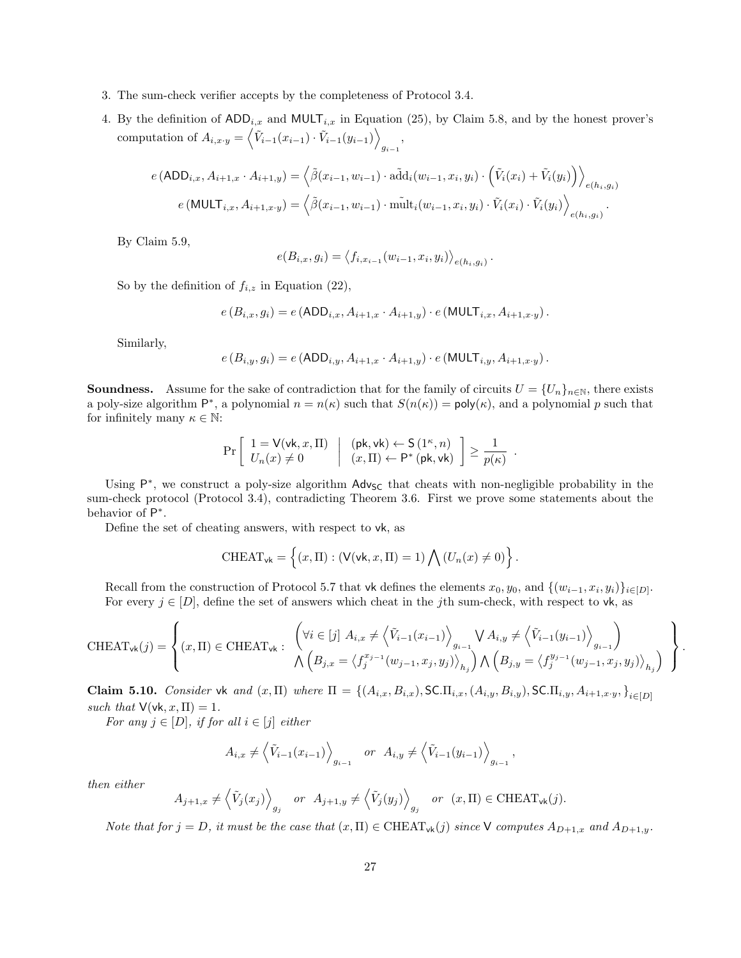- 3. The sum-check verifier accepts by the completeness of Protocol [3.4.](#page-12-1)
- 4. By the definition of  $ADD_{i,x}$  and  $MULT_{i,x}$  in Equation [\(25\)](#page-23-2), by Claim [5.8,](#page-25-1) and by the honest prover's computation of  $A_{i,x\cdot y} = \langle \tilde{V}_{i-1}(x_{i-1}) \cdot \tilde{V}_{i-1}(y_{i-1}) \rangle$  $g_{i-1}$ <sup>,</sup>

$$
e (ADD_{i,x}, A_{i+1,x} \cdot A_{i+1,y}) = \left\langle \tilde{\beta}(x_{i-1}, w_{i-1}) \cdot \tilde{\text{add}}_i(w_{i-1}, x_i, y_i) \cdot (\tilde{V}_i(x_i) + \tilde{V}_i(y_i)) \right\rangle_{e(h_i, g_i)}
$$

$$
e (MULT_{i,x}, A_{i+1,x} \cdot y) = \left\langle \tilde{\beta}(x_{i-1}, w_{i-1}) \cdot \tilde{\text{mult}}_i(w_{i-1}, x_i, y_i) \cdot \tilde{V}_i(x_i) \cdot \tilde{V}_i(y_i) \right\rangle_{e(h_i, g_i)}.
$$

By Claim [5.9,](#page-25-2)

$$
e(B_{i,x}, g_i) = \langle f_{i,x_{i-1}}(w_{i-1}, x_i, y_i) \rangle_{e(h_i, g_i)}.
$$

So by the definition of  $f_{i,z}$  in Equation [\(22\)](#page-18-1),

$$
e\left(B_{i,x}, g_i\right) = e\left(\text{ADD}_{i,x}, A_{i+1,x} \cdot A_{i+1,y}\right) \cdot e\left(\text{MULT}_{i,x}, A_{i+1,x \cdot y}\right).
$$

Similarly,

$$
e(B_{i,y}, g_i) = e(\text{ADD}_{i,y}, A_{i+1,x} \cdot A_{i+1,y}) \cdot e(\text{MULT}_{i,y}, A_{i+1,x \cdot y}).
$$

**Soundness.** Assume for the sake of contradiction that for the family of circuits  $U = \{U_n\}_{n \in \mathbb{N}}$ , there exists a poly-size algorithm  $\mathsf{P}^*$ , a polynomial  $n = n(\kappa)$  such that  $S(n(\kappa)) = \mathsf{poly}(\kappa)$ , and a polynomial p such that for infinitely many  $\kappa \in \mathbb{N}$ :

$$
\Pr\left[\begin{array}{c} 1 = \mathsf{V}(\mathsf{vk}, x, \Pi) \\ U_n(x) \neq 0 \end{array} \middle| \begin{array}{c} (\mathsf{pk}, \mathsf{vk}) \leftarrow \mathsf{S}(1^\kappa, n) \\ (x, \Pi) \leftarrow \mathsf{P}^*(\mathsf{pk}, \mathsf{vk}) \end{array} \right] \ge \frac{1}{p(\kappa)}.
$$

Using P<sup>\*</sup>, we construct a poly-size algorithm Adv<sub>SC</sub> that cheats with non-negligible probability in the sum-check protocol (Protocol [3.4\)](#page-12-1), contradicting Theorem [3.6.](#page-13-2) First we prove some statements about the behavior of  $P^*$ .

Define the set of cheating answers, with respect to vk, as

$$
\text{CHEAT}_{\mathsf{vk}} = \left\{ (x, \Pi) : (\mathsf{V}(\mathsf{vk}, x, \Pi) = 1) \bigwedge (U_n(x) \neq 0) \right\}.
$$

Recall from the construction of Protocol [5.7](#page-22-1) that vk defines the elements  $x_0, y_0$ , and  $\{(w_{i-1}, x_i, y_i)\}_{i \in [D]}$ . For every  $j \in [D]$ , define the set of answers which cheat in the jth sum-check, with respect to vk, as

$$
\text{CHEAT}_{\mathsf{vk}}(j) = \left\{ (x, \Pi) \in \text{CHEAT}_{\mathsf{vk}} : \begin{array}{l} \left( \forall i \in [j] \ A_{i,x} \neq \left\langle \tilde{V}_{i-1}(x_{i-1}) \right\rangle_{g_{i-1}} \bigvee A_{i,y} \neq \left\langle \tilde{V}_{i-1}(y_{i-1}) \right\rangle_{g_{i-1}} \\ \bigwedge \left( B_{j,x} = \left\langle f_j^{x_{j-1}}(w_{j-1}, x_j, y_j) \right\rangle_{h_j} \right) \bigwedge \left( B_{j,y} = \left\langle f_j^{y_{j-1}}(w_{j-1}, x_j, y_j) \right\rangle_{h_j} \right) \end{array} \right\}.
$$

<span id="page-26-0"></span>Claim 5.10. Consider vk and  $(x, \Pi)$  where  $\Pi = \{(A_{i,x}, B_{i,x}), \textsf{SCII}_{i,x}, (A_{i,y}, B_{i,y}), \textsf{SCII}_{i,y}, A_{i+1,x\cdot y}, \}_{i\in[D]}$ such that  $V(\mathsf{vk}, x, \Pi) = 1$ .

For any  $j \in [D]$ , if for all  $i \in [j]$  either

$$
A_{i,x} \neq \left\langle \tilde{V}_{i-1}(x_{i-1}) \right\rangle_{g_{i-1}}
$$
 or  $A_{i,y} \neq \left\langle \tilde{V}_{i-1}(y_{i-1}) \right\rangle_{g_{i-1}},$ 

then either

$$
A_{j+1,x} \neq \left\langle \tilde{V}_j(x_j) \right\rangle_{g_j} \quad \text{or} \quad A_{j+1,y} \neq \left\langle \tilde{V}_j(y_j) \right\rangle_{g_j} \quad \text{or} \quad (x,\Pi) \in \text{CHEAT}_{\mathsf{vk}}(j).
$$

Note that for  $j = D$ , it must be the case that  $(x, \Pi) \in \text{CHEAT}_{\text{vk}}(j)$  since V computes  $A_{D+1,x}$  and  $A_{D+1,y}$ .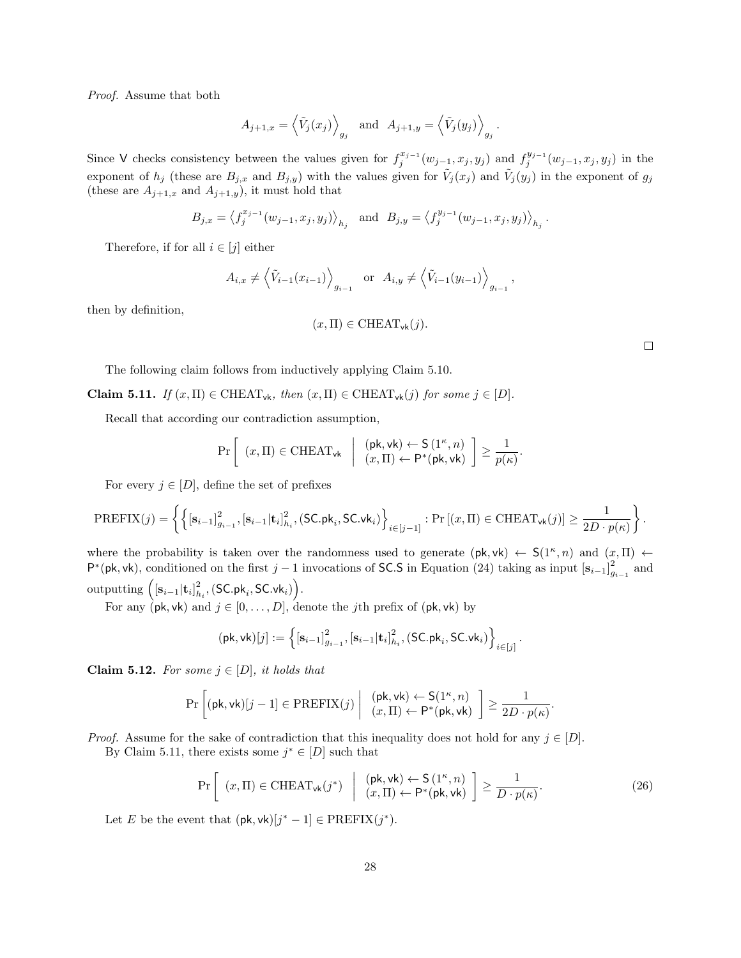Proof. Assume that both

$$
A_{j+1,x} = \left\langle \tilde{V}_j(x_j) \right\rangle_{g_j}
$$
 and  $A_{j+1,y} = \left\langle \tilde{V}_j(y_j) \right\rangle_{g_j}$ .

Since V checks consistency between the values given for  $f_j^{x_{j-1}}(w_{j-1}, x_j, y_j)$  and  $f_j^{y_{j-1}}(w_{j-1}, x_j, y_j)$  in the exponent of  $h_j$  (these are  $B_{j,x}$  and  $B_{j,y}$ ) with the values given for  $\tilde{V}_j(x_j)$  and  $\tilde{V}_j(y_j)$  in the exponent of  $g_j$ (these are  $A_{j+1,x}$  and  $A_{j+1,y}$ ), it must hold that

$$
B_{j,x} = \langle f_j^{x_{j-1}}(w_{j-1}, x_j, y_j) \rangle_{h_j}
$$
 and  $B_{j,y} = \langle f_j^{y_{j-1}}(w_{j-1}, x_j, y_j) \rangle_{h_j}$ .

Therefore, if for all  $i \in [j]$  either

$$
A_{i,x} \neq \left\langle \tilde{V}_{i-1}(x_{i-1}) \right\rangle_{g_{i-1}}
$$
 or  $A_{i,y} \neq \left\langle \tilde{V}_{i-1}(y_{i-1}) \right\rangle_{g_{i-1}},$ 

then by definition,

$$
(x,\Pi) \in \text{CHEAT}_{\text{vk}}(j).
$$

The following claim follows from inductively applying Claim [5.10.](#page-26-0)

<span id="page-27-0"></span>Claim 5.11. If  $(x,\Pi) \in \text{CHEAT}_{\forall k}$ , then  $(x,\Pi) \in \text{CHEAT}_{\forall k}(j)$  for some  $j \in [D]$ .

Recall that according our contradiction assumption,

$$
\Pr\left[\begin{array}{c}(x,\Pi) \in \text{CHEAT}_{\text{vk}}\\(x,\Pi) \leftarrow P^*(\text{pk},\text{vk})\end{array}\middle| \begin{array}{c}(x,\Pi) \leftarrow P^*(\text{pk},\text{vk})\\(x,\Pi) \leftarrow P^*(\text{pk},\text{vk})\end{array}\right]\geq \frac{1}{p(\kappa)}
$$

For every  $j \in [D]$ , define the set of prefixes

$$
\text{PREFIX}(j) = \left\{ \left\{ \left[\mathbf{s}_{i-1}\right]_{g_{i-1}}^{2}, \left[\mathbf{s}_{i-1}|\mathbf{t}_{i}\right]_{h_{i}}^{2}, \left(\text{SC}, \mathsf{pk}_{i}, \text{SC}, \mathsf{vk}_{i}\right) \right\}_{i \in [j-1]} : \Pr\left[(x, \Pi) \in \text{CHEAT}_{\mathsf{vk}}(j)\right] \ge \frac{1}{2D \cdot p(\kappa)} \right\}.
$$

where the probability is taken over the randomness used to generate  $(\mathsf{pk}, \mathsf{vk}) \leftarrow S(1^{\kappa}, n)$  and  $(x, \Pi) \leftarrow$  $\mathsf{P}^*(\mathsf{pk},\mathsf{vk})$ , conditioned on the first j – 1 invocations of SC.S in Equation [\(24\)](#page-23-1) taking as input  $\left[\mathbf{s}_{i-1}\right]_{g_{i-1}}^2$  and outputting  $\left( [\mathbf{s}_{i-1}|\mathbf{t}_{i}]_{h_{i}}^{2},\left(\mathsf{SC}.\mathsf{pk}_{i},\mathsf{SC}.\mathsf{vk}_{i}\right) \right)$ .

For any ( $\phi$ k, vk) and  $j \in [0, \ldots, D]$ , denote the jth prefix of ( $\phi$ k, vk) by

$$
(\mathsf{pk},\mathsf{vk})[j] := \left\{ [\mathbf{s}_{i-1}]_{g_{i-1}}^2, [\mathbf{s}_{i-1}|\mathbf{t}_i]_{h_i}^2, (\mathsf{SC},\mathsf{pk}_i,\mathsf{SC}.\mathsf{vk}_i) \right\}_{i \in [j]}.
$$

<span id="page-27-2"></span>Claim 5.12. For some  $j \in [D]$ , it holds that

$$
\Pr\left[(\mathsf{pk},\mathsf{vk})[j-1] \in \mathrm{PREFIX}(j) \middle| \begin{array}{c} (\mathsf{pk},\mathsf{vk}) \leftarrow \mathsf{S}(1^\kappa,n) \\ (x,\Pi) \leftarrow \mathsf{P}^*(\mathsf{pk},\mathsf{vk}) \end{array}\right] \geq \frac{1}{2D\cdot p(\kappa)}.
$$

*Proof.* Assume for the sake of contradiction that this inequality does not hold for any  $j \in [D]$ . By Claim [5.11,](#page-27-0) there exists some  $j^* \in [D]$  such that

$$
\Pr\left[\begin{array}{c}(x,\Pi)\in\text{CHEAT}_{\mathsf{vk}}(j^*)\end{array}\middle|\begin{array}{c}( \mathsf{pk},\mathsf{vk})\leftarrow \mathsf{S}(1^{\kappa},n)\\ (x,\Pi)\leftarrow \mathsf{P}^*(\mathsf{pk},\mathsf{vk})\end{array}\right]\geq \frac{1}{D\cdot p(\kappa)}.\tag{26}
$$

Let E be the event that  $(\mathsf{pk}, \mathsf{vk})[j^* - 1] \in \mathrm{PREFIX}(j^*).$ 

 $\Box$ 

<span id="page-27-1"></span>.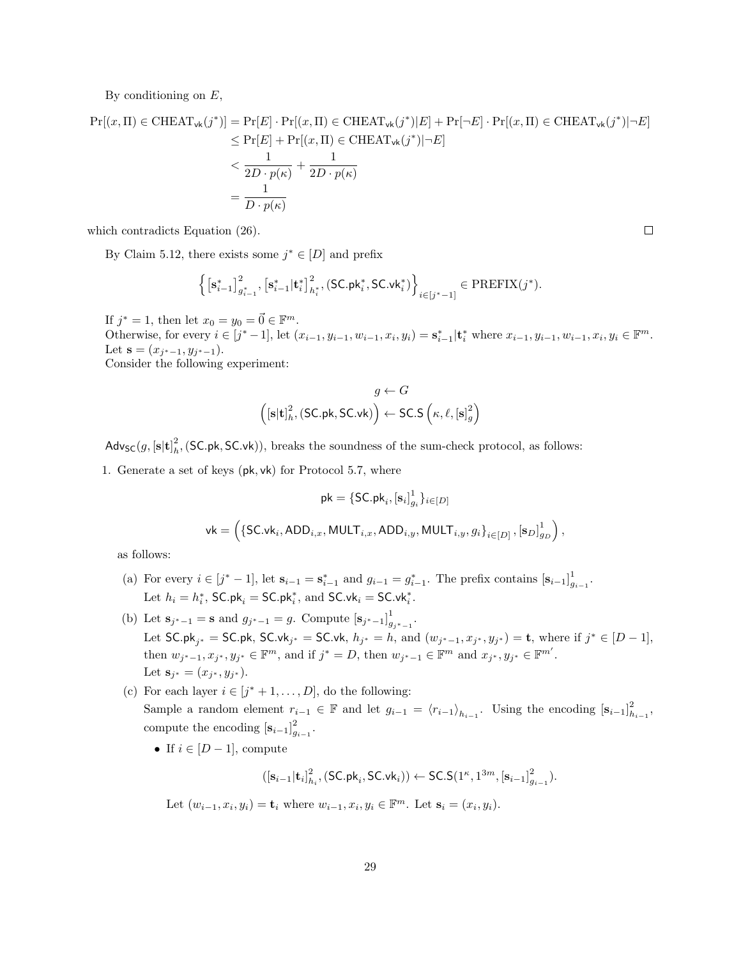By conditioning on  $E$ ,

$$
\Pr[(x,\Pi) \in \text{CHEAT}_{\text{vk}}(j^*)] = \Pr[E] \cdot \Pr[(x,\Pi) \in \text{CHEAT}_{\text{vk}}(j^*)|E] + \Pr[\neg E] \cdot \Pr[(x,\Pi) \in \text{CHEAT}_{\text{vk}}(j^*)|\neg E]
$$
  
\n
$$
\leq \Pr[E] + \Pr[(x,\Pi) \in \text{CHEAT}_{\text{vk}}(j^*)|\neg E]
$$
  
\n
$$
< \frac{1}{2D \cdot p(\kappa)} + \frac{1}{2D \cdot p(\kappa)}
$$
  
\n
$$
= \frac{1}{D \cdot p(\kappa)}
$$

which contradicts Equation [\(26\)](#page-27-1).

By Claim [5.12,](#page-27-2) there exists some  $j^* \in [D]$  and prefix

$$
\left\{\left[\mathbf{s}_{i-1}^*\right]_{g_{i-1}^*}^2,\left[\mathbf{s}_{i-1}^*\vert\mathbf{t}_{i}^*\right]_{h_i^*}^2,\left(\mathsf{SC}.\mathsf{pk}_i^*,\mathsf{SC}.\mathsf{vk}_i^*\right)\right\}_{i\in[j^*-1]} \in \mathrm{PREFIX}(j^*).
$$

If  $j^* = 1$ , then let  $x_0 = y_0 = \vec{0} \in \mathbb{F}^m$ . Otherwise, for every  $i \in [j^*-1]$ , let  $(x_{i-1}, y_{i-1}, w_{i-1}, x_i, y_i) = \mathbf{s}_{i-1}^* | \mathbf{t}_i^*$  where  $x_{i-1}, y_{i-1}, w_{i-1}, x_i, y_i \in \mathbb{F}^m$ . Let  $\mathbf{s} = (x_{j^*-1}, y_{j^*-1}).$ Consider the following experiment:

$$
g \leftarrow G
$$

$$
\left( [\mathbf{s}|\mathbf{t}]_h^2, (\mathsf{SC}.\mathsf{pk}, \mathsf{SC}.\mathsf{vk}) \right) \leftarrow \mathsf{SC.S}\left( \kappa, \ell, [\mathbf{s}]_g^2 \right)
$$

 $\mathsf{Adv}_{\mathsf{SC}}(g, [\mathbf{s}|\mathbf{t}]_h^2, (\mathsf{SC}.\mathsf{pk}, \mathsf{SC}.\mathsf{vk})),$  breaks the soundness of the sum-check protocol, as follows:

1. Generate a set of keys (pk, vk) for Protocol [5.7,](#page-22-1) where

$$
\mathsf{pk} = \left\{\mathsf{SC}.\mathsf{pk}_i, [\mathbf{s}_i]_{g_i}^1\}_{i \in [D]} \right.\\ \left. \mathsf{vk} = \left(\{\mathsf{SC}.\mathsf{vk}_i, \mathsf{ADD}_{i,x}, \mathsf{MULT}_{i,x}, \mathsf{ADD}_{i,y}, \mathsf{MULT}_{i,y}, g_i\}_{i \in [D]}, [\mathbf{s}_D]_{g_D}^1\right),
$$

as follows:

(a) For every 
$$
i \in [j^*-1]
$$
, let  $\mathbf{s}_{i-1} = \mathbf{s}_{i-1}^*$  and  $g_{i-1} = g_{i-1}^*$ . The prefix contains  $[\mathbf{s}_{i-1}]_{g_{i-1}}^1$ . Let  $h_i = h_i^*$ ,  $SC \cdot \mathbf{pk}_i = SC \cdot \mathbf{pk}_i^*$ , and  $SC \cdot \mathbf{vk}_i = SC \cdot \mathbf{vk}_i^*$ .

- (b) Let  $s_{j^*-1} = s$  and  $g_{j^*-1} = g$ . Compute  $[s_{j^*-1}]_q^1$  $\frac{1}{g_{j^*-1}}$ . Let SC.pk<sub>j\*</sub> = SC.pk, SC.vk<sub>j\*</sub> = SC.vk,  $h_{j^*} = h$ , and  $(w_{j^*-1}, x_{j^*}, y_{j^*}) = \mathbf{t}$ , where if  $j^* \in [D-1]$ , then  $w_{j^*-1}, x_{j^*}, y_{j^*} \in \mathbb{F}^m$ , and if  $j^* = D$ , then  $w_{j^*-1} \in \mathbb{F}^m$  and  $x_{j^*}, y_{j^*} \in \mathbb{F}^{m'}$ . Let  $\mathbf{s}_{j^*} = (x_{j^*}, y_{j^*}).$
- (c) For each layer  $i \in [j^*+1,\ldots,D]$ , do the following: Sample a random element  $r_{i-1} \in \mathbb{F}$  and let  $g_{i-1} = \langle r_{i-1} \rangle_{h_{i-1}}$ . Using the encoding  $[\mathbf{s}_{i-1}]_{h_{i-1}}^2$ , compute the encoding  $[\mathbf{s}_{i-1}]_{g_{i-1}}^2$ .
	- If  $i \in [D-1]$ , compute

$$
([\mathbf{s}_{i-1}|\mathbf{t}_i]^2_{h_i}, (\mathsf{SC}.\mathsf{pk}_i, \mathsf{SC}.\mathsf{vk}_i)) \leftarrow \mathsf{SC}.\mathsf{S}(1^{\kappa},1^{3m},[\mathbf{s}_{i-1}]^2_{g_{i-1}}).
$$

Let 
$$
(w_{i-1}, x_i, y_i) = \mathbf{t}_i
$$
 where  $w_{i-1}, x_i, y_i \in \mathbb{F}^m$ . Let  $\mathbf{s}_i = (x_i, y_i)$ .

 $\Box$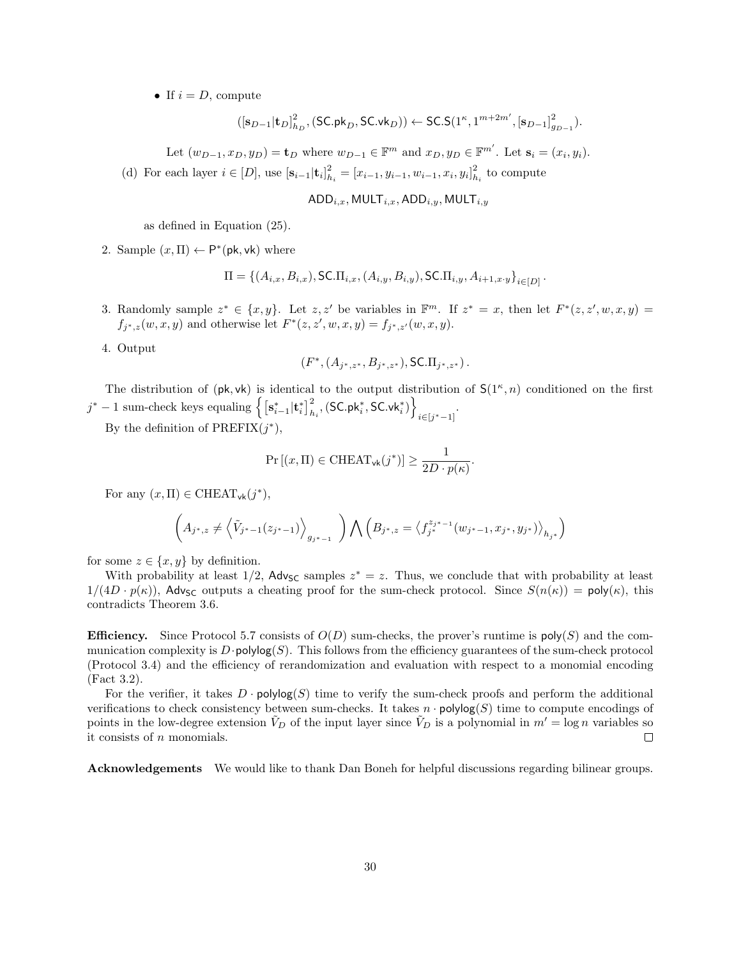• If  $i = D$ , compute

$$
([\mathbf{s}_{D-1}|\mathbf{t}_D]_{h_D}^2,(\mathsf{SC}. \mathsf{pk}_D,\mathsf{SC}. \mathsf{vk}_D))\leftarrow \mathsf{SC}. \mathsf{S}(1^{\kappa},1^{m+2m'},[\mathbf{s}_{D-1}]_{g_{D-1}}^2).
$$

Let  $(w_{D-1}, x_D, y_D) = \mathbf{t}_D$  where  $w_{D-1} \in \mathbb{F}^m$  and  $x_D, y_D \in \mathbb{F}^{m'}$ . Let  $\mathbf{s}_i = (x_i, y_i)$ .

(d) For each layer  $i \in [D]$ , use  $[\mathbf{s}_{i-1} | \mathbf{t}_i]_{h_i}^2 = [x_{i-1}, y_{i-1}, w_{i-1}, x_i, y_i]_{h_i}^2$  to compute

$$
ADD_{i,x}, MULT_{i,x}, ADD_{i,y}, MULT_{i,y}
$$

as defined in Equation [\(25\)](#page-23-2).

2. Sample  $(x, \Pi) \leftarrow P^*(\mathsf{pk}, \mathsf{vk})$  where

$$
\Pi = \{ (A_{i,x}, B_{i,x}), \text{S C.} \Pi_{i,x}, (A_{i,y}, B_{i,y}), \text{S C.} \Pi_{i,y}, A_{i+1,x,y} \}_{i \in [D]}.
$$

3. Randomly sample  $z^* \in \{x, y\}$ . Let  $z, z'$  be variables in  $\mathbb{F}^m$ . If  $z^* = x$ , then let  $F^*(z, z', w, x, y) =$  $f_{j^*,z}(w, x, y)$  and otherwise let  $F^*(z, z', w, x, y) = f_{j^*,z'}(w, x, y)$ .

4. Output

$$
(F^*, (A_{j^*,z^*}, B_{j^*,z^*}), \mathsf{SC}.\Pi_{j^*,z^*})\,.
$$

The distribution of  $(\mathsf{pk}, \mathsf{vk})$  is identical to the output distribution of  $\mathsf{S}(1^{\kappa}, n)$  conditioned on the first  $j^*-1$  sum-check keys equaling  $\left\{\left[\mathbf{s}_{i-1}^*|\mathbf{t}_{i}^*\right]_{h_i}^2, \left(\mathsf{SC}.\mathsf{pk}_i^*, \mathsf{SC}.\mathsf{vk}_i^*\right)\right\}$  $i \in [j^* - 1]$ 

By the definition of  $\text{PREFIX}(j^*),$ 

$$
\Pr\left[(x,\Pi)\in \text{CHEAT}_{\mathsf{vk}}(j^*)\right] \ge \frac{1}{2D\cdot p(\kappa)}.
$$

For any  $(x, \Pi) \in \text{CHEAT}_{\text{vk}}(j^*),$ 

$$
\left(A_{j^*,z}\neq \left<\tilde{V}_{j^*-1}(z_{j^*-1})\right>_{g_{j^*-1}}\ \right)\bigwedge \left(B_{j^*,z}=\left_{h_{j^*}}\right)
$$

for some  $z \in \{x, y\}$  by definition.

With probability at least  $1/2$ , Adv<sub>SC</sub> samples  $z^* = z$ . Thus, we conclude that with probability at least  $1/(4D \cdot p(\kappa))$ , Adv<sub>SC</sub> outputs a cheating proof for the sum-check protocol. Since  $S(n(\kappa)) = \text{poly}(\kappa)$ , this contradicts Theorem [3.6.](#page-13-2)

**Efficiency.** Since Protocol [5.7](#page-22-1) consists of  $O(D)$  sum-checks, the prover's runtime is  $\text{poly}(S)$  and the communication complexity is  $D \cdot \text{polylog}(S)$ . This follows from the efficiency guarantees of the sum-check protocol (Protocol [3.4\)](#page-12-1) and the efficiency of rerandomization and evaluation with respect to a monomial encoding (Fact [3.2\)](#page-11-2).

For the verifier, it takes  $D \cdot \text{polylog}(S)$  time to verify the sum-check proofs and perform the additional verifications to check consistency between sum-checks. It takes  $n \cdot \text{polylog}(S)$  time to compute encodings of points in the low-degree extension  $V_D$  of the input layer since  $\tilde{V}_D$  is a polynomial in  $m' = \log n$  variables so it consists of n monomials.  $\Box$ 

Acknowledgements We would like to thank Dan Boneh for helpful discussions regarding bilinear groups.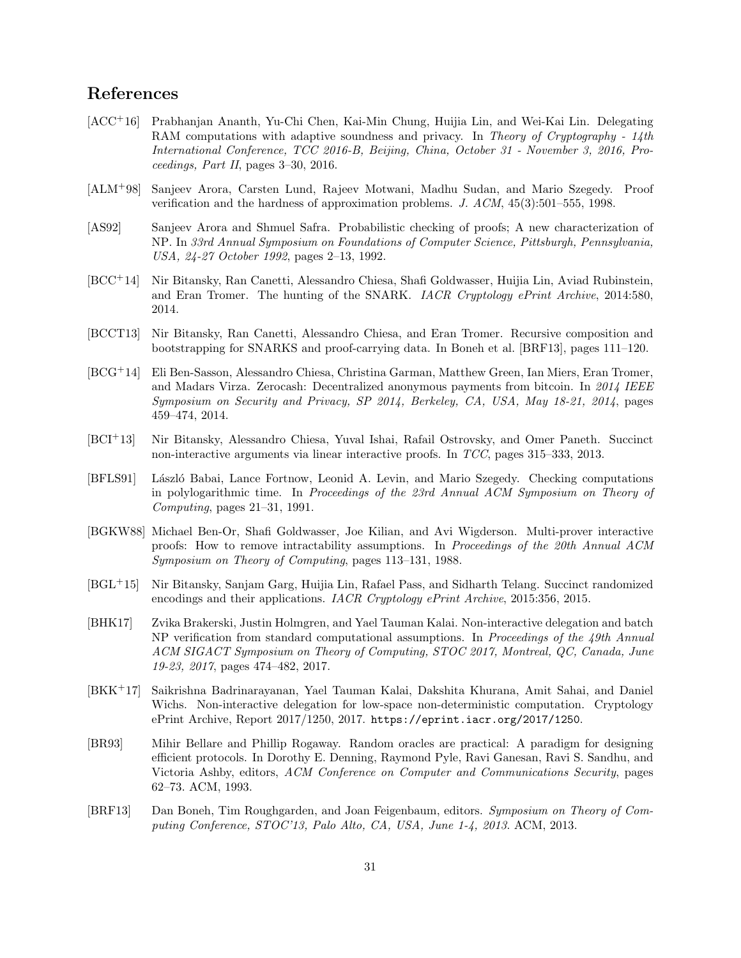### References

- <span id="page-30-10"></span>[ACC+16] Prabhanjan Ananth, Yu-Chi Chen, Kai-Min Chung, Huijia Lin, and Wei-Kai Lin. Delegating RAM computations with adaptive soundness and privacy. In Theory of Cryptography - 14th International Conference, TCC 2016-B, Beijing, China, October 31 - November 3, 2016, Proceedings, Part II, pages 3–30, 2016.
- <span id="page-30-3"></span>[ALM+98] Sanjeev Arora, Carsten Lund, Rajeev Motwani, Madhu Sudan, and Mario Szegedy. Proof verification and the hardness of approximation problems. J. ACM, 45(3):501–555, 1998.
- <span id="page-30-2"></span>[AS92] Sanjeev Arora and Shmuel Safra. Probabilistic checking of proofs; A new characterization of NP. In 33rd Annual Symposium on Foundations of Computer Science, Pittsburgh, Pennsylvania, USA, 24-27 October 1992, pages 2–13, 1992.
- <span id="page-30-7"></span>[BCC+14] Nir Bitansky, Ran Canetti, Alessandro Chiesa, Shafi Goldwasser, Huijia Lin, Aviad Rubinstein, and Eran Tromer. The hunting of the SNARK. IACR Cryptology ePrint Archive, 2014:580, 2014.
- <span id="page-30-6"></span>[BCCT13] Nir Bitansky, Ran Canetti, Alessandro Chiesa, and Eran Tromer. Recursive composition and bootstrapping for SNARKS and proof-carrying data. In Boneh et al. [\[BRF13\]](#page-30-13), pages 111–120.
- <span id="page-30-4"></span>[BCG+14] Eli Ben-Sasson, Alessandro Chiesa, Christina Garman, Matthew Green, Ian Miers, Eran Tromer, and Madars Virza. Zerocash: Decentralized anonymous payments from bitcoin. In 2014 IEEE Symposium on Security and Privacy, SP 2014, Berkeley, CA, USA, May 18-21, 2014, pages 459–474, 2014.
- <span id="page-30-5"></span>[BCI+13] Nir Bitansky, Alessandro Chiesa, Yuval Ishai, Rafail Ostrovsky, and Omer Paneth. Succinct non-interactive arguments via linear interactive proofs. In TCC, pages 315–333, 2013.
- <span id="page-30-1"></span>[BFLS91] László Babai, Lance Fortnow, Leonid A. Levin, and Mario Szegedy. Checking computations in polylogarithmic time. In Proceedings of the 23rd Annual ACM Symposium on Theory of Computing, pages 21–31, 1991.
- <span id="page-30-0"></span>[BGKW88] Michael Ben-Or, Shafi Goldwasser, Joe Kilian, and Avi Wigderson. Multi-prover interactive proofs: How to remove intractability assumptions. In Proceedings of the 20th Annual ACM Symposium on Theory of Computing, pages 113–131, 1988.
- <span id="page-30-9"></span>[BGL+15] Nir Bitansky, Sanjam Garg, Huijia Lin, Rafael Pass, and Sidharth Telang. Succinct randomized encodings and their applications. IACR Cryptology ePrint Archive, 2015:356, 2015.
- <span id="page-30-11"></span>[BHK17] Zvika Brakerski, Justin Holmgren, and Yael Tauman Kalai. Non-interactive delegation and batch NP verification from standard computational assumptions. In Proceedings of the 49th Annual ACM SIGACT Symposium on Theory of Computing, STOC 2017, Montreal, QC, Canada, June 19-23, 2017, pages 474–482, 2017.
- <span id="page-30-12"></span>[BKK<sup>+</sup>17] Saikrishna Badrinarayanan, Yael Tauman Kalai, Dakshita Khurana, Amit Sahai, and Daniel Wichs. Non-interactive delegation for low-space non-deterministic computation. Cryptology ePrint Archive, Report 2017/1250, 2017. <https://eprint.iacr.org/2017/1250>.
- <span id="page-30-8"></span>[BR93] Mihir Bellare and Phillip Rogaway. Random oracles are practical: A paradigm for designing efficient protocols. In Dorothy E. Denning, Raymond Pyle, Ravi Ganesan, Ravi S. Sandhu, and Victoria Ashby, editors, ACM Conference on Computer and Communications Security, pages 62–73. ACM, 1993.
- <span id="page-30-13"></span>[BRF13] Dan Boneh, Tim Roughgarden, and Joan Feigenbaum, editors. Symposium on Theory of Computing Conference, STOC'13, Palo Alto, CA, USA, June 1-4, 2013. ACM, 2013.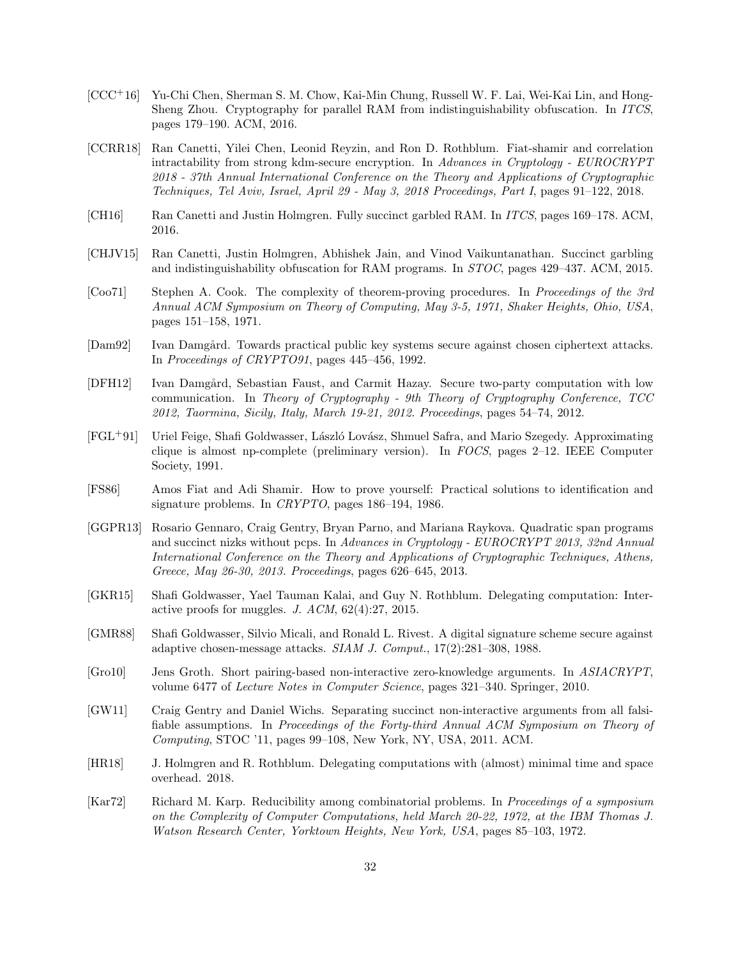- <span id="page-31-9"></span>[CCC+16] Yu-Chi Chen, Sherman S. M. Chow, Kai-Min Chung, Russell W. F. Lai, Wei-Kai Lin, and Hong-Sheng Zhou. Cryptography for parallel RAM from indistinguishability obfuscation. In ITCS, pages 179–190. ACM, 2016.
- <span id="page-31-14"></span>[CCRR18] Ran Canetti, Yilei Chen, Leonid Reyzin, and Ron D. Rothblum. Fiat-shamir and correlation intractability from strong kdm-secure encryption. In Advances in Cryptology - EUROCRYPT 2018 - 37th Annual International Conference on the Theory and Applications of Cryptographic Techniques, Tel Aviv, Israel, April 29 - May 3, 2018 Proceedings, Part I, pages 91–122, 2018.
- <span id="page-31-8"></span>[CH16] Ran Canetti and Justin Holmgren. Fully succinct garbled RAM. In ITCS, pages 169–178. ACM, 2016.
- <span id="page-31-7"></span>[CHJV15] Ran Canetti, Justin Holmgren, Abhishek Jain, and Vinod Vaikuntanathan. Succinct garbling and indistinguishability obfuscation for RAM programs. In STOC, pages 429–437. ACM, 2015.
- <span id="page-31-0"></span>[Coo71] Stephen A. Cook. The complexity of theorem-proving procedures. In Proceedings of the 3rd Annual ACM Symposium on Theory of Computing, May 3-5, 1971, Shaker Heights, Ohio, USA, pages 151–158, 1971.
- <span id="page-31-11"></span>[Dam92] Ivan Damgård. Towards practical public key systems secure against chosen ciphertext attacks. In Proceedings of CRYPTO91, pages 445–456, 1992.
- <span id="page-31-5"></span>[DFH12] Ivan Damgård, Sebastian Faust, and Carmit Hazay. Secure two-party computation with low communication. In Theory of Cryptography - 9th Theory of Cryptography Conference, TCC 2012, Taormina, Sicily, Italy, March 19-21, 2012. Proceedings, pages 54–74, 2012.
- <span id="page-31-3"></span>[FGL+91] Uriel Feige, Shafi Goldwasser, L´aszl´o Lov´asz, Shmuel Safra, and Mario Szegedy. Approximating clique is almost np-complete (preliminary version). In FOCS, pages 2–12. IEEE Computer Society, 1991.
- <span id="page-31-13"></span>[FS86] Amos Fiat and Adi Shamir. How to prove yourself: Practical solutions to identification and signature problems. In CRYPTO, pages 186–194, 1986.
- <span id="page-31-6"></span>[GGPR13] Rosario Gennaro, Craig Gentry, Bryan Parno, and Mariana Raykova. Quadratic span programs and succinct nizks without pcps. In Advances in Cryptology - EUROCRYPT 2013, 32nd Annual International Conference on the Theory and Applications of Cryptographic Techniques, Athens, Greece, May 26-30, 2013. Proceedings, pages 626–645, 2013.
- <span id="page-31-12"></span>[GKR15] Shafi Goldwasser, Yael Tauman Kalai, and Guy N. Rothblum. Delegating computation: Interactive proofs for muggles. J. ACM, 62(4):27, 2015.
- <span id="page-31-2"></span>[GMR88] Shafi Goldwasser, Silvio Micali, and Ronald L. Rivest. A digital signature scheme secure against adaptive chosen-message attacks. SIAM J. Comput., 17(2):281–308, 1988.
- <span id="page-31-4"></span>[Gro10] Jens Groth. Short pairing-based non-interactive zero-knowledge arguments. In ASIACRYPT, volume 6477 of Lecture Notes in Computer Science, pages 321–340. Springer, 2010.
- <span id="page-31-15"></span>[GW11] Craig Gentry and Daniel Wichs. Separating succinct non-interactive arguments from all falsifiable assumptions. In Proceedings of the Forty-third Annual ACM Symposium on Theory of Computing, STOC '11, pages 99–108, New York, NY, USA, 2011. ACM.
- <span id="page-31-10"></span>[HR18] J. Holmgren and R. Rothblum. Delegating computations with (almost) minimal time and space overhead. 2018.
- <span id="page-31-1"></span>[Kar72] Richard M. Karp. Reducibility among combinatorial problems. In Proceedings of a symposium on the Complexity of Computer Computations, held March 20-22, 1972, at the IBM Thomas J. Watson Research Center, Yorktown Heights, New York, USA, pages 85–103, 1972.